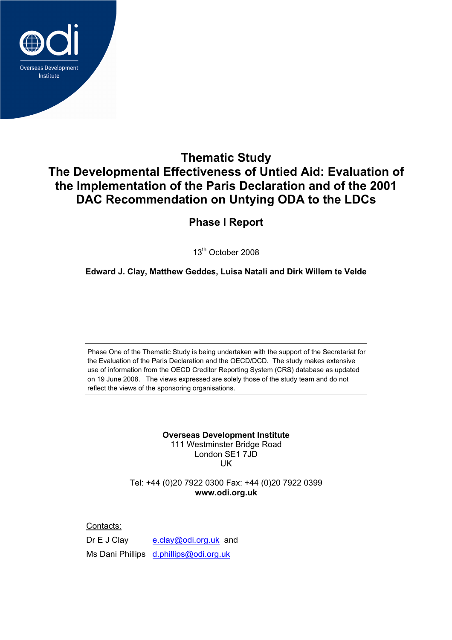

# **Thematic Study The Developmental Effectiveness of Untied Aid: Evaluation of the Implementation of the Paris Declaration and of the 2001 DAC Recommendation on Untying ODA to the LDCs**

# **Phase I Report**

13th October 2008

**Edward J. Clay, Matthew Geddes, Luisa Natali and Dirk Willem te Velde** 

Phase One of the Thematic Study is being undertaken with the support of the Secretariat for the Evaluation of the Paris Declaration and the OECD/DCD. The study makes extensive use of information from the OECD Creditor Reporting System (CRS) database as updated on 19 June 2008. The views expressed are solely those of the study team and do not reflect the views of the sponsoring organisations.

> **Overseas Development Institute**  111 Westminster Bridge Road London SE1 7JD **IK**

Tel: +44 (0)20 7922 0300 Fax: +44 (0)20 7922 0399 **www.odi.org.uk** 

Contacts:

Dr E J Clay e.clay@odi.org.uk and Ms Dani Phillips d.phillips@odi.org.uk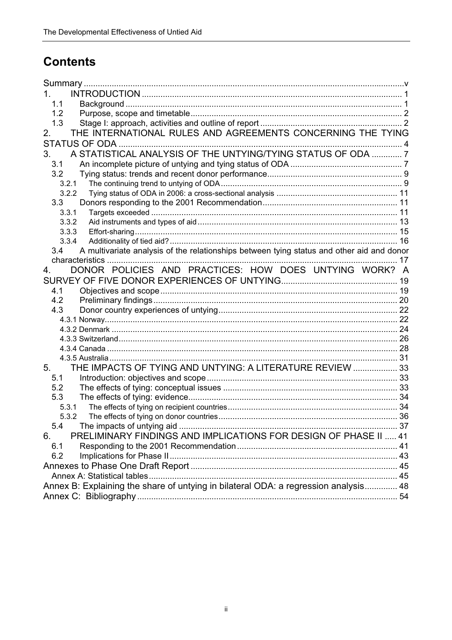# **Contents**

| 1.                                                                                               |  |
|--------------------------------------------------------------------------------------------------|--|
| 1.1                                                                                              |  |
| 1.2                                                                                              |  |
| 1.3                                                                                              |  |
| THE INTERNATIONAL RULES AND AGREEMENTS CONCERNING THE TYING<br>2.                                |  |
|                                                                                                  |  |
| A STATISTICAL ANALYSIS OF THE UNTYING/TYING STATUS OF ODA  7<br>3.                               |  |
| 3.1                                                                                              |  |
| 3.2                                                                                              |  |
| 3.2.1                                                                                            |  |
| 3.2.2                                                                                            |  |
| 3.3                                                                                              |  |
| 3.3.1                                                                                            |  |
| 3.3.2                                                                                            |  |
| 3.3.3                                                                                            |  |
| 3.3.4                                                                                            |  |
| A multivariate analysis of the relationships between tying status and other aid and donor<br>3.4 |  |
|                                                                                                  |  |
| DONOR POLICIES AND PRACTICES: HOW DOES UNTYING WORK? A<br>4.                                     |  |
|                                                                                                  |  |
| 4.1                                                                                              |  |
| 4.2                                                                                              |  |
| 4.3                                                                                              |  |
|                                                                                                  |  |
|                                                                                                  |  |
|                                                                                                  |  |
|                                                                                                  |  |
|                                                                                                  |  |
| THE IMPACTS OF TYING AND UNTYING: A LITERATURE REVIEW  33<br>5.                                  |  |
| 5.1                                                                                              |  |
| 5.2                                                                                              |  |
| 5.3                                                                                              |  |
| 5.3.1                                                                                            |  |
| 5.3.2<br>5.4                                                                                     |  |
| PRELIMINARY FINDINGS AND IMPLICATIONS FOR DESIGN OF PHASE II  41                                 |  |
| 6.                                                                                               |  |
| 6.1<br>6.2                                                                                       |  |
|                                                                                                  |  |
|                                                                                                  |  |
|                                                                                                  |  |
| Annex B: Explaining the share of untying in bilateral ODA: a regression analysis 48              |  |
|                                                                                                  |  |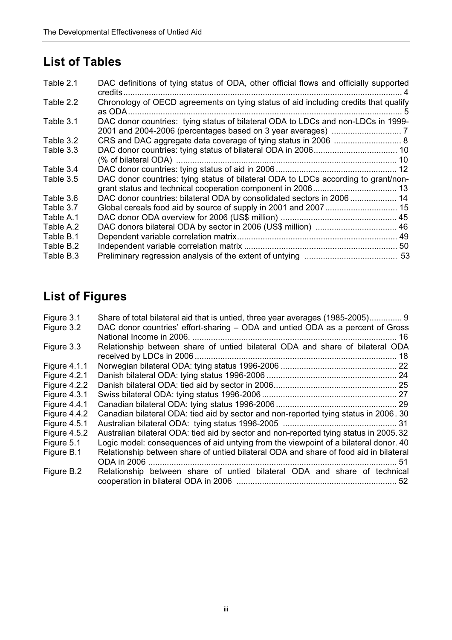# **List of Tables**

| Table 2.1 | DAC definitions of tying status of ODA, other official flows and officially supported |  |
|-----------|---------------------------------------------------------------------------------------|--|
| Table 2.2 | Chronology of OECD agreements on tying status of aid including credits that qualify   |  |
| Table 3.1 | DAC donor countries: tying status of bilateral ODA to LDCs and non-LDCs in 1999-      |  |
| Table 3.2 |                                                                                       |  |
| Table 3.3 |                                                                                       |  |
|           |                                                                                       |  |
| Table 3.4 |                                                                                       |  |
| Table 3.5 | DAC donor countries: tying status of bilateral ODA to LDCs according to grant/non-    |  |
|           |                                                                                       |  |
| Table 3.6 | DAC donor countries: bilateral ODA by consolidated sectors in 2006 14                 |  |
| Table 3.7 |                                                                                       |  |
| Table A.1 |                                                                                       |  |
| Table A.2 |                                                                                       |  |
| Table B.1 |                                                                                       |  |
| Table B.2 |                                                                                       |  |
| Table B.3 |                                                                                       |  |
|           |                                                                                       |  |

# **List of Figures**

| Figure 3.1          | Share of total bilateral aid that is untied, three year averages (1985-2005) 9        |
|---------------------|---------------------------------------------------------------------------------------|
| Figure 3.2          | DAC donor countries' effort-sharing – ODA and untied ODA as a percent of Gross        |
|                     |                                                                                       |
| Figure 3.3          | Relationship between share of untied bilateral ODA and share of bilateral ODA         |
|                     | 18                                                                                    |
| <b>Figure 4.1.1</b> |                                                                                       |
| <b>Figure 4.2.1</b> |                                                                                       |
| Figure 4.2.2        |                                                                                       |
| <b>Figure 4.3.1</b> |                                                                                       |
| <b>Figure 4.4.1</b> |                                                                                       |
| Figure 4.4.2        | Canadian bilateral ODA: tied aid by sector and non-reported tying status in 2006. 30  |
| <b>Figure 4.5.1</b> |                                                                                       |
| Figure $4.5.2$      | Australian bilateral ODA: tied aid by sector and non-reported tying status in 2005.32 |
| Figure 5.1          | Logic model: consequences of aid untying from the viewpoint of a bilateral donor. 40  |
| Figure B.1          | Relationship between share of untied bilateral ODA and share of food aid in bilateral |
|                     |                                                                                       |
| Figure B.2          | Relationship between share of untied bilateral ODA and share of technical             |
|                     |                                                                                       |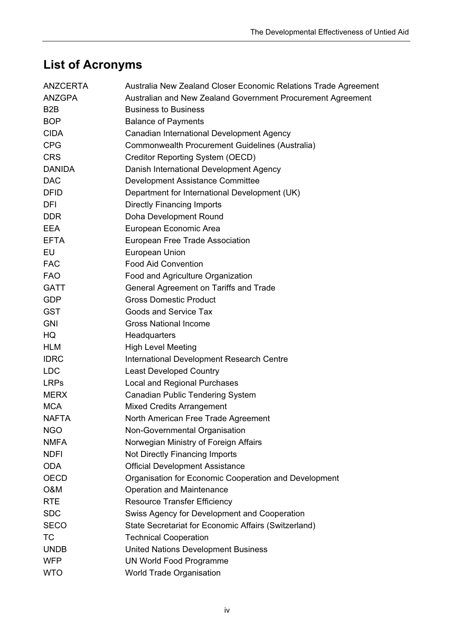# **List of Acronyms**

| ANZCERTA         | Australia New Zealand Closer Economic Relations Trade Agreement |
|------------------|-----------------------------------------------------------------|
| <b>ANZGPA</b>    | Australian and New Zealand Government Procurement Agreement     |
| B <sub>2</sub> B | <b>Business to Business</b>                                     |
| <b>BOP</b>       | <b>Balance of Payments</b>                                      |
| <b>CIDA</b>      | Canadian International Development Agency                       |
| <b>CPG</b>       | Commonwealth Procurement Guidelines (Australia)                 |
| <b>CRS</b>       | Creditor Reporting System (OECD)                                |
| <b>DANIDA</b>    | Danish International Development Agency                         |
| <b>DAC</b>       | Development Assistance Committee                                |
| <b>DFID</b>      | Department for International Development (UK)                   |
| DFI              | <b>Directly Financing Imports</b>                               |
| <b>DDR</b>       | Doha Development Round                                          |
| EEA              | European Economic Area                                          |
| <b>EFTA</b>      | European Free Trade Association                                 |
| EU               | European Union                                                  |
| <b>FAC</b>       | <b>Food Aid Convention</b>                                      |
| <b>FAO</b>       | Food and Agriculture Organization                               |
| <b>GATT</b>      | General Agreement on Tariffs and Trade                          |
| <b>GDP</b>       | <b>Gross Domestic Product</b>                                   |
| <b>GST</b>       | <b>Goods and Service Tax</b>                                    |
| <b>GNI</b>       | <b>Gross National Income</b>                                    |
| HQ.              | Headquarters                                                    |
| <b>HLM</b>       | <b>High Level Meeting</b>                                       |
| <b>IDRC</b>      | International Development Research Centre                       |
| <b>LDC</b>       | <b>Least Developed Country</b>                                  |
| <b>LRPs</b>      | <b>Local and Regional Purchases</b>                             |
| <b>MERX</b>      | <b>Canadian Public Tendering System</b>                         |
| <b>MCA</b>       | <b>Mixed Credits Arrangement</b>                                |
| <b>NAFTA</b>     | North American Free Trade Agreement                             |
| <b>NGO</b>       | Non-Governmental Organisation                                   |
| <b>NMFA</b>      | Norwegian Ministry of Foreign Affairs                           |
| <b>NDFI</b>      | <b>Not Directly Financing Imports</b>                           |
| <b>ODA</b>       | <b>Official Development Assistance</b>                          |
| <b>OECD</b>      | Organisation for Economic Cooperation and Development           |
| O&M              | <b>Operation and Maintenance</b>                                |
| <b>RTE</b>       | <b>Resource Transfer Efficiency</b>                             |
| <b>SDC</b>       | Swiss Agency for Development and Cooperation                    |
| <b>SECO</b>      | State Secretariat for Economic Affairs (Switzerland)            |
| TC               | <b>Technical Cooperation</b>                                    |
| <b>UNDB</b>      | <b>United Nations Development Business</b>                      |
| <b>WFP</b>       | <b>UN World Food Programme</b>                                  |
| <b>WTO</b>       | <b>World Trade Organisation</b>                                 |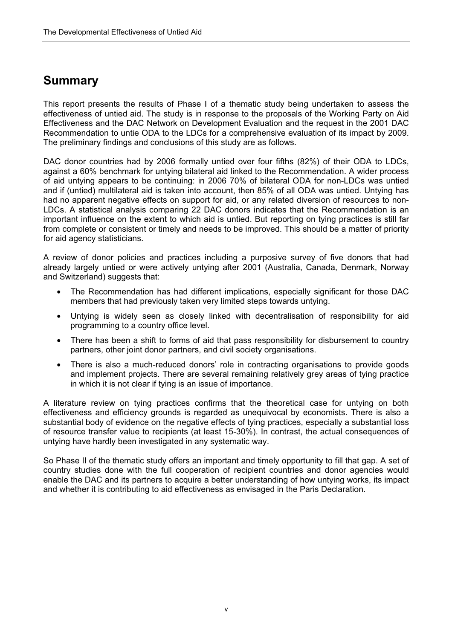# **Summary**

This report presents the results of Phase I of a thematic study being undertaken to assess the effectiveness of untied aid. The study is in response to the proposals of the Working Party on Aid Effectiveness and the DAC Network on Development Evaluation and the request in the 2001 DAC Recommendation to untie ODA to the LDCs for a comprehensive evaluation of its impact by 2009. The preliminary findings and conclusions of this study are as follows.

DAC donor countries had by 2006 formally untied over four fifths (82%) of their ODA to LDCs, against a 60% benchmark for untying bilateral aid linked to the Recommendation. A wider process of aid untying appears to be continuing: in 2006 70% of bilateral ODA for non-LDCs was untied and if (untied) multilateral aid is taken into account, then 85% of all ODA was untied. Untying has had no apparent negative effects on support for aid, or any related diversion of resources to non-LDCs. A statistical analysis comparing 22 DAC donors indicates that the Recommendation is an important influence on the extent to which aid is untied. But reporting on tying practices is still far from complete or consistent or timely and needs to be improved. This should be a matter of priority for aid agency statisticians.

A review of donor policies and practices including a purposive survey of five donors that had already largely untied or were actively untying after 2001 (Australia, Canada, Denmark, Norway and Switzerland) suggests that:

- The Recommendation has had different implications, especially significant for those DAC members that had previously taken very limited steps towards untying.
- Untying is widely seen as closely linked with decentralisation of responsibility for aid programming to a country office level.
- There has been a shift to forms of aid that pass responsibility for disbursement to country partners, other joint donor partners, and civil society organisations.
- There is also a much-reduced donors' role in contracting organisations to provide goods and implement projects. There are several remaining relatively grey areas of tying practice in which it is not clear if tying is an issue of importance.

A literature review on tying practices confirms that the theoretical case for untying on both effectiveness and efficiency grounds is regarded as unequivocal by economists. There is also a substantial body of evidence on the negative effects of tying practices, especially a substantial loss of resource transfer value to recipients (at least 15-30%). In contrast, the actual consequences of untying have hardly been investigated in any systematic way.

So Phase II of the thematic study offers an important and timely opportunity to fill that gap. A set of country studies done with the full cooperation of recipient countries and donor agencies would enable the DAC and its partners to acquire a better understanding of how untying works, its impact and whether it is contributing to aid effectiveness as envisaged in the Paris Declaration.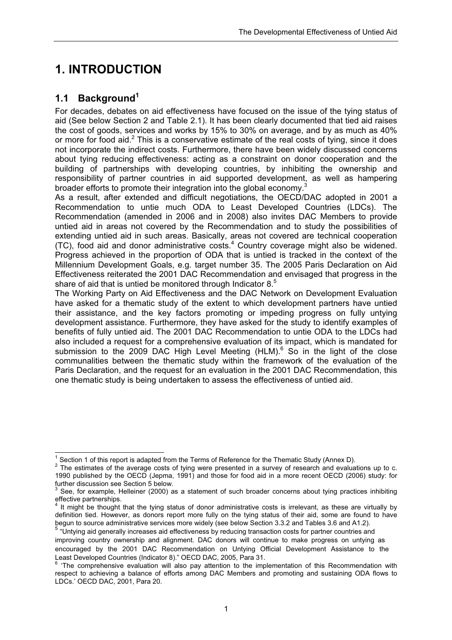# **1. INTRODUCTION**

# **1.1 Background<sup>1</sup>**

For decades, debates on aid effectiveness have focused on the issue of the tying status of aid (See below Section 2 and Table 2.1). It has been clearly documented that tied aid raises the cost of goods, services and works by 15% to 30% on average, and by as much as 40% or more for food aid.<sup>2</sup> This is a conservative estimate of the real costs of tying, since it does not incorporate the indirect costs. Furthermore, there have been widely discussed concerns about tying reducing effectiveness: acting as a constraint on donor cooperation and the building of partnerships with developing countries, by inhibiting the ownership and responsibility of partner countries in aid supported development, as well as hampering broader efforts to promote their integration into the global economy.<sup>3</sup>

As a result, after extended and difficult negotiations, the OECD/DAC adopted in 2001 a Recommendation to untie much ODA to Least Developed Countries (LDCs). The Recommendation (amended in 2006 and in 2008) also invites DAC Members to provide untied aid in areas not covered by the Recommendation and to study the possibilities of extending untied aid in such areas. Basically, areas not covered are technical cooperation (TC), food aid and donor administrative costs. $4$  Country coverage might also be widened. Progress achieved in the proportion of ODA that is untied is tracked in the context of the Millennium Development Goals, e.g*.* target number 35. The 2005 Paris Declaration on Aid Effectiveness reiterated the 2001 DAC Recommendation and envisaged that progress in the share of aid that is untied be monitored through Indicator 8.<sup>5</sup>

The Working Party on Aid Effectiveness and the DAC Network on Development Evaluation have asked for a thematic study of the extent to which development partners have untied their assistance, and the key factors promoting or impeding progress on fully untying development assistance. Furthermore, they have asked for the study to identify examples of benefits of fully untied aid. The 2001 DAC Recommendation to untie ODA to the LDCs had also included a request for a comprehensive evaluation of its impact, which is mandated for submission to the 2009 DAC High Level Meeting (HLM). $^6$  So in the light of the close communalities between the thematic study within the framework of the evaluation of the Paris Declaration, and the request for an evaluation in the 2001 DAC Recommendation, this one thematic study is being undertaken to assess the effectiveness of untied aid.

 1 Section 1 of this report is adapted from the Terms of Reference for the Thematic Study (Annex D).

 $2$  The estimates of the average costs of tying were presented in a survey of research and evaluations up to c. 1990 published by the OECD (Jepma, 1991) and those for food aid in a more recent OECD (2006) study: for further discussion see Section 5 below.

<sup>3</sup> See, for example, Helleiner (2000) as a statement of such broader concerns about tying practices inhibiting effective partnerships.

<sup>4</sup> It might be thought that the tying status of donor administrative costs is irrelevant, as these are virtually by definition tied. However, as donors report more fully on the tying status of their aid, some are found to have begun to source administrative services more widely (see below Section 3.3.2 and Tables 3.6 and A1.2).

<sup>5</sup> "Untying aid generally increases aid effectiveness by reducing transaction costs for partner countries and improving country ownership and alignment. DAC donors will continue to make progress on untying as encouraged by the 2001 DAC Recommendation on Untying Official Development Assistance to the Least Developed Countries (Indicator 8)." OECD DAC, 2005, Para 31.

 $6$  'The comprehensive evaluation will also pay attention to the implementation of this Recommendation with respect to achieving a balance of efforts among DAC Members and promoting and sustaining ODA flows to LDCs.' OECD DAC, 2001, Para 20.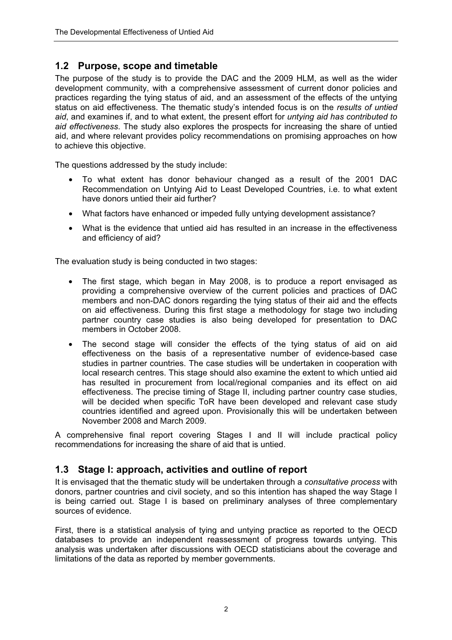### **1.2 Purpose, scope and timetable**

The purpose of the study is to provide the DAC and the 2009 HLM, as well as the wider development community, with a comprehensive assessment of current donor policies and practices regarding the tying status of aid, and an assessment of the effects of the untying status on aid effectiveness. The thematic study's intended focus is on the *results of untied aid*, and examines if, and to what extent, the present effort for *untying aid has contributed to aid effectiveness*. The study also explores the prospects for increasing the share of untied aid, and where relevant provides policy recommendations on promising approaches on how to achieve this objective.

The questions addressed by the study include:

- To what extent has donor behaviour changed as a result of the 2001 DAC Recommendation on Untying Aid to Least Developed Countries, i.e. to what extent have donors untied their aid further?
- What factors have enhanced or impeded fully untying development assistance?
- What is the evidence that untied aid has resulted in an increase in the effectiveness and efficiency of aid?

The evaluation study is being conducted in two stages:

- The first stage, which began in May 2008, is to produce a report envisaged as providing a comprehensive overview of the current policies and practices of DAC members and non-DAC donors regarding the tying status of their aid and the effects on aid effectiveness. During this first stage a methodology for stage two including partner country case studies is also being developed for presentation to DAC members in October 2008.
- The second stage will consider the effects of the tying status of aid on aid effectiveness on the basis of a representative number of evidence-based case studies in partner countries. The case studies will be undertaken in cooperation with local research centres. This stage should also examine the extent to which untied aid has resulted in procurement from local/regional companies and its effect on aid effectiveness. The precise timing of Stage II, including partner country case studies, will be decided when specific ToR have been developed and relevant case study countries identified and agreed upon. Provisionally this will be undertaken between November 2008 and March 2009.

A comprehensive final report covering Stages I and II will include practical policy recommendations for increasing the share of aid that is untied.

### **1.3 Stage I: approach, activities and outline of report**

It is envisaged that the thematic study will be undertaken through a *consultative process* with donors, partner countries and civil society, and so this intention has shaped the way Stage I is being carried out. Stage I is based on preliminary analyses of three complementary sources of evidence.

First, there is a statistical analysis of tying and untying practice as reported to the OECD databases to provide an independent reassessment of progress towards untying. This analysis was undertaken after discussions with OECD statisticians about the coverage and limitations of the data as reported by member governments.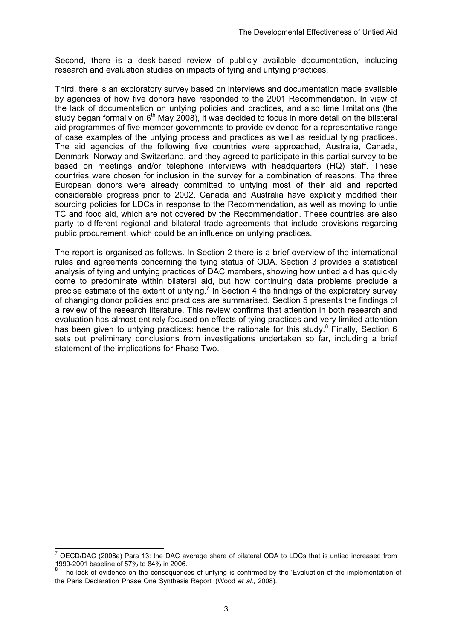Second, there is a desk-based review of publicly available documentation, including research and evaluation studies on impacts of tying and untying practices.

Third, there is an exploratory survey based on interviews and documentation made available by agencies of how five donors have responded to the 2001 Recommendation. In view of the lack of documentation on untying policies and practices, and also time limitations (the study began formally on  $6<sup>th</sup>$  May 2008), it was decided to focus in more detail on the bilateral aid programmes of five member governments to provide evidence for a representative range of case examples of the untying process and practices as well as residual tying practices. The aid agencies of the following five countries were approached, Australia, Canada, Denmark, Norway and Switzerland, and they agreed to participate in this partial survey to be based on meetings and/or telephone interviews with headquarters (HQ) staff. These countries were chosen for inclusion in the survey for a combination of reasons. The three European donors were already committed to untying most of their aid and reported considerable progress prior to 2002. Canada and Australia have explicitly modified their sourcing policies for LDCs in response to the Recommendation, as well as moving to untie TC and food aid, which are not covered by the Recommendation. These countries are also party to different regional and bilateral trade agreements that include provisions regarding public procurement, which could be an influence on untying practices.

The report is organised as follows. In Section 2 there is a brief overview of the international rules and agreements concerning the tying status of ODA. Section 3 provides a statistical analysis of tying and untying practices of DAC members, showing how untied aid has quickly come to predominate within bilateral aid, but how continuing data problems preclude a precise estimate of the extent of untying.<sup>7</sup> In Section 4 the findings of the exploratory survey of changing donor policies and practices are summarised. Section 5 presents the findings of a review of the research literature. This review confirms that attention in both research and evaluation has almost entirely focused on effects of tying practices and very limited attention has been given to untying practices: hence the rationale for this study.<sup>8</sup> Finally, Section 6 sets out preliminary conclusions from investigations undertaken so far, including a brief statement of the implications for Phase Two.

 7 OECD/DAC (2008a) Para 13: the DAC average share of bilateral ODA to LDCs that is untied increased from 1999-2001 baseline of 57% to 84% in 2006.

The lack of evidence on the consequences of untying is confirmed by the 'Evaluation of the implementation of the Paris Declaration Phase One Synthesis Report' (Wood *et al*., 2008).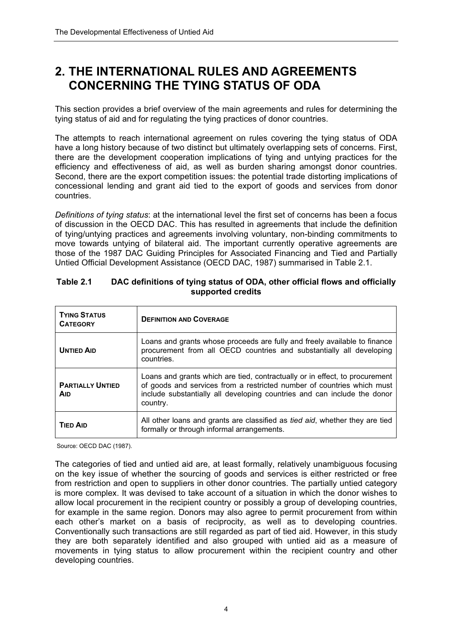# **2. THE INTERNATIONAL RULES AND AGREEMENTS CONCERNING THE TYING STATUS OF ODA**

This section provides a brief overview of the main agreements and rules for determining the tying status of aid and for regulating the tying practices of donor countries.

The attempts to reach international agreement on rules covering the tying status of ODA have a long history because of two distinct but ultimately overlapping sets of concerns. First, there are the development cooperation implications of tying and untying practices for the efficiency and effectiveness of aid, as well as burden sharing amongst donor countries. Second, there are the export competition issues: the potential trade distorting implications of concessional lending and grant aid tied to the export of goods and services from donor countries.

*Definitions of tying status*: at the international level the first set of concerns has been a focus of discussion in the OECD DAC. This has resulted in agreements that include the definition of tying/untying practices and agreements involving voluntary, non-binding commitments to move towards untying of bilateral aid. The important currently operative agreements are those of the 1987 DAC Guiding Principles for Associated Financing and Tied and Partially Untied Official Development Assistance (OECD DAC, 1987) summarised in Table 2.1.

| <b>TYING STATUS</b><br><b>CATEGORY</b> | <b>DEFINITION AND COVERAGE</b>                                                                                                                                                                                                                |
|----------------------------------------|-----------------------------------------------------------------------------------------------------------------------------------------------------------------------------------------------------------------------------------------------|
| <b>UNTIED AID</b>                      | Loans and grants whose proceeds are fully and freely available to finance<br>procurement from all OECD countries and substantially all developing<br>countries.                                                                               |
| <b>PARTIALLY UNTIED</b><br><b>AID</b>  | Loans and grants which are tied, contractually or in effect, to procurement<br>of goods and services from a restricted number of countries which must<br>include substantially all developing countries and can include the donor<br>country. |
| <b>TIED AID</b>                        | All other loans and grants are classified as <i>tied aid</i> , whether they are tied<br>formally or through informal arrangements.                                                                                                            |

#### **Table 2.1 DAC definitions of tying status of ODA, other official flows and officially supported credits**

Source: OECD DAC (1987).

The categories of tied and untied aid are, at least formally, relatively unambiguous focusing on the key issue of whether the sourcing of goods and services is either restricted or free from restriction and open to suppliers in other donor countries. The partially untied category is more complex. It was devised to take account of a situation in which the donor wishes to allow local procurement in the recipient country or possibly a group of developing countries, for example in the same region. Donors may also agree to permit procurement from within each other's market on a basis of reciprocity, as well as to developing countries. Conventionally such transactions are still regarded as part of tied aid. However, in this study they are both separately identified and also grouped with untied aid as a measure of movements in tying status to allow procurement within the recipient country and other developing countries.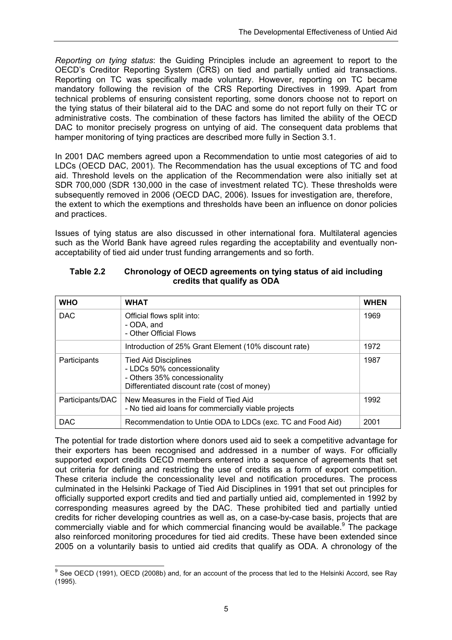*Reporting on tying status*: the Guiding Principles include an agreement to report to the OECD's Creditor Reporting System (CRS) on tied and partially untied aid transactions. Reporting on TC was specifically made voluntary. However, reporting on TC became mandatory following the revision of the CRS Reporting Directives in 1999. Apart from technical problems of ensuring consistent reporting, some donors choose not to report on the tying status of their bilateral aid to the DAC and some do not report fully on their TC or administrative costs. The combination of these factors has limited the ability of the OECD DAC to monitor precisely progress on untying of aid. The consequent data problems that hamper monitoring of tying practices are described more fully in Section 3.1.

In 2001 DAC members agreed upon a Recommendation to untie most categories of aid to LDCs (OECD DAC, 2001). The Recommendation has the usual exceptions of TC and food aid. Threshold levels on the application of the Recommendation were also initially set at SDR 700,000 (SDR 130,000 in the case of investment related TC). These thresholds were subsequently removed in 2006 (OECD DAC, 2006). Issues for investigation are, therefore, the extent to which the exemptions and thresholds have been an influence on donor policies and practices.

Issues of tying status are also discussed in other international fora. Multilateral agencies such as the World Bank have agreed rules regarding the acceptability and eventually nonacceptability of tied aid under trust funding arrangements and so forth.

| <b>WHO</b>       | <b>WHAT</b>                                                                                                                               | <b>WHEN</b> |
|------------------|-------------------------------------------------------------------------------------------------------------------------------------------|-------------|
| <b>DAC</b>       | Official flows split into:<br>- ODA, and<br>- Other Official Flows                                                                        | 1969        |
|                  | Introduction of 25% Grant Element (10% discount rate)                                                                                     | 1972        |
| Participants     | <b>Tied Aid Disciplines</b><br>- LDCs 50% concessionality<br>- Others 35% concessionality<br>Differentiated discount rate (cost of money) | 1987        |
| Participants/DAC | New Measures in the Field of Tied Aid<br>- No tied aid loans for commercially viable projects                                             | 1992        |
| <b>DAC</b>       | Recommendation to Untie ODA to LDCs (exc. TC and Food Aid)                                                                                | 2001        |

#### **Table 2.2 Chronology of OECD agreements on tying status of aid including credits that qualify as ODA**

The potential for trade distortion where donors used aid to seek a competitive advantage for their exporters has been recognised and addressed in a number of ways. For officially supported export credits OECD members entered into a sequence of agreements that set out criteria for defining and restricting the use of credits as a form of export competition. These criteria include the concessionality level and notification procedures. The process culminated in the Helsinki Package of Tied Aid Disciplines in 1991 that set out principles for officially supported export credits and tied and partially untied aid, complemented in 1992 by corresponding measures agreed by the DAC. These prohibited tied and partially untied credits for richer developing countries as well as, on a case-by-case basis, projects that are commercially viable and for which commercial financing would be available.<sup>9</sup> The package also reinforced monitoring procedures for tied aid credits. These have been extended since 2005 on a voluntarily basis to untied aid credits that qualify as ODA. A chronology of the

 9 See OECD (1991), OECD (2008b) and, for an account of the process that led to the Helsinki Accord, see Ray (1995).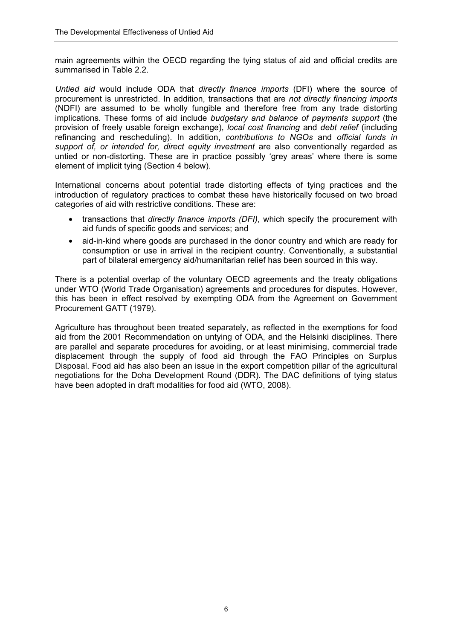main agreements within the OECD regarding the tying status of aid and official credits are summarised in Table 2.2.

*Untied aid* would include ODA that *directly finance imports* (DFI) where the source of procurement is unrestricted. In addition, transactions that are *not directly financing imports* (NDFI) are assumed to be wholly fungible and therefore free from any trade distorting implications. These forms of aid include *budgetary and balance of payments support* (the provision of freely usable foreign exchange), *local cost financing* and *debt relief* (including refinancing and rescheduling). In addition, *contributions to NGOs* and *official funds in support of, or intended for, direct equity investment* are also conventionally regarded as untied or non-distorting. These are in practice possibly 'grey areas' where there is some element of implicit tying (Section 4 below).

International concerns about potential trade distorting effects of tying practices and the introduction of regulatory practices to combat these have historically focused on two broad categories of aid with restrictive conditions. These are:

- transactions that *directly finance imports (DFI)*, which specify the procurement with aid funds of specific goods and services; and
- aid-in-kind where goods are purchased in the donor country and which are ready for consumption or use in arrival in the recipient country. Conventionally, a substantial part of bilateral emergency aid/humanitarian relief has been sourced in this way.

There is a potential overlap of the voluntary OECD agreements and the treaty obligations under WTO (World Trade Organisation) agreements and procedures for disputes. However, this has been in effect resolved by exempting ODA from the Agreement on Government Procurement GATT (1979).

Agriculture has throughout been treated separately, as reflected in the exemptions for food aid from the 2001 Recommendation on untying of ODA, and the Helsinki disciplines. There are parallel and separate procedures for avoiding, or at least minimising, commercial trade displacement through the supply of food aid through the FAO Principles on Surplus Disposal. Food aid has also been an issue in the export competition pillar of the agricultural negotiations for the Doha Development Round (DDR). The DAC definitions of tying status have been adopted in draft modalities for food aid (WTO, 2008).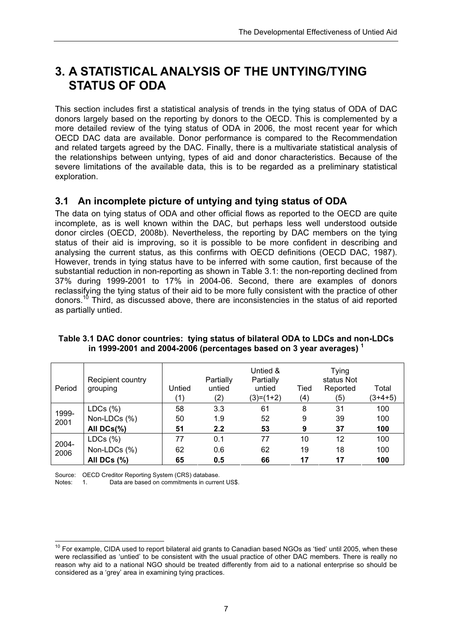# **3. A STATISTICAL ANALYSIS OF THE UNTYING/TYING STATUS OF ODA**

This section includes first a statistical analysis of trends in the tying status of ODA of DAC donors largely based on the reporting by donors to the OECD. This is complemented by a more detailed review of the tying status of ODA in 2006, the most recent year for which OECD DAC data are available. Donor performance is compared to the Recommendation and related targets agreed by the DAC. Finally, there is a multivariate statistical analysis of the relationships between untying, types of aid and donor characteristics. Because of the severe limitations of the available data, this is to be regarded as a preliminary statistical exploration.

### **3.1 An incomplete picture of untying and tying status of ODA**

The data on tying status of ODA and other official flows as reported to the OECD are quite incomplete, as is well known within the DAC, but perhaps less well understood outside donor circles (OECD, 2008b). Nevertheless, the reporting by DAC members on the tying status of their aid is improving, so it is possible to be more confident in describing and analysing the current status, as this confirms with OECD definitions (OECD DAC, 1987). However, trends in tying status have to be inferred with some caution, first because of the substantial reduction in non-reporting as shown in Table 3.1: the non-reporting declined from 37% during 1999-2001 to 17% in 2004-06. Second, there are examples of donors reclassifying the tying status of their aid to be more fully consistent with the practice of other donors.<sup>10</sup> Third, as discussed above, there are inconsistencies in the status of aid reported as partially untied.

| Period | Recipient country<br>grouping | Untied<br>(1) | Partially<br>untied<br>(2) | Untied &<br>Partially<br>untied<br>$(3)=(1+2)$ | Tied<br>(4) | Tying<br>status Not<br>Reported<br>(5) | Total<br>$(3+4+5)$ |
|--------|-------------------------------|---------------|----------------------------|------------------------------------------------|-------------|----------------------------------------|--------------------|
| 1999-  | LDCs (%)                      | 58            | 3.3                        | 61                                             | 8           | 31                                     | 100                |
| 2001   | Non-LDCs (%)                  | 50            | 1.9                        | 52                                             | 9           | 39                                     | 100                |
|        | All DCs(%)                    | 51            | 2.2                        | 53                                             | 9           | 37                                     | 100                |
| 2004-  | LDCs (%)                      | 77            | 0.1                        | 77                                             | 10          | 12                                     | 100                |
| 2006   | Non-LDCs (%)                  | 62            | 0.6                        | 62                                             | 19          | 18                                     | 100                |
|        | All DCs $(\%)$                | 65            | 0.5                        | 66                                             | 17          | 17                                     | 100                |

#### **Table 3.1 DAC donor countries: tying status of bilateral ODA to LDCs and non-LDCs in 1999-2001 and 2004-2006 (percentages based on 3 year averages) <sup>1</sup>**

Source: OECD Creditor Reporting System (CRS) database.

Data are based on commitments in current US\$.

 $\overline{1}$  $10$  For example, CIDA used to report bilateral aid grants to Canadian based NGOs as 'tied' until 2005, when these were reclassified as 'untied' to be consistent with the usual practice of other DAC members. There is really no reason why aid to a national NGO should be treated differently from aid to a national enterprise so should be considered as a 'grey' area in examining tying practices.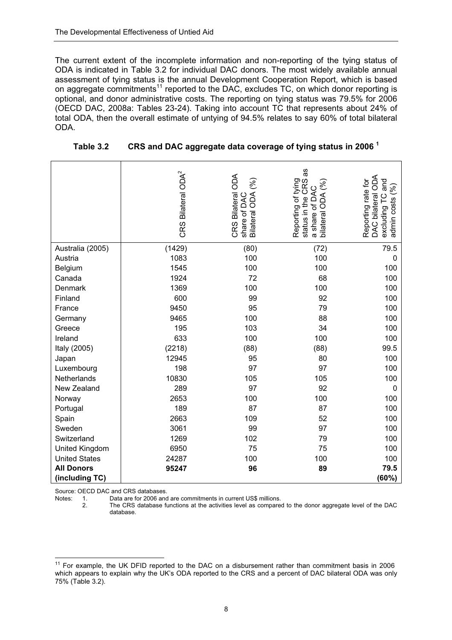The current extent of the incomplete information and non-reporting of the tying status of ODA is indicated in Table 3.2 for individual DAC donors. The most widely available annual assessment of tying status is the annual Development Cooperation Report, which is based on aggregate commitments<sup>11</sup> reported to the DAC, excludes TC, on which donor reporting is optional, and donor administrative costs. The reporting on tying status was 79.5% for 2006 (OECD DAC, 2008a: Tables 23-24). Taking into account TC that represents about 24% of total ODA, then the overall estimate of untying of 94.5% relates to say 60% of total bilateral ODA.

|                      | CRS Bilateral ODA <sup>2</sup> | CRS Bilateral ODA<br>હે<br>Bilateral ODA<br>share of DAC | as<br>Reporting of tying<br>CRS<br>$\mathscr{S}$<br>⊄<br><b>Ado</b><br>status in the<br>≏<br>৳<br>bilateral<br>share<br>$\omega$ | DAC bilateral ODA<br>Reporting rate for<br>and<br>હે<br>admin costs<br>excluding T |
|----------------------|--------------------------------|----------------------------------------------------------|----------------------------------------------------------------------------------------------------------------------------------|------------------------------------------------------------------------------------|
| Australia (2005)     | (1429)                         | (80)                                                     | (72)                                                                                                                             | 79.5                                                                               |
| Austria              | 1083                           | 100                                                      | 100                                                                                                                              | 0                                                                                  |
| Belgium              | 1545                           | 100                                                      | 100                                                                                                                              | 100                                                                                |
| Canada               | 1924                           | 72                                                       | 68                                                                                                                               | 100                                                                                |
| Denmark              | 1369                           | 100                                                      | 100                                                                                                                              | 100                                                                                |
| Finland              | 600                            | 99                                                       | 92                                                                                                                               | 100                                                                                |
| France               | 9450                           | 95                                                       | 79                                                                                                                               | 100                                                                                |
| Germany              | 9465                           | 100                                                      | 88                                                                                                                               | 100                                                                                |
| Greece               | 195                            | 103                                                      | 34                                                                                                                               | 100                                                                                |
| Ireland              | 633                            | 100                                                      | 100                                                                                                                              | 100                                                                                |
| Italy (2005)         | (2218)                         | (88)                                                     | (88)                                                                                                                             | 99.5                                                                               |
| Japan                | 12945                          | 95                                                       | 80                                                                                                                               | 100                                                                                |
| Luxembourg           | 198                            | 97                                                       | 97                                                                                                                               | 100                                                                                |
| Netherlands          | 10830                          | 105                                                      | 105                                                                                                                              | 100                                                                                |
| New Zealand          | 289                            | 97                                                       | 92                                                                                                                               | 0                                                                                  |
| Norway               | 2653                           | 100                                                      | 100                                                                                                                              | 100                                                                                |
| Portugal             | 189                            | 87                                                       | 87                                                                                                                               | 100                                                                                |
| Spain                | 2663                           | 109                                                      | 52                                                                                                                               | 100                                                                                |
| Sweden               | 3061                           | 99                                                       | 97                                                                                                                               | 100                                                                                |
| Switzerland          | 1269                           | 102                                                      | 79                                                                                                                               | 100                                                                                |
| United Kingdom       | 6950                           | 75                                                       | 75                                                                                                                               | 100                                                                                |
| <b>United States</b> | 24287                          | 100                                                      | 100                                                                                                                              | 100                                                                                |
| <b>All Donors</b>    | 95247                          | 96                                                       | 89                                                                                                                               | 79.5                                                                               |
| (including TC)       |                                |                                                          |                                                                                                                                  | (60%)                                                                              |

**Table 3.2 CRS and DAC aggregate data coverage of tying status in 2006 <sup>1</sup>**

Source: OECD DAC and CRS databases.

Notes: 1. Data are for 2006 and are commitments in current US\$ millions.<br>2. The CRS database functions at the activities level as compare

The CRS database functions at the activities level as compared to the donor aggregate level of the DAC database.

 $\overline{a}$  $11$  For example, the UK DFID reported to the DAC on a disbursement rather than commitment basis in 2006 which appears to explain why the UK's ODA reported to the CRS and a percent of DAC bilateral ODA was only 75% (Table 3.2).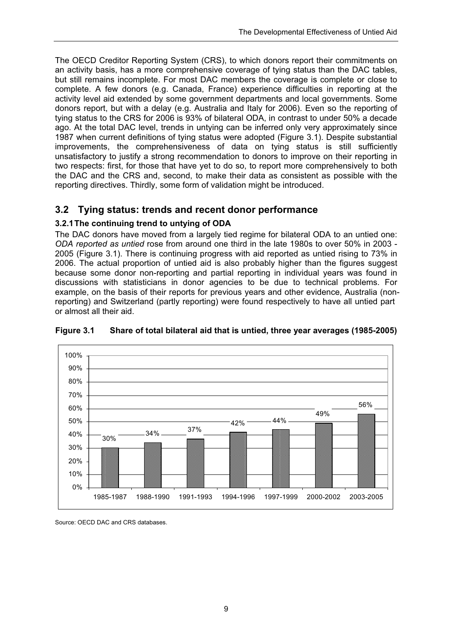The OECD Creditor Reporting System (CRS), to which donors report their commitments on an activity basis, has a more comprehensive coverage of tying status than the DAC tables, but still remains incomplete. For most DAC members the coverage is complete or close to complete. A few donors (e.g. Canada, France) experience difficulties in reporting at the activity level aid extended by some government departments and local governments. Some donors report, but with a delay (e.g. Australia and Italy for 2006). Even so the reporting of tying status to the CRS for 2006 is 93% of bilateral ODA, in contrast to under 50% a decade ago. At the total DAC level, trends in untying can be inferred only very approximately since 1987 when current definitions of tying status were adopted (Figure 3.1). Despite substantial improvements, the comprehensiveness of data on tying status is still sufficiently unsatisfactory to justify a strong recommendation to donors to improve on their reporting in two respects: first, for those that have yet to do so, to report more comprehensively to both the DAC and the CRS and, second, to make their data as consistent as possible with the reporting directives. Thirdly, some form of validation might be introduced.

# **3.2 Tying status: trends and recent donor performance**

### **3.2.1 The continuing trend to untying of ODA**

The DAC donors have moved from a largely tied regime for bilateral ODA to an untied one: *ODA reported as untied* rose from around one third in the late 1980s to over 50% in 2003 - 2005 (Figure 3.1). There is continuing progress with aid reported as untied rising to 73% in 2006. The actual proportion of untied aid is also probably higher than the figures suggest because some donor non-reporting and partial reporting in individual years was found in discussions with statisticians in donor agencies to be due to technical problems. For example, on the basis of their reports for previous years and other evidence, Australia (nonreporting) and Switzerland (partly reporting) were found respectively to have all untied part or almost all their aid.



**Figure 3.1 Share of total bilateral aid that is untied, three year averages (1985-2005)** 

Source: OECD DAC and CRS databases.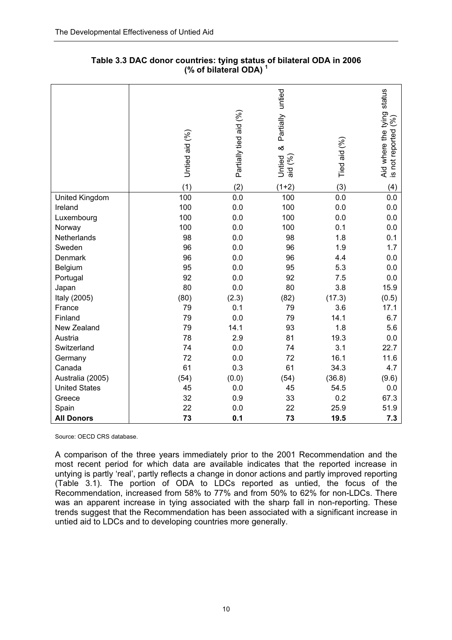|                      | Untied aid (%) | Partially tied aid (%) | untied<br>Partially<br>ಹ<br>Untied<br>$\mathcal{E}$<br>aid | Tied aid (%) | status<br>Aid where the tying<br>ંજી<br>is not reported |
|----------------------|----------------|------------------------|------------------------------------------------------------|--------------|---------------------------------------------------------|
|                      | (1)            | (2)                    | $(1+2)$                                                    | (3)          | (4)                                                     |
| United Kingdom       | 100            | 0.0                    | 100                                                        | 0.0          | 0.0                                                     |
| Ireland              | 100            | 0.0                    | 100                                                        | 0.0          | 0.0                                                     |
| Luxembourg           | 100            | 0.0                    | 100                                                        | 0.0          | 0.0                                                     |
| Norway               | 100            | 0.0                    | 100                                                        | 0.1          | 0.0                                                     |
| Netherlands          | 98             | 0.0                    | 98                                                         | 1.8          | 0.1                                                     |
| Sweden               | 96             | 0.0                    | 96                                                         | 1.9          | 1.7                                                     |
| Denmark              | 96             | 0.0                    | 96                                                         | 4.4          | 0.0                                                     |
| Belgium              | 95             | 0.0                    | 95                                                         | 5.3          | 0.0                                                     |
| Portugal             | 92             | 0.0                    | 92                                                         | 7.5          | 0.0                                                     |
| Japan                | 80             | 0.0                    | 80                                                         | 3.8          | 15.9                                                    |
| Italy (2005)         | (80)           | (2.3)                  | (82)                                                       | (17.3)       | (0.5)                                                   |
| France               | 79             | 0.1                    | 79                                                         | 3.6          | 17.1                                                    |
| Finland              | 79             | 0.0                    | 79                                                         | 14.1         | 6.7                                                     |
| New Zealand          | 79             | 14.1                   | 93                                                         | 1.8          | 5.6                                                     |
| Austria              | 78             | 2.9                    | 81                                                         | 19.3         | 0.0                                                     |
| Switzerland          | 74             | 0.0                    | 74                                                         | 3.1          | 22.7                                                    |
| Germany              | 72             | 0.0                    | 72                                                         | 16.1         | 11.6                                                    |
| Canada               | 61             | 0.3                    | 61                                                         | 34.3         | 4.7                                                     |
| Australia (2005)     | (54)           | (0.0)                  | (54)                                                       | (36.8)       | (9.6)                                                   |
| <b>United States</b> | 45             | 0.0                    | 45                                                         | 54.5         | 0.0                                                     |
| Greece               | 32             | 0.9                    | 33                                                         | 0.2          | 67.3                                                    |
| Spain                | 22             | 0.0                    | 22                                                         | 25.9         | 51.9                                                    |
| <b>All Donors</b>    | 73             | 0.1                    | 73                                                         | 19.5         | 7.3                                                     |

| Table 3.3 DAC donor countries: tying status of bilateral ODA in 2006 |
|----------------------------------------------------------------------|
| (% of bilateral ODA) $1$                                             |

Source: OECD CRS database.

A comparison of the three years immediately prior to the 2001 Recommendation and the most recent period for which data are available indicates that the reported increase in untying is partly 'real', partly reflects a change in donor actions and partly improved reporting (Table 3.1). The portion of ODA to LDCs reported as untied, the focus of the Recommendation, increased from 58% to 77% and from 50% to 62% for non-LDCs. There was an apparent increase in tying associated with the sharp fall in non-reporting. These trends suggest that the Recommendation has been associated with a significant increase in untied aid to LDCs and to developing countries more generally.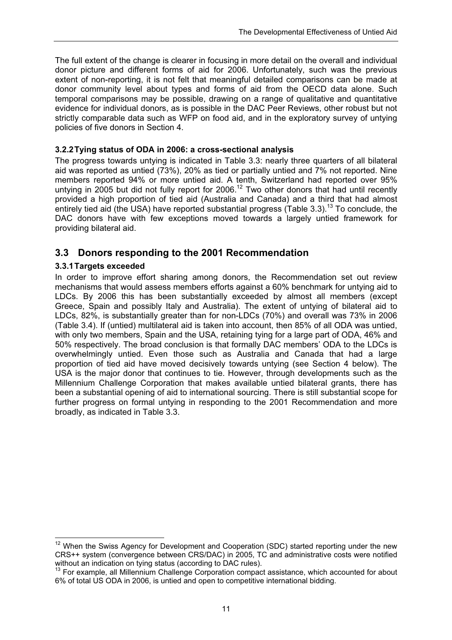The full extent of the change is clearer in focusing in more detail on the overall and individual donor picture and different forms of aid for 2006. Unfortunately, such was the previous extent of non-reporting, it is not felt that meaningful detailed comparisons can be made at donor community level about types and forms of aid from the OECD data alone. Such temporal comparisons may be possible, drawing on a range of qualitative and quantitative evidence for individual donors, as is possible in the DAC Peer Reviews, other robust but not strictly comparable data such as WFP on food aid, and in the exploratory survey of untying policies of five donors in Section 4.

#### **3.2.2 Tying status of ODA in 2006: a cross-sectional analysis**

The progress towards untying is indicated in Table 3.3: nearly three quarters of all bilateral aid was reported as untied (73%), 20% as tied or partially untied and 7% not reported. Nine members reported 94% or more untied aid. A tenth, Switzerland had reported over 95% untying in 2005 but did not fully report for 2006.<sup>12</sup> Two other donors that had until recently provided a high proportion of tied aid (Australia and Canada) and a third that had almost entirely tied aid (the USA) have reported substantial progress (Table 3.3).<sup>13</sup> To conclude, the DAC donors have with few exceptions moved towards a largely untied framework for providing bilateral aid.

### **3.3 Donors responding to the 2001 Recommendation**

#### **3.3.1 Targets exceeded**

In order to improve effort sharing among donors, the Recommendation set out review mechanisms that would assess members efforts against a 60% benchmark for untying aid to LDCs. By 2006 this has been substantially exceeded by almost all members (except Greece, Spain and possibly Italy and Australia). The extent of untying of bilateral aid to LDCs, 82%, is substantially greater than for non-LDCs (70%) and overall was 73% in 2006 (Table 3.4). If (untied) multilateral aid is taken into account, then 85% of all ODA was untied, with only two members, Spain and the USA, retaining tying for a large part of ODA, 46% and 50% respectively. The broad conclusion is that formally DAC members' ODA to the LDCs is overwhelmingly untied. Even those such as Australia and Canada that had a large proportion of tied aid have moved decisively towards untying (see Section 4 below). The USA is the major donor that continues to tie. However, through developments such as the Millennium Challenge Corporation that makes available untied bilateral grants, there has been a substantial opening of aid to international sourcing. There is still substantial scope for further progress on formal untying in responding to the 2001 Recommendation and more broadly, as indicated in Table 3.3.

 $\overline{\phantom{a}}$  $12$  When the Swiss Agency for Development and Cooperation (SDC) started reporting under the new CRS++ system (convergence between CRS/DAC) in 2005, TC and administrative costs were notified without an indication on tying status (according to DAC rules).

<sup>&</sup>lt;sup>13</sup> For example, all Millennium Challenge Corporation compact assistance, which accounted for about 6% of total US ODA in 2006, is untied and open to competitive international bidding.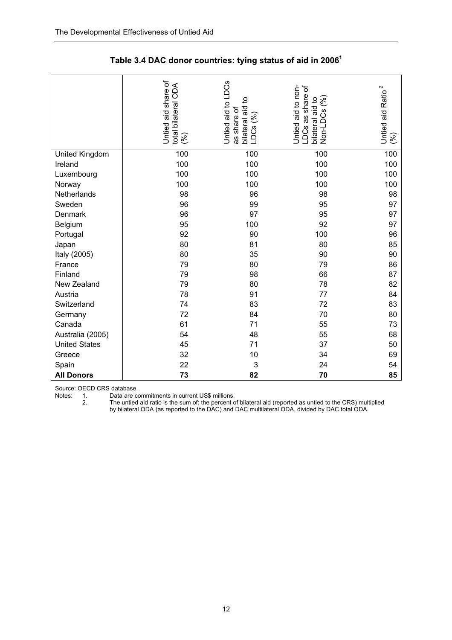|                      | Untied aid share of<br>total bilateral ODA<br>(%) | Untied aid to LDCs<br>bilateral aid to<br>LDCs (%)<br>as share of | Untied aid to non-<br>$\overleftarrow{\mathrm{o}}$<br>LDCs as share<br>Non-LDCs (%)<br>bilateral aid to | 2<br>Untied aid Ratio<br>$\mathcal{S}$ |
|----------------------|---------------------------------------------------|-------------------------------------------------------------------|---------------------------------------------------------------------------------------------------------|----------------------------------------|
| United Kingdom       | 100                                               | 100                                                               | 100                                                                                                     | 100                                    |
| Ireland              | 100                                               | 100                                                               | 100                                                                                                     | 100                                    |
| Luxembourg           | 100                                               | 100                                                               | 100                                                                                                     | 100                                    |
| Norway               | 100                                               | 100                                                               | 100                                                                                                     | 100                                    |
| Netherlands          | 98                                                | 96                                                                | 98                                                                                                      | 98                                     |
| Sweden               | 96                                                | 99                                                                | 95                                                                                                      | 97                                     |
| Denmark              | 96                                                | 97                                                                | 95                                                                                                      | 97                                     |
| Belgium              | 95                                                | 100                                                               | 92                                                                                                      | 97                                     |
| Portugal             | 92                                                | 90                                                                | 100                                                                                                     | 96                                     |
| Japan                | 80                                                | 81                                                                | 80                                                                                                      | 85                                     |
| Italy (2005)         | 80                                                | 35                                                                | 90                                                                                                      | 90                                     |
| France               | 79                                                | 80                                                                | 79                                                                                                      | 86                                     |
| Finland              | 79                                                | 98                                                                | 66                                                                                                      | 87                                     |
| New Zealand          | 79                                                | 80                                                                | 78                                                                                                      | 82                                     |
| Austria              | 78                                                | 91                                                                | 77                                                                                                      | 84                                     |
| Switzerland          | 74                                                | 83                                                                | 72                                                                                                      | 83                                     |
| Germany              | 72                                                | 84                                                                | 70                                                                                                      | 80                                     |
| Canada               | 61                                                | 71                                                                | 55                                                                                                      | 73                                     |
| Australia (2005)     | 54                                                | 48                                                                | 55                                                                                                      | 68                                     |
| <b>United States</b> | 45                                                | 71                                                                | 37                                                                                                      | 50                                     |
| Greece               | 32                                                | 10                                                                | 34                                                                                                      | 69                                     |
| Spain                | 22                                                | 3                                                                 | 24                                                                                                      | 54                                     |
| <b>All Donors</b>    | 73                                                | 82                                                                | 70                                                                                                      | 85                                     |

| Table 3.4 DAC donor countries: tying status of aid in 2006 $^1$ |  |  |  |
|-----------------------------------------------------------------|--|--|--|
|-----------------------------------------------------------------|--|--|--|

Source: OECD CRS database.<br>Notes: 1. Data are co.<br>2. The untied

Notes: 1. Data are commitments in current US\$ millions.

2. The untied aid ratio is the sum of: the percent of bilateral aid (reported as untied to the CRS) multiplied by bilateral ODA (as reported to the DAC) and DAC multilateral ODA, divided by DAC total ODA.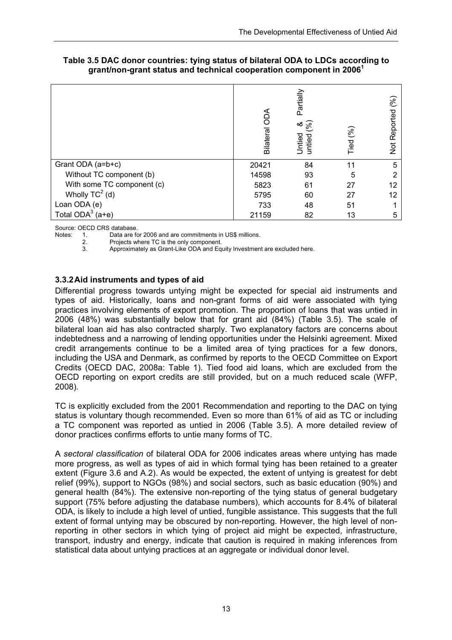|                            | A<br>OO<br>Bilateral | Partially<br>$\approx$<br>∞ర<br><b>Untied</b><br>untied | Tied (%) | શ્રિ<br>Reported<br>$\frac{1}{2}$ |
|----------------------------|----------------------|---------------------------------------------------------|----------|-----------------------------------|
| Grant ODA (a=b+c)          | 20421                | 84                                                      | 11       | 5                                 |
| Without TC component (b)   | 14598                | 93                                                      | 5        | 2                                 |
| With some TC component (c) | 5823                 | 61                                                      | 27       | 12                                |
| Wholly $TC^2$ (d)          | 5795                 | 60                                                      | 27       | 12                                |
| Loan ODA (e)               | 733                  | 48                                                      | 51       |                                   |
| Total $ODA^3$ (a+e)        | 21159                | 82                                                      | 13       | 5                                 |

#### **Table 3.5 DAC donor countries: tying status of bilateral ODA to LDCs according to grant/non-grant status and technical cooperation component in 2006<sup>1</sup>**

Source: OECD CRS database.<br>Notes: 1. Data are fo

1. Data are for 2006 and are commitments in US\$ millions.<br>2. Projects where TC is the only component

Projects where TC is the only component.

3. Approximately as Grant-Like ODA and Equity Investment are excluded here.

#### **3.3.2 Aid instruments and types of aid**

Differential progress towards untying might be expected for special aid instruments and types of aid. Historically, loans and non-grant forms of aid were associated with tying practices involving elements of export promotion. The proportion of loans that was untied in 2006 (48%) was substantially below that for grant aid (84%) (Table 3.5). The scale of bilateral loan aid has also contracted sharply. Two explanatory factors are concerns about indebtedness and a narrowing of lending opportunities under the Helsinki agreement. Mixed credit arrangements continue to be a limited area of tying practices for a few donors, including the USA and Denmark, as confirmed by reports to the OECD Committee on Export Credits (OECD DAC, 2008a: Table 1). Tied food aid loans, which are excluded from the OECD reporting on export credits are still provided, but on a much reduced scale (WFP, 2008).

TC is explicitly excluded from the 2001 Recommendation and reporting to the DAC on tying status is voluntary though recommended. Even so more than 61% of aid as TC or including a TC component was reported as untied in 2006 (Table 3.5). A more detailed review of donor practices confirms efforts to untie many forms of TC.

A *sectoral classification* of bilateral ODA for 2006 indicates areas where untying has made more progress, as well as types of aid in which formal tying has been retained to a greater extent (Figure 3.6 and A.2). As would be expected, the extent of untying is greatest for debt relief (99%), support to NGOs (98%) and social sectors, such as basic education (90%) and general health (84%). The extensive non-reporting of the tying status of general budgetary support (75% before adjusting the database numbers), which accounts for 8.4% of bilateral ODA, is likely to include a high level of untied, fungible assistance. This suggests that the full extent of formal untying may be obscured by non-reporting. However, the high level of nonreporting in other sectors in which tying of project aid might be expected, infrastructure, transport, industry and energy, indicate that caution is required in making inferences from statistical data about untying practices at an aggregate or individual donor level.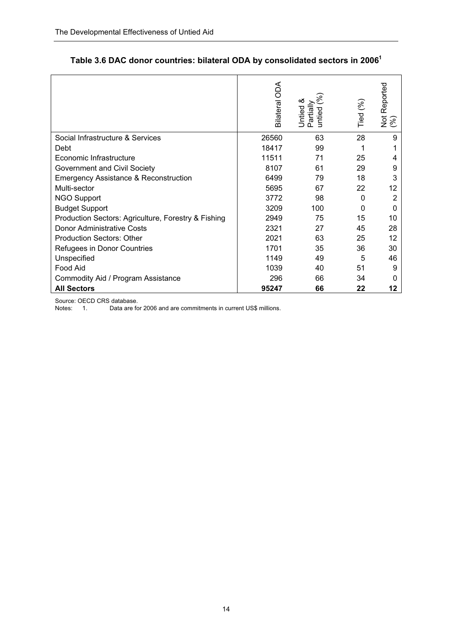|                                                     | Bilateral ODA | య<br>Untied 8<br>Partially<br>ntied | Tied (%) | Not Reported<br>(%) |
|-----------------------------------------------------|---------------|-------------------------------------|----------|---------------------|
| Social Infrastructure & Services                    | 26560         | 63                                  | 28       | 9                   |
| Debt                                                | 18417         | 99                                  |          |                     |
| Economic Infrastructure                             | 11511         | 71                                  | 25       | 4                   |
| Government and Civil Society                        | 8107          | 61                                  | 29       | 9                   |
| <b>Emergency Assistance &amp; Reconstruction</b>    | 6499          | 79                                  | 18       | 3                   |
| Multi-sector                                        | 5695          | 67                                  | 22       | 12                  |
| <b>NGO Support</b>                                  | 3772          | 98                                  | 0        | 2                   |
| <b>Budget Support</b>                               | 3209          | 100                                 | $\Omega$ | 0                   |
| Production Sectors: Agriculture, Forestry & Fishing | 2949          | 75                                  | 15       | 10                  |
| <b>Donor Administrative Costs</b>                   | 2321          | 27                                  | 45       | 28                  |
| <b>Production Sectors: Other</b>                    | 2021          | 63                                  | 25       | 12                  |
| Refugees in Donor Countries                         | 1701          | 35                                  | 36       | 30                  |
| Unspecified                                         | 1149          | 49                                  | 5        | 46                  |
| Food Aid                                            | 1039          | 40                                  | 51       | 9                   |
| Commodity Aid / Program Assistance                  | 296           | 66                                  | 34       |                     |
| <b>All Sectors</b>                                  | 95247         | 66                                  | 22       | 12                  |

# **Table 3.6 DAC donor countries: bilateral ODA by consolidated sectors in 20061**

Source: OECD CRS database.<br>Notes: 1. Data are fo Data are for 2006 and are commitments in current US\$ millions.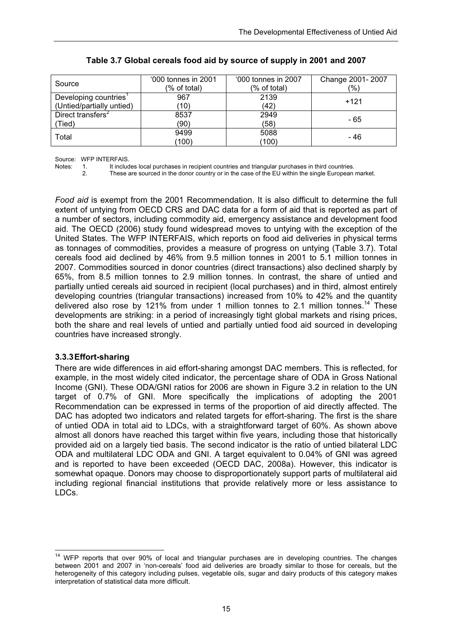| Source                        | '000 tonnes in 2001<br>(% of total) | '000 tonnes in 2007<br>(% of total) | Change 2001-2007<br>$\frac{1}{2}$ |
|-------------------------------|-------------------------------------|-------------------------------------|-----------------------------------|
| Developing countries          | 967                                 | 2139                                | $+121$                            |
| (Untied/partially untied)     | (10)                                | (42)                                |                                   |
| Direct transfers <sup>2</sup> | 8537                                | 2949                                | - 65                              |
| (Tied)                        | (90)                                | (58)                                |                                   |
| Total                         | 9499                                | 5088                                | - 46                              |
|                               | (100)                               | (100)                               |                                   |

#### **Table 3.7 Global cereals food aid by source of supply in 2001 and 2007**

Source: WFP INTERFAIS.

Notes: 1. It includes local purchases in recipient countries and triangular purchases in third countries.<br>2. These are sourced in the donor country or in the case of the EU within the single European.

2. These are sourced in the donor country or in the case of the EU within the single European market.

*Food aid* is exempt from the 2001 Recommendation. It is also difficult to determine the full extent of untying from OECD CRS and DAC data for a form of aid that is reported as part of a number of sectors, including commodity aid, emergency assistance and development food aid. The OECD (2006) study found widespread moves to untying with the exception of the United States. The WFP INTERFAIS, which reports on food aid deliveries in physical terms as tonnages of commodities, provides a measure of progress on untying (Table 3.7). Total cereals food aid declined by 46% from 9.5 million tonnes in 2001 to 5.1 million tonnes in 2007. Commodities sourced in donor countries (direct transactions) also declined sharply by 65%, from 8.5 million tonnes to 2.9 million tonnes. In contrast, the share of untied and partially untied cereals aid sourced in recipient (local purchases) and in third, almost entirely developing countries (triangular transactions) increased from 10% to 42% and the quantity delivered also rose by 121% from under 1 million tonnes to 2.1 million tonnes.<sup>14</sup> These developments are striking: in a period of increasingly tight global markets and rising prices, both the share and real levels of untied and partially untied food aid sourced in developing countries have increased strongly.

### **3.3.3 Effort-sharing**

There are wide differences in aid effort-sharing amongst DAC members. This is reflected, for example, in the most widely cited indicator, the percentage share of ODA in Gross National Income (GNI). These ODA/GNI ratios for 2006 are shown in Figure 3.2 in relation to the UN target of 0.7% of GNI. More specifically the implications of adopting the 2001 Recommendation can be expressed in terms of the proportion of aid directly affected. The DAC has adopted two indicators and related targets for effort-sharing. The first is the share of untied ODA in total aid to LDCs, with a straightforward target of 60%. As shown above almost all donors have reached this target within five years, including those that historically provided aid on a largely tied basis. The second indicator is the ratio of untied bilateral LDC ODA and multilateral LDC ODA and GNI. A target equivalent to 0.04% of GNI was agreed and is reported to have been exceeded (OECD DAC, 2008a). However, this indicator is somewhat opaque. Donors may choose to disproportionately support parts of multilateral aid including regional financial institutions that provide relatively more or less assistance to LDCs.

 <sup>14</sup> WFP reports that over 90% of local and triangular purchases are in developing countries. The changes between 2001 and 2007 in 'non-cereals' food aid deliveries are broadly similar to those for cereals, but the heterogeneity of this category including pulses, vegetable oils, sugar and dairy products of this category makes interpretation of statistical data more difficult.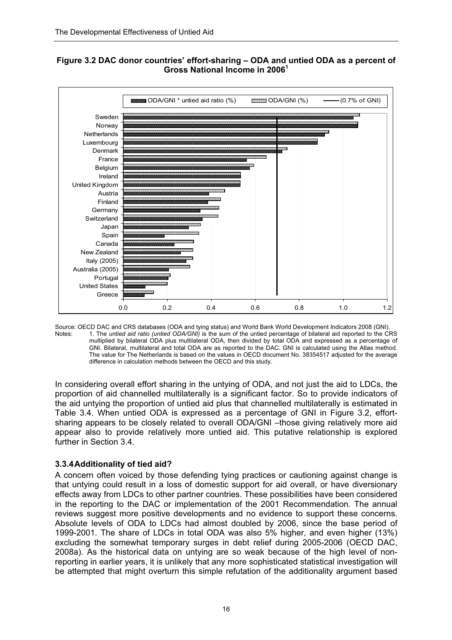

#### **Figure 3.2 DAC donor countries' effort-sharing – ODA and untied ODA as a percent of Gross National Income in 2006<sup>1</sup>**

Source: OECD DAC and CRS databases (ODA and tying status) and World Bank World Development Indicators 2008 (GNI). Notes: 1. The *untied aid ratio (untied ODA/GNI)* is the sum of the untied percentage of bilateral aid reported to the CRS multiplied by bilateral ODA plus multilateral ODA, then divided by total ODA and expressed as a percentage of GNI. Bilateral, multilateral and total ODA are as reported to the DAC. GNI is calculated using the Atlas method. The value for The Netherlands is based on the values in OECD document No. 38354517 adjusted for the average difference in calculation methods between the OECD and this study.

In considering overall effort sharing in the untying of ODA, and not just the aid to LDCs, the proportion of aid channelled multilaterally is a significant factor. So to provide indicators of the aid untying the proportion of untied aid plus that channelled multilaterally is estimated in Table 3.4. When untied ODA is expressed as a percentage of GNI in Figure 3.2, effortsharing appears to be closely related to overall ODA/GNI –those giving relatively more aid appear also to provide relatively more untied aid. This putative relationship is explored further in Section 3.4.

### **3.3.4 Additionality of tied aid?**

A concern often voiced by those defending tying practices or cautioning against change is that untying could result in a loss of domestic support for aid overall, or have diversionary effects away from LDCs to other partner countries. These possibilities have been considered in the reporting to the DAC or implementation of the 2001 Recommendation. The annual reviews suggest more positive developments and no evidence to support these concerns. Absolute levels of ODA to LDCs had almost doubled by 2006, since the base period of 1999-2001. The share of LDCs in total ODA was also 5% higher, and even higher (13%) excluding the somewhat temporary surges in debt relief during 2005-2006 (OECD DAC, 2008a). As the historical data on untying are so weak because of the high level of nonreporting in earlier years, it is unlikely that any more sophisticated statistical investigation will be attempted that might overturn this simple refutation of the additionality argument based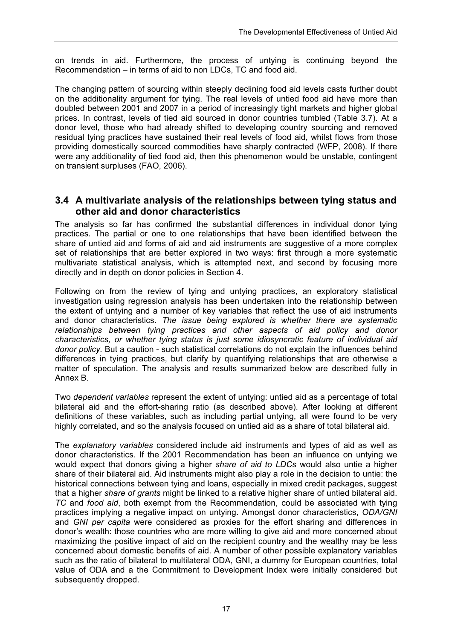on trends in aid. Furthermore, the process of untying is continuing beyond the Recommendation – in terms of aid to non LDCs, TC and food aid.

The changing pattern of sourcing within steeply declining food aid levels casts further doubt on the additionality argument for tying. The real levels of untied food aid have more than doubled between 2001 and 2007 in a period of increasingly tight markets and higher global prices. In contrast, levels of tied aid sourced in donor countries tumbled (Table 3.7). At a donor level, those who had already shifted to developing country sourcing and removed residual tying practices have sustained their real levels of food aid, whilst flows from those providing domestically sourced commodities have sharply contracted (WFP, 2008). If there were any additionality of tied food aid, then this phenomenon would be unstable, contingent on transient surpluses (FAO, 2006).

#### **3.4 A multivariate analysis of the relationships between tying status and other aid and donor characteristics**

The analysis so far has confirmed the substantial differences in individual donor tying practices. The partial or one to one relationships that have been identified between the share of untied aid and forms of aid and aid instruments are suggestive of a more complex set of relationships that are better explored in two ways: first through a more systematic multivariate statistical analysis, which is attempted next, and second by focusing more directly and in depth on donor policies in Section 4.

Following on from the review of tying and untying practices, an exploratory statistical investigation using regression analysis has been undertaken into the relationship between the extent of untying and a number of key variables that reflect the use of aid instruments and donor characteristics. *The issue being explored is whether there are systematic relationships between tying practices and other aspects of aid policy and donor characteristics, or whether tying status is just some idiosyncratic feature of individual aid donor policy.* But a caution - such statistical correlations do not explain the influences behind differences in tying practices, but clarify by quantifying relationships that are otherwise a matter of speculation. The analysis and results summarized below are described fully in Annex B.

Two *dependent variables* represent the extent of untying: untied aid as a percentage of total bilateral aid and the effort-sharing ratio (as described above). After looking at different definitions of these variables, such as including partial untying, all were found to be very highly correlated, and so the analysis focused on untied aid as a share of total bilateral aid.

The *explanatory variables* considered include aid instruments and types of aid as well as donor characteristics. If the 2001 Recommendation has been an influence on untying we would expect that donors giving a higher *share of aid to LDCs* would also untie a higher share of their bilateral aid. Aid instruments might also play a role in the decision to untie: the historical connections between tying and loans, especially in mixed credit packages, suggest that a higher *share of grants* might be linked to a relative higher share of untied bilateral aid. *TC* and *food aid*, both exempt from the Recommendation, could be associated with tying practices implying a negative impact on untying. Amongst donor characteristics, *ODA/GNI* and *GNI per capita* were considered as proxies for the effort sharing and differences in donor's wealth: those countries who are more willing to give aid and more concerned about maximizing the positive impact of aid on the recipient country and the wealthy may be less concerned about domestic benefits of aid. A number of other possible explanatory variables such as the ratio of bilateral to multilateral ODA, GNI, a dummy for European countries, total value of ODA and a the Commitment to Development Index were initially considered but subsequently dropped.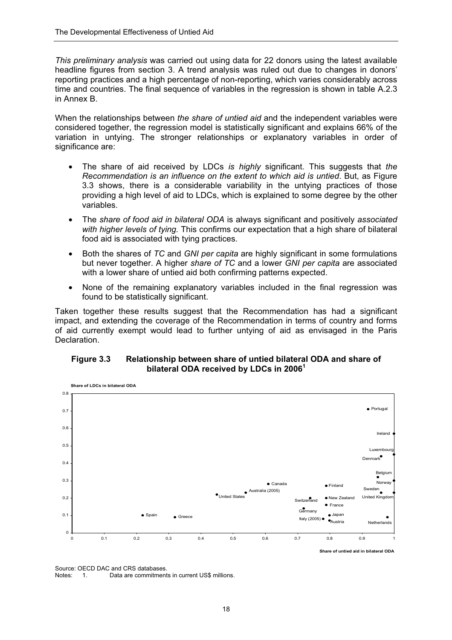*This preliminary analysis* was carried out using data for 22 donors using the latest available headline figures from section 3. A trend analysis was ruled out due to changes in donors' reporting practices and a high percentage of non-reporting, which varies considerably across time and countries. The final sequence of variables in the regression is shown in table A.2.3 in Annex B.

When the relationships between *the share of untied aid* and the independent variables were considered together, the regression model is statistically significant and explains 66% of the variation in untying. The stronger relationships or explanatory variables in order of significance are:

- The share of aid received by LDCs *is highly* significant. This suggests that *the Recommendation is an influence on the extent to which aid is untied*. But, as Figure 3.3 shows, there is a considerable variability in the untying practices of those providing a high level of aid to LDCs, which is explained to some degree by the other variables.
- The *share of food aid in bilateral ODA* is always significant and positively *associated with higher levels of tying.* This confirms our expectation that a high share of bilateral food aid is associated with tying practices.
- Both the shares of *TC* and *GNI per capita* are highly significant in some formulations but never together. A higher *share of TC* and a lower *GNI per capita* are associated with a lower share of untied aid both confirming patterns expected.
- None of the remaining explanatory variables included in the final regression was found to be statistically significant.

Taken together these results suggest that the Recommendation has had a significant impact, and extending the coverage of the Recommendation in terms of country and forms of aid currently exempt would lead to further untying of aid as envisaged in the Paris Declaration.

#### **Figure 3.3 Relationship between share of untied bilateral ODA and share of bilateral ODA received by LDCs in 2006<sup>1</sup>**



Source: OECD DAC and CRS databases.

Notes: 1. Data are commitments in current US\$ millions.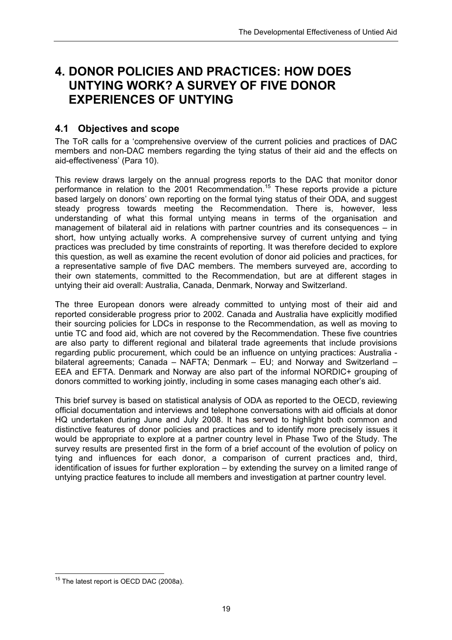# **4. DONOR POLICIES AND PRACTICES: HOW DOES UNTYING WORK? A SURVEY OF FIVE DONOR EXPERIENCES OF UNTYING**

### **4.1 Objectives and scope**

The ToR calls for a 'comprehensive overview of the current policies and practices of DAC members and non-DAC members regarding the tying status of their aid and the effects on aid-effectiveness' (Para 10).

This review draws largely on the annual progress reports to the DAC that monitor donor performance in relation to the 2001 Recommendation.15 These reports provide a picture based largely on donors' own reporting on the formal tying status of their ODA, and suggest steady progress towards meeting the Recommendation. There is, however, less understanding of what this formal untying means in terms of the organisation and management of bilateral aid in relations with partner countries and its consequences – in short, how untying actually works. A comprehensive survey of current untying and tying practices was precluded by time constraints of reporting. It was therefore decided to explore this question, as well as examine the recent evolution of donor aid policies and practices, for a representative sample of five DAC members. The members surveyed are, according to their own statements, committed to the Recommendation, but are at different stages in untying their aid overall: Australia, Canada, Denmark, Norway and Switzerland.

The three European donors were already committed to untying most of their aid and reported considerable progress prior to 2002. Canada and Australia have explicitly modified their sourcing policies for LDCs in response to the Recommendation, as well as moving to untie TC and food aid, which are not covered by the Recommendation. These five countries are also party to different regional and bilateral trade agreements that include provisions regarding public procurement, which could be an influence on untying practices: Australia bilateral agreements; Canada – NAFTA; Denmark – EU; and Norway and Switzerland – EEA and EFTA. Denmark and Norway are also part of the informal NORDIC+ grouping of donors committed to working jointly, including in some cases managing each other's aid.

This brief survey is based on statistical analysis of ODA as reported to the OECD, reviewing official documentation and interviews and telephone conversations with aid officials at donor HQ undertaken during June and July 2008. It has served to highlight both common and distinctive features of donor policies and practices and to identify more precisely issues it would be appropriate to explore at a partner country level in Phase Two of the Study. The survey results are presented first in the form of a brief account of the evolution of policy on tying and influences for each donor, a comparison of current practices and, third, identification of issues for further exploration – by extending the survey on a limited range of untying practice features to include all members and investigation at partner country level.

 $\overline{1}$  $15$  The latest report is OECD DAC (2008a).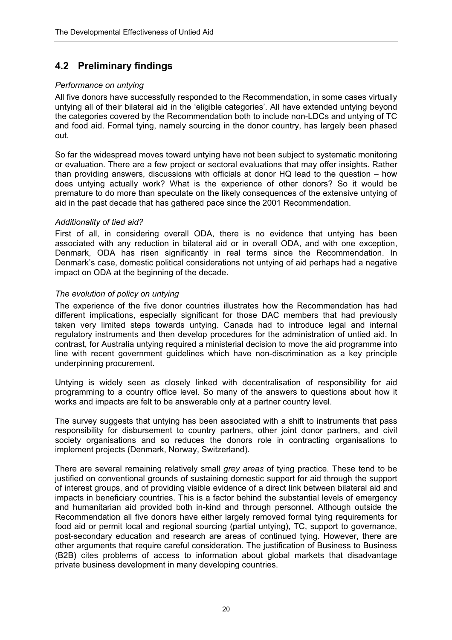# **4.2 Preliminary findings**

#### *Performance on untying*

All five donors have successfully responded to the Recommendation, in some cases virtually untying all of their bilateral aid in the 'eligible categories'. All have extended untying beyond the categories covered by the Recommendation both to include non-LDCs and untying of TC and food aid. Formal tying, namely sourcing in the donor country, has largely been phased out.

So far the widespread moves toward untying have not been subject to systematic monitoring or evaluation. There are a few project or sectoral evaluations that may offer insights. Rather than providing answers, discussions with officials at donor HQ lead to the question – how does untying actually work? What is the experience of other donors? So it would be premature to do more than speculate on the likely consequences of the extensive untying of aid in the past decade that has gathered pace since the 2001 Recommendation.

#### *Additionality of tied aid?*

First of all, in considering overall ODA, there is no evidence that untying has been associated with any reduction in bilateral aid or in overall ODA, and with one exception, Denmark, ODA has risen significantly in real terms since the Recommendation. In Denmark's case, domestic political considerations not untying of aid perhaps had a negative impact on ODA at the beginning of the decade.

#### *The evolution of policy on untying*

The experience of the five donor countries illustrates how the Recommendation has had different implications, especially significant for those DAC members that had previously taken very limited steps towards untying. Canada had to introduce legal and internal regulatory instruments and then develop procedures for the administration of untied aid. In contrast, for Australia untying required a ministerial decision to move the aid programme into line with recent government guidelines which have non-discrimination as a key principle underpinning procurement.

Untying is widely seen as closely linked with decentralisation of responsibility for aid programming to a country office level. So many of the answers to questions about how it works and impacts are felt to be answerable only at a partner country level.

The survey suggests that untying has been associated with a shift to instruments that pass responsibility for disbursement to country partners, other joint donor partners, and civil society organisations and so reduces the donors role in contracting organisations to implement projects (Denmark, Norway, Switzerland).

There are several remaining relatively small *grey areas* of tying practice. These tend to be justified on conventional grounds of sustaining domestic support for aid through the support of interest groups, and of providing visible evidence of a direct link between bilateral aid and impacts in beneficiary countries. This is a factor behind the substantial levels of emergency and humanitarian aid provided both in-kind and through personnel. Although outside the Recommendation all five donors have either largely removed formal tying requirements for food aid or permit local and regional sourcing (partial untying), TC, support to governance, post-secondary education and research are areas of continued tying. However, there are other arguments that require careful consideration. The justification of Business to Business (B2B) cites problems of access to information about global markets that disadvantage private business development in many developing countries.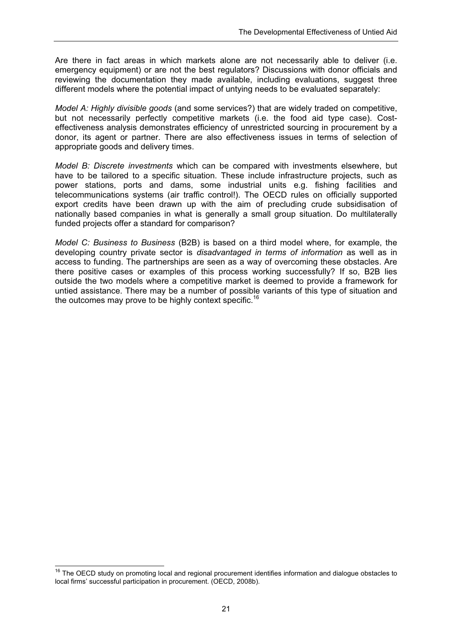Are there in fact areas in which markets alone are not necessarily able to deliver (i.e. emergency equipment) or are not the best regulators? Discussions with donor officials and reviewing the documentation they made available, including evaluations, suggest three different models where the potential impact of untying needs to be evaluated separately:

*Model A: Highly divisible goods* (and some services?) that are widely traded on competitive, but not necessarily perfectly competitive markets (i.e. the food aid type case). Costeffectiveness analysis demonstrates efficiency of unrestricted sourcing in procurement by a donor, its agent or partner. There are also effectiveness issues in terms of selection of appropriate goods and delivery times.

*Model B: Discrete investments* which can be compared with investments elsewhere, but have to be tailored to a specific situation. These include infrastructure projects, such as power stations, ports and dams, some industrial units e.g. fishing facilities and telecommunications systems (air traffic control!). The OECD rules on officially supported export credits have been drawn up with the aim of precluding crude subsidisation of nationally based companies in what is generally a small group situation. Do multilaterally funded projects offer a standard for comparison?

*Model C: Business to Business* (B2B) is based on a third model where, for example, the developing country private sector is *disadvantaged in terms of information* as well as in access to funding. The partnerships are seen as a way of overcoming these obstacles. Are there positive cases or examples of this process working successfully? If so, B2B lies outside the two models where a competitive market is deemed to provide a framework for untied assistance. There may be a number of possible variants of this type of situation and the outcomes may prove to be highly context specific.<sup>16</sup>

<sup>&</sup>lt;sup>16</sup> The OECD study on promoting local and regional procurement identifies information and dialogue obstacles to local firms' successful participation in procurement. (OECD, 2008b).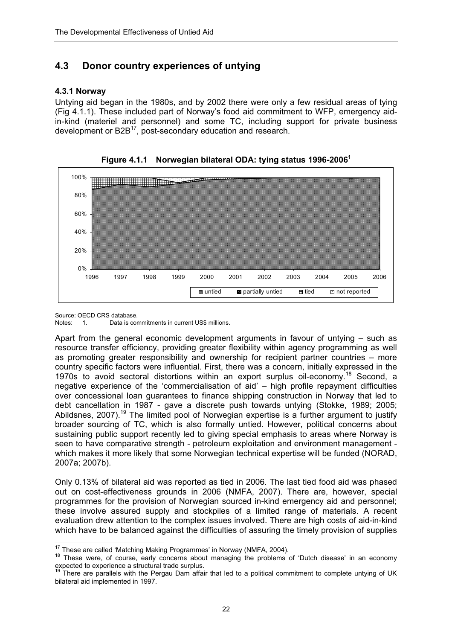## **4.3 Donor country experiences of untying**

#### **4.3.1 Norway**

Untying aid began in the 1980s, and by 2002 there were only a few residual areas of tying (Fig 4.1.1). These included part of Norway's food aid commitment to WFP, emergency aidin-kind (materiel and personnel) and some TC, including support for private business development or B2B<sup>17</sup>, post-secondary education and research.





Source: OECD CRS database.<br>Notes: 1 Data is cor

1. Data is commitments in current US\$ millions.

Apart from the general economic development arguments in favour of untying – such as resource transfer efficiency, providing greater flexibility within agency programming as well as promoting greater responsibility and ownership for recipient partner countries – more country specific factors were influential. First, there was a concern, initially expressed in the 1970s to avoid sectoral distortions within an export surplus oil-economy.<sup>18</sup> Second, a negative experience of the 'commercialisation of aid' – high profile repayment difficulties over concessional loan guarantees to finance shipping construction in Norway that led to debt cancellation in 1987 - gave a discrete push towards untying (Stokke, 1989; 2005; Abildsnes, 2007).<sup>19</sup> The limited pool of Norwegian expertise is a further argument to justify broader sourcing of TC, which is also formally untied. However, political concerns about sustaining public support recently led to giving special emphasis to areas where Norway is seen to have comparative strength - petroleum exploitation and environment management which makes it more likely that some Norwegian technical expertise will be funded (NORAD, 2007a; 2007b).

Only 0.13% of bilateral aid was reported as tied in 2006. The last tied food aid was phased out on cost-effectiveness grounds in 2006 (NMFA, 2007). There are, however, special programmes for the provision of Norwegian sourced in-kind emergency aid and personnel; these involve assured supply and stockpiles of a limited range of materials. A recent evaluation drew attention to the complex issues involved. There are high costs of aid-in-kind which have to be balanced against the difficulties of assuring the timely provision of supplies

<sup>&</sup>lt;sup>17</sup> These are called 'Matching Making Programmes' in Norway (NMFA, 2004).

<sup>&</sup>lt;sup>18</sup> These were, of course, early concerns about managing the problems of 'Dutch disease' in an economy expected to experience a structural trade surplus.

There are parallels with the Pergau Dam affair that led to a political commitment to complete untying of UK bilateral aid implemented in 1997.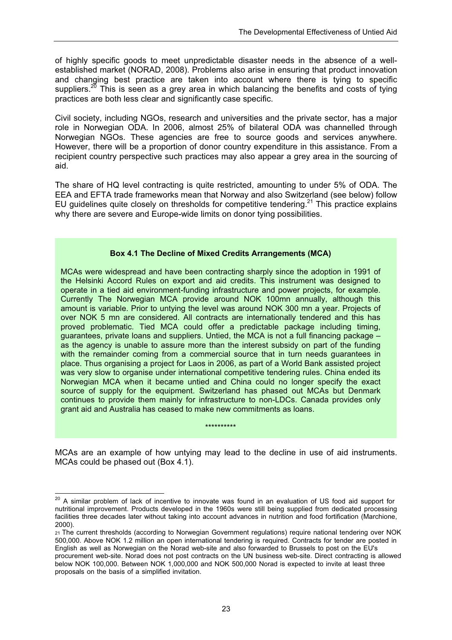of highly specific goods to meet unpredictable disaster needs in the absence of a wellestablished market (NORAD, 2008). Problems also arise in ensuring that product innovation and changing best practice are taken into account where there is tying to specific suppliers. $2^{\overline{0}}$  This is seen as a grey area in which balancing the benefits and costs of tying practices are both less clear and significantly case specific.

Civil society, including NGOs, research and universities and the private sector, has a major role in Norwegian ODA. In 2006, almost 25% of bilateral ODA was channelled through Norwegian NGOs. These agencies are free to source goods and services anywhere. However, there will be a proportion of donor country expenditure in this assistance. From a recipient country perspective such practices may also appear a grey area in the sourcing of aid.

The share of HQ level contracting is quite restricted, amounting to under 5% of ODA. The EEA and EFTA trade frameworks mean that Norway and also Switzerland (see below) follow EU guidelines quite closely on thresholds for competitive tendering.<sup>21</sup> This practice explains why there are severe and Europe-wide limits on donor tying possibilities.

#### **Box 4.1 The Decline of Mixed Credits Arrangements (MCA)**

MCAs were widespread and have been contracting sharply since the adoption in 1991 of the Helsinki Accord Rules on export and aid credits. This instrument was designed to operate in a tied aid environment-funding infrastructure and power projects, for example. Currently The Norwegian MCA provide around NOK 100mn annually, although this amount is variable. Prior to untying the level was around NOK 300 mn a year. Projects of over NOK 5 mn are considered. All contracts are internationally tendered and this has proved problematic. Tied MCA could offer a predictable package including timing, guarantees, private loans and suppliers. Untied, the MCA is not a full financing package – as the agency is unable to assure more than the interest subsidy on part of the funding with the remainder coming from a commercial source that in turn needs guarantees in place. Thus organising a project for Laos in 2006, as part of a World Bank assisted project was very slow to organise under international competitive tendering rules. China ended its Norwegian MCA when it became untied and China could no longer specify the exact source of supply for the equipment. Switzerland has phased out MCAs but Denmark continues to provide them mainly for infrastructure to non-LDCs. Canada provides only grant aid and Australia has ceased to make new commitments as loans.

MCAs are an example of how untying may lead to the decline in use of aid instruments. MCAs could be phased out (Box 4.1).

\*\*\*\*\*\*\*\*\*\*

 $\overline{a}$ 

<sup>&</sup>lt;sup>20</sup> A similar problem of lack of incentive to innovate was found in an evaluation of US food aid support for nutritional improvement. Products developed in the 1960s were still being supplied from dedicated processing facilities three decades later without taking into account advances in nutrition and food fortification (Marchione, 2000).

<sup>21</sup> The current thresholds (according to Norwegian Government regulations) require national tendering over NOK 500,000. Above NOK 1.2 million an open international tendering is required. Contracts for tender are posted in English as well as Norwegian on the Norad web-site and also forwarded to Brussels to post on the EU's procurement web-site. Norad does not post contracts on the UN business web-site. Direct contracting is allowed below NOK 100,000. Between NOK 1,000,000 and NOK 500,000 Norad is expected to invite at least three proposals on the basis of a simplified invitation.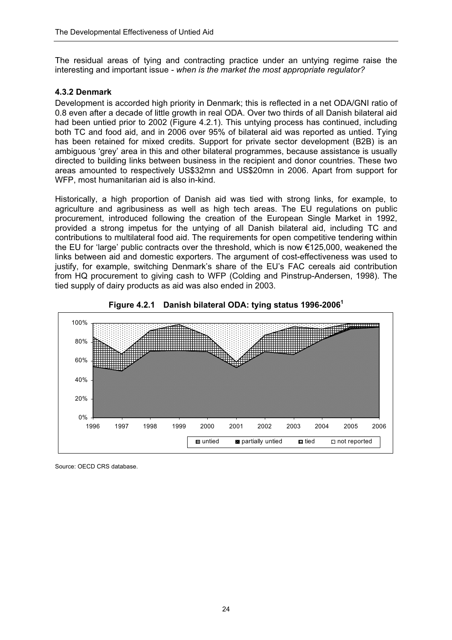The residual areas of tying and contracting practice under an untying regime raise the interesting and important issue *- when is the market the most appropriate regulator?*

#### **4.3.2 Denmark**

Development is accorded high priority in Denmark; this is reflected in a net ODA/GNI ratio of 0.8 even after a decade of little growth in real ODA. Over two thirds of all Danish bilateral aid had been untied prior to 2002 (Figure 4.2.1). This untying process has continued, including both TC and food aid, and in 2006 over 95% of bilateral aid was reported as untied. Tying has been retained for mixed credits. Support for private sector development (B2B) is an ambiguous 'grey' area in this and other bilateral programmes, because assistance is usually directed to building links between business in the recipient and donor countries. These two areas amounted to respectively US\$32mn and US\$20mn in 2006. Apart from support for WFP, most humanitarian aid is also in-kind.

Historically, a high proportion of Danish aid was tied with strong links, for example, to agriculture and agribusiness as well as high tech areas. The EU regulations on public procurement, introduced following the creation of the European Single Market in 1992, provided a strong impetus for the untying of all Danish bilateral aid, including TC and contributions to multilateral food aid. The requirements for open competitive tendering within the EU for 'large' public contracts over the threshold, which is now €125,000, weakened the links between aid and domestic exporters. The argument of cost-effectiveness was used to justify, for example, switching Denmark's share of the EU's FAC cereals aid contribution from HQ procurement to giving cash to WFP (Colding and Pinstrup-Andersen, 1998). The tied supply of dairy products as aid was also ended in 2003.





Source: OECD CRS database.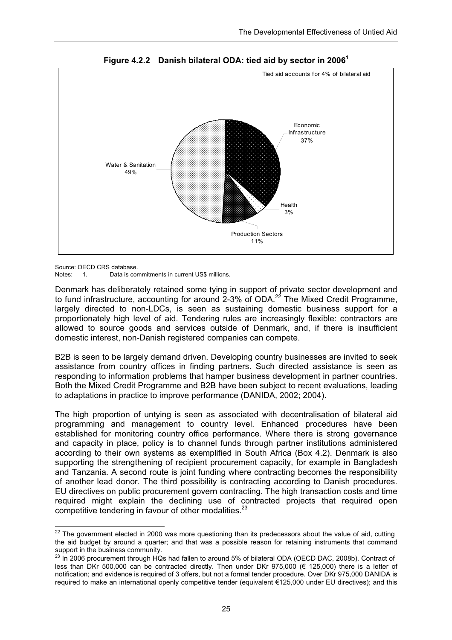

**Figure 4.2.2 Danish bilateral ODA: tied aid by sector in 20061**

Source: OECD CRS database.

Notes: 1. Data is commitments in current US\$ millions.

Denmark has deliberately retained some tying in support of private sector development and to fund infrastructure, accounting for around 2-3% of ODA.22 The Mixed Credit Programme, largely directed to non-LDCs, is seen as sustaining domestic business support for a proportionately high level of aid. Tendering rules are increasingly flexible: contractors are allowed to source goods and services outside of Denmark, and, if there is insufficient domestic interest, non-Danish registered companies can compete.

B2B is seen to be largely demand driven. Developing country businesses are invited to seek assistance from country offices in finding partners. Such directed assistance is seen as responding to information problems that hamper business development in partner countries. Both the Mixed Credit Programme and B2B have been subject to recent evaluations, leading to adaptations in practice to improve performance (DANIDA, 2002; 2004).

The high proportion of untying is seen as associated with decentralisation of bilateral aid programming and management to country level. Enhanced procedures have been established for monitoring country office performance. Where there is strong governance and capacity in place, policy is to channel funds through partner institutions administered according to their own systems as exemplified in South Africa (Box 4.2). Denmark is also supporting the strengthening of recipient procurement capacity, for example in Bangladesh and Tanzania. A second route is joint funding where contracting becomes the responsibility of another lead donor. The third possibility is contracting according to Danish procedures. EU directives on public procurement govern contracting. The high transaction costs and time required might explain the declining use of contracted projects that required open competitive tendering in favour of other modalities.<sup>23</sup>

 $\overline{a}$  $22$  The government elected in 2000 was more questioning than its predecessors about the value of aid, cutting the aid budget by around a quarter; and that was a possible reason for retaining instruments that command support in the business community.

<sup>&</sup>lt;sup>23</sup> In 2006 procurement through HQs had fallen to around 5% of bilateral ODA (OECD DAC, 2008b). Contract of less than DKr 500,000 can be contracted directly. Then under DKr 975,000 (€ 125,000) there is a letter of notification; and evidence is required of 3 offers, but not a formal tender procedure. Over DKr 975,000 DANIDA is required to make an international openly competitive tender (equivalent €125,000 under EU directives); and this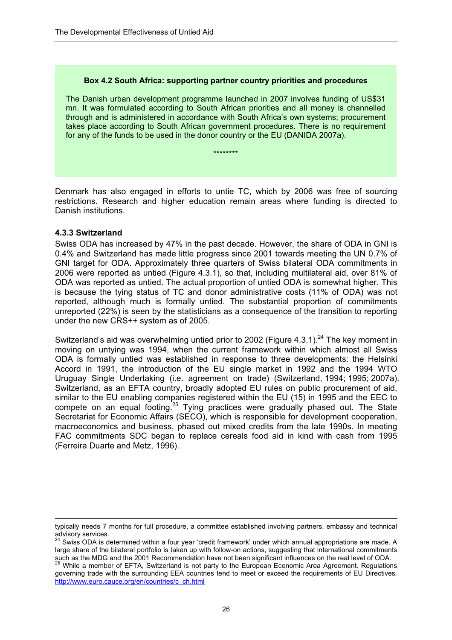#### **Box 4.2 South Africa: supporting partner country priorities and procedures**

The Danish urban development programme launched in 2007 involves funding of US\$31 mn. It was formulated according to South African priorities and all money is channelled through and is administered in accordance with South Africa's own systems; procurement takes place according to South African government procedures. There is no requirement for any of the funds to be used in the donor country or the EU (DANIDA 2007a).

\*\*\*\*\*\*\*\*

Denmark has also engaged in efforts to untie TC, which by 2006 was free of sourcing restrictions. Research and higher education remain areas where funding is directed to Danish institutions.

#### **4.3.3 Switzerland**

Swiss ODA has increased by 47% in the past decade. However, the share of ODA in GNI is 0.4% and Switzerland has made little progress since 2001 towards meeting the UN 0.7% of GNI target for ODA. Approximately three quarters of Swiss bilateral ODA commitments in 2006 were reported as untied (Figure 4.3.1), so that, including multilateral aid, over 81% of ODA was reported as untied. The actual proportion of untied ODA is somewhat higher. This is because the tying status of TC and donor administrative costs (11% of ODA) was not reported, although much is formally untied. The substantial proportion of commitments unreported (22%) is seen by the statisticians as a consequence of the transition to reporting under the new CRS++ system as of 2005.

Switzerland's aid was overwhelming untied prior to 2002 (Figure 4.3.1).<sup>24</sup> The key moment in moving on untying was 1994, when the current framework within which almost all Swiss ODA is formally untied was established in response to three developments: the Helsinki Accord in 1991, the introduction of the EU single market in 1992 and the 1994 WTO Uruguay Single Undertaking (i.e. agreement on trade) (Switzerland, 1994; 1995; 2007a). Switzerland, as an EFTA country, broadly adopted EU rules on public procurement of aid, similar to the EU enabling companies registered within the EU (15) in 1995 and the EEC to compete on an equal footing.<sup>25</sup> Tying practices were gradually phased out. The State Secretariat for Economic Affairs (SECO), which is responsible for development cooperation, macroeconomics and business, phased out mixed credits from the late 1990s. In meeting FAC commitments SDC began to replace cereals food aid in kind with cash from 1995 (Ferreira Duarte and Metz, 1996).

 $\overline{a}$ typically needs 7 months for full procedure, a committee established involving partners, embassy and technical advisory services.

<sup>24</sup> Swiss ODA is determined within a four year 'credit framework' under which annual appropriations are made. A large share of the bilateral portfolio is taken up with follow-on actions, suggesting that international commitments such as the MDG and the 2001 Recommendation have not been significant influences on the real level of ODA.<br><sup>25</sup> While a member of EFTA, Switzerland is not party to the European Economic Area Agreement. Regulations

governing trade with the surrounding EEA countries tend to meet or exceed the requirements of EU Directives*.* http://www.euro.cauce.org/en/countries/c\_ch.html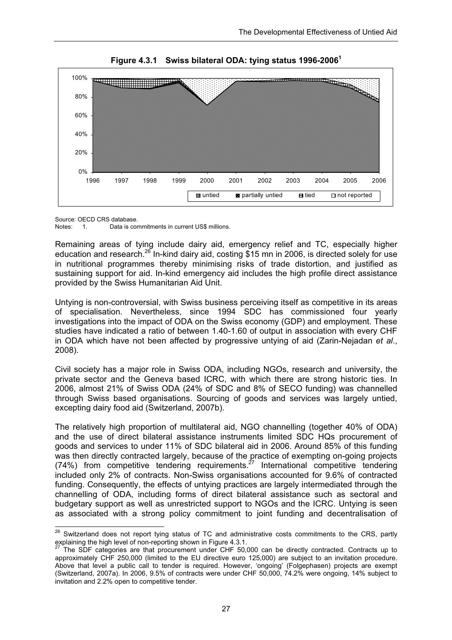

**Figure 4.3.1 Swiss bilateral ODA: tying status 1996-20061**

Source: OECD CRS database.<br>Notes: 1. Data is com 1. Data is commitments in current US\$ millions.

Remaining areas of tying include dairy aid, emergency relief and TC, especially higher education and research.<sup>26</sup> In-kind dairy aid, costing \$15 mn in 2006, is directed solely for use in nutritional programmes thereby minimising risks of trade distortion, and justified as sustaining support for aid. In-kind emergency aid includes the high profile direct assistance provided by the Swiss Humanitarian Aid Unit.

Untying is non-controversial, with Swiss business perceiving itself as competitive in its areas of specialisation. Nevertheless, since 1994 SDC has commissioned four yearly investigations into the impact of ODA on the Swiss economy (GDP) and employment. These studies have indicated a ratio of between 1.40-1.60 of output in association with every CHF in ODA which have not been affected by progressive untying of aid (Zarin-Nejadan *et al*., 2008).

Civil society has a major role in Swiss ODA, including NGOs, research and university, the private sector and the Geneva based ICRC, with which there are strong historic ties. In 2006, almost 21% of Swiss ODA (24% of SDC and 8% of SECO funding) was channelled through Swiss based organisations. Sourcing of goods and services was largely untied, excepting dairy food aid (Switzerland, 2007b).

The relatively high proportion of multilateral aid, NGO channelling (together 40% of ODA) and the use of direct bilateral assistance instruments limited SDC HQs procurement of goods and services to under 11% of SDC bilateral aid in 2006. Around 85% of this funding was then directly contracted largely, because of the practice of exempting on-going projects (74%) from competitive tendering requirements.<sup>27</sup> International competitive tendering included only 2% of contracts. Non-Swiss organisations accounted for 9.6% of contracted funding. Consequently, the effects of untying practices are largely intermediated through the channelling of ODA, including forms of direct bilateral assistance such as sectoral and budgetary support as well as unrestricted support to NGOs and the ICRC. Untying is seen as associated with a strong policy commitment to joint funding and decentralisation of

<sup>26</sup> <sup>26</sup> Switzerland does not report tying status of TC and administrative costs commitments to the CRS, partly explaining the high level of non-reporting shown in Figure 4.3.1.

The SDF categories are that procurement under CHF 50,000 can be directly contracted. Contracts up to approximately CHF 250,000 (limited to the EU directive euro 125,000) are subject to an invitation procedure. Above that level a public call to tender is required. However, 'ongoing' (Folgephasen) projects are exempt (Switzerland, 2007a). In 2006, 9.5% of contracts were under CHF 50,000, 74.2% were ongoing, 14% subject to invitation and 2.2% open to competitive tender.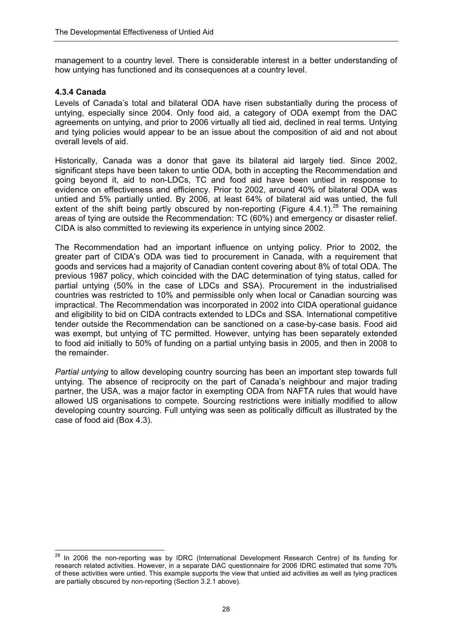management to a country level. There is considerable interest in a better understanding of how untying has functioned and its consequences at a country level.

#### **4.3.4 Canada**

Levels of Canada's total and bilateral ODA have risen substantially during the process of untying, especially since 2004. Only food aid, a category of ODA exempt from the DAC agreements on untying, and prior to 2006 virtually all tied aid, declined in real terms. Untying and tying policies would appear to be an issue about the composition of aid and not about overall levels of aid.

Historically, Canada was a donor that gave its bilateral aid largely tied. Since 2002, significant steps have been taken to untie ODA, both in accepting the Recommendation and going beyond it, aid to non-LDCs, TC and food aid have been untied in response to evidence on effectiveness and efficiency. Prior to 2002, around 40% of bilateral ODA was untied and 5% partially untied. By 2006, at least 64% of bilateral aid was untied, the full extent of the shift being partly obscured by non-reporting (Figure 4.4.1).<sup>28</sup> The remaining areas of tying are outside the Recommendation: TC (60%) and emergency or disaster relief. CIDA is also committed to reviewing its experience in untying since 2002.

The Recommendation had an important influence on untying policy. Prior to 2002, the greater part of CIDA's ODA was tied to procurement in Canada, with a requirement that goods and services had a majority of Canadian content covering about 8% of total ODA. The previous 1987 policy, which coincided with the DAC determination of tying status, called for partial untying (50% in the case of LDCs and SSA). Procurement in the industrialised countries was restricted to 10% and permissible only when local or Canadian sourcing was impractical. The Recommendation was incorporated in 2002 into CIDA operational guidance and eligibility to bid on CIDA contracts extended to LDCs and SSA. International competitive tender outside the Recommendation can be sanctioned on a case-by-case basis. Food aid was exempt, but untying of TC permitted. However, untying has been separately extended to food aid initially to 50% of funding on a partial untying basis in 2005, and then in 2008 to the remainder.

*Partial untying* to allow developing country sourcing has been an important step towards full untying. The absence of reciprocity on the part of Canada's neighbour and major trading partner, the USA, was a major factor in exempting ODA from NAFTA rules that would have allowed US organisations to compete. Sourcing restrictions were initially modified to allow developing country sourcing. Full untying was seen as politically difficult as illustrated by the case of food aid (Box 4.3).

 $\overline{a}$  $^{28}$  In 2006 the non-reporting was by IDRC (International Development Research Centre) of its funding for research related activities. However, in a separate DAC questionnaire for 2006 IDRC estimated that some 70% of these activities were untied. This example supports the view that untied aid activities as well as tying practices are partially obscured by non-reporting (Section 3.2.1 above).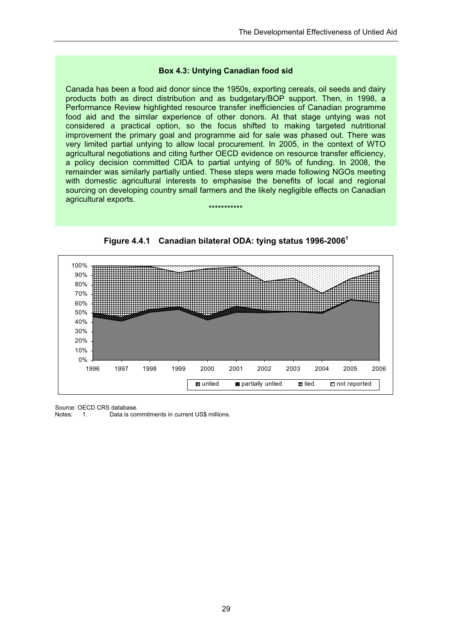#### **Box 4.3: Untying Canadian food sid**

Canada has been a food aid donor since the 1950s, exporting cereals, oil seeds and dairy products both as direct distribution and as budgetary/BOP support. Then, in 1998, a Performance Review highlighted resource transfer inefficiencies of Canadian programme food aid and the similar experience of other donors. At that stage untying was not considered a practical option, so the focus shifted to making targeted nutritional improvement the primary goal and programme aid for sale was phased out. There was very limited partial untying to allow local procurement. In 2005, in the context of WTO agricultural negotiations and citing further OECD evidence on resource transfer efficiency, a policy decision committed CIDA to partial untying of 50% of funding. In 2008, the remainder was similarly partially untied. These steps were made following NGOs meeting with domestic agricultural interests to emphasise the benefits of local and regional sourcing on developing country small farmers and the likely negligible effects on Canadian agricultural exports.



**Figure 4.4.1 Canadian bilateral ODA: tying status 1996-20061**

\*\*\*\*\*\*\*\*\*\*\*

Source: OECD CRS database.<br>Notes: 1 Data is cor

Notes: 1. Data is commitments in current US\$ millions.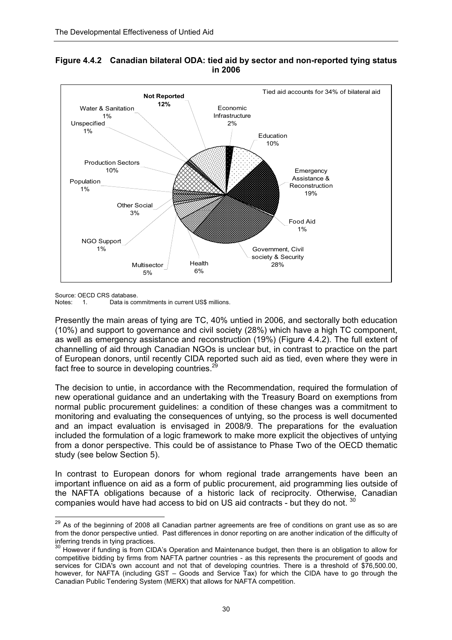

#### **Figure 4.4.2 Canadian bilateral ODA: tied aid by sector and non-reported tying status in 2006**

Source: OECD CRS database.<br>Notes: 1 Data is cou

 $\overline{a}$ 

1. Data is commitments in current US\$ millions.

Presently the main areas of tying are TC, 40% untied in 2006, and sectorally both education (10%) and support to governance and civil society (28%) which have a high TC component, as well as emergency assistance and reconstruction (19%) (Figure 4.4.2). The full extent of channelling of aid through Canadian NGOs is unclear but, in contrast to practice on the part of European donors, until recently CIDA reported such aid as tied, even where they were in fact free to source in developing countries. $\frac{2}{3}$ 

The decision to untie, in accordance with the Recommendation, required the formulation of new operational guidance and an undertaking with the Treasury Board on exemptions from normal public procurement guidelines: a condition of these changes was a commitment to monitoring and evaluating the consequences of untying, so the process is well documented and an impact evaluation is envisaged in 2008/9. The preparations for the evaluation included the formulation of a logic framework to make more explicit the objectives of untying from a donor perspective. This could be of assistance to Phase Two of the OECD thematic study (see below Section 5).

In contrast to European donors for whom regional trade arrangements have been an important influence on aid as a form of public procurement, aid programming lies outside of the NAFTA obligations because of a historic lack of reciprocity. Otherwise, Canadian companies would have had access to bid on US aid contracts - but they do not. 30

 $^{29}$  As of the beginning of 2008 all Canadian partner agreements are free of conditions on grant use as so are from the donor perspective untied. Past differences in donor reporting on are another indication of the difficulty of inferring trends in tying practices.

<sup>&</sup>lt;sup>30</sup> However if funding is from CIDA's Operation and Maintenance budget, then there is an obligation to allow for competitive bidding by firms from NAFTA partner countries - as this represents the procurement of goods and services for CIDA's own account and not that of developing countries. There is a threshold of \$76,500.00, however, for NAFTA (including GST – Goods and Service Tax) for which the CIDA have to go through the Canadian Public Tendering System (MERX) that allows for NAFTA competition.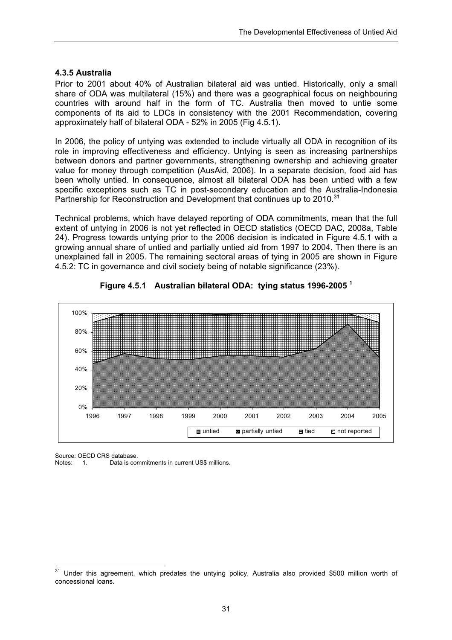#### **4.3.5 Australia**

Prior to 2001 about 40% of Australian bilateral aid was untied. Historically, only a small share of ODA was multilateral (15%) and there was a geographical focus on neighbouring countries with around half in the form of TC. Australia then moved to untie some components of its aid to LDCs in consistency with the 2001 Recommendation, covering approximately half of bilateral ODA - 52% in 2005 (Fig 4.5.1).

In 2006, the policy of untying was extended to include virtually all ODA in recognition of its role in improving effectiveness and efficiency. Untying is seen as increasing partnerships between donors and partner governments, strengthening ownership and achieving greater value for money through competition (AusAid, 2006). In a separate decision, food aid has been wholly untied. In consequence, almost all bilateral ODA has been untied with a few specific exceptions such as TC in post-secondary education and the Australia-Indonesia Partnership for Reconstruction and Development that continues up to 2010.<sup>31</sup>

Technical problems, which have delayed reporting of ODA commitments, mean that the full extent of untying in 2006 is not yet reflected in OECD statistics (OECD DAC, 2008a, Table 24). Progress towards untying prior to the 2006 decision is indicated in Figure 4.5.1 with a growing annual share of untied and partially untied aid from 1997 to 2004. Then there is an unexplained fall in 2005. The remaining sectoral areas of tying in 2005 are shown in Figure 4.5.2: TC in governance and civil society being of notable significance (23%).





Source: OECD CRS database.

Notes: 1. Data is commitments in current US\$ millions.

 $\overline{a}$  $31$  Under this agreement, which predates the untying policy, Australia also provided \$500 million worth of concessional loans.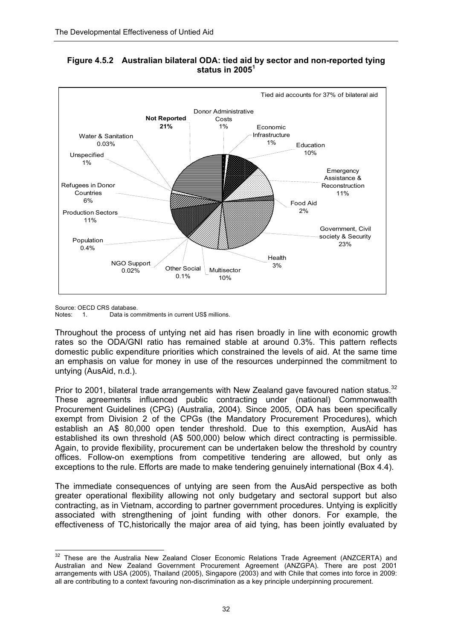

#### **Figure 4.5.2 Australian bilateral ODA: tied aid by sector and non-reported tying status in 2005<sup>1</sup>**

Source: OECD CRS database.

Notes: 1. Data is commitments in current US\$ millions.

Throughout the process of untying net aid has risen broadly in line with economic growth rates so the ODA/GNI ratio has remained stable at around 0.3%. This pattern reflects domestic public expenditure priorities which constrained the levels of aid. At the same time an emphasis on value for money in use of the resources underpinned the commitment to untying (AusAid, n.d.).

Prior to 2001, bilateral trade arrangements with New Zealand gave favoured nation status.<sup>32</sup> These agreements influenced public contracting under (national) Commonwealth Procurement Guidelines (CPG) (Australia, 2004). Since 2005, ODA has been specifically exempt from Division 2 of the CPGs (the Mandatory Procurement Procedures), which establish an A\$ 80,000 open tender threshold. Due to this exemption, AusAid has established its own threshold (A\$ 500,000) below which direct contracting is permissible. Again, to provide flexibility, procurement can be undertaken below the threshold by country offices. Follow-on exemptions from competitive tendering are allowed, but only as exceptions to the rule. Efforts are made to make tendering genuinely international (Box 4.4).

The immediate consequences of untying are seen from the AusAid perspective as both greater operational flexibility allowing not only budgetary and sectoral support but also contracting, as in Vietnam, according to partner government procedures. Untying is explicitly associated with strengthening of joint funding with other donors. For example, the effectiveness of TC,historically the major area of aid tying, has been jointly evaluated by

 $\overline{a}$  $32$  These are the Australia New Zealand Closer Economic Relations Trade Agreement (ANZCERTA) and Australian and New Zealand Government Procurement Agreement (ANZGPA). There are post 2001 arrangements with USA (2005), Thailand (2005), Singapore (2003) and with Chile that comes into force in 2009: all are contributing to a context favouring non-discrimination as a key principle underpinning procurement.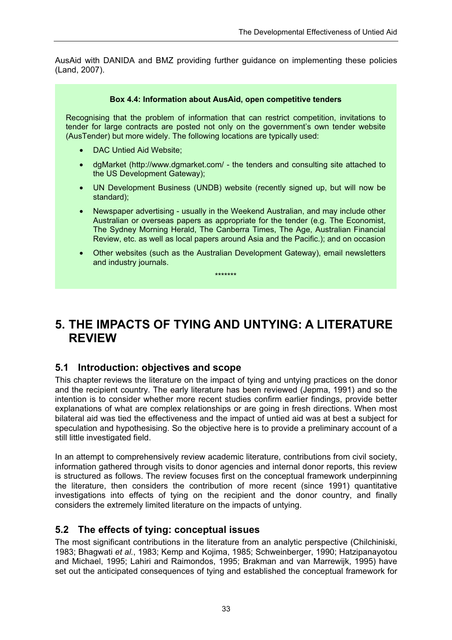AusAid with DANIDA and BMZ providing further guidance on implementing these policies (Land, 2007).

#### **Box 4.4: Information about AusAid, open competitive tenders**

Recognising that the problem of information that can restrict competition, invitations to tender for large contracts are posted not only on the government's own tender website (AusTender) but more widely. The following locations are typically used:

- DAC Untied Aid Website;
- dgMarket (http://www.dgmarket.com/ the tenders and consulting site attached to the US Development Gateway);
- UN Development Business (UNDB) website (recently signed up, but will now be standard);
- Newspaper advertising usually in the Weekend Australian, and may include other Australian or overseas papers as appropriate for the tender (e.g. The Economist, The Sydney Morning Herald, The Canberra Times, The Age, Australian Financial Review, etc. as well as local papers around Asia and the Pacific.); and on occasion
- Other websites (such as the Australian Development Gateway), email newsletters and industry journals.

# **5. THE IMPACTS OF TYING AND UNTYING: A LITERATURE REVIEW**

\*\*\*\*\*\*\*

### **5.1 Introduction: objectives and scope**

This chapter reviews the literature on the impact of tying and untying practices on the donor and the recipient country. The early literature has been reviewed (Jepma, 1991) and so the intention is to consider whether more recent studies confirm earlier findings, provide better explanations of what are complex relationships or are going in fresh directions. When most bilateral aid was tied the effectiveness and the impact of untied aid was at best a subject for speculation and hypothesising. So the objective here is to provide a preliminary account of a still little investigated field.

In an attempt to comprehensively review academic literature, contributions from civil society, information gathered through visits to donor agencies and internal donor reports, this review is structured as follows. The review focuses first on the conceptual framework underpinning the literature, then considers the contribution of more recent (since 1991) quantitative investigations into effects of tying on the recipient and the donor country, and finally considers the extremely limited literature on the impacts of untying.

### **5.2 The effects of tying: conceptual issues**

The most significant contributions in the literature from an analytic perspective (Chilchiniski, 1983; Bhagwati *et al.*, 1983; Kemp and Kojima, 1985; Schweinberger, 1990; Hatzipanayotou and Michael, 1995; Lahiri and Raimondos, 1995; Brakman and van Marrewijk, 1995) have set out the anticipated consequences of tying and established the conceptual framework for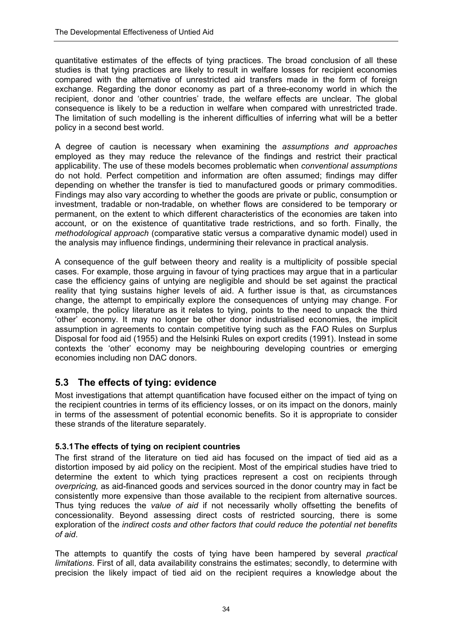quantitative estimates of the effects of tying practices. The broad conclusion of all these studies is that tying practices are likely to result in welfare losses for recipient economies compared with the alternative of unrestricted aid transfers made in the form of foreign exchange. Regarding the donor economy as part of a three-economy world in which the recipient, donor and 'other countries' trade, the welfare effects are unclear. The global consequence is likely to be a reduction in welfare when compared with unrestricted trade. The limitation of such modelling is the inherent difficulties of inferring what will be a better policy in a second best world.

A degree of caution is necessary when examining the *assumptions and approaches* employed as they may reduce the relevance of the findings and restrict their practical applicability. The use of these models becomes problematic when *conventional assumptions* do not hold. Perfect competition and information are often assumed; findings may differ depending on whether the transfer is tied to manufactured goods or primary commodities. Findings may also vary according to whether the goods are private or public, consumption or investment, tradable or non-tradable, on whether flows are considered to be temporary or permanent, on the extent to which different characteristics of the economies are taken into account, or on the existence of quantitative trade restrictions, and so forth. Finally, the *methodological approach* (comparative static versus a comparative dynamic model) used in the analysis may influence findings, undermining their relevance in practical analysis.

A consequence of the gulf between theory and reality is a multiplicity of possible special cases. For example, those arguing in favour of tying practices may argue that in a particular case the efficiency gains of untying are negligible and should be set against the practical reality that tying sustains higher levels of aid. A further issue is that, as circumstances change, the attempt to empirically explore the consequences of untying may change. For example, the policy literature as it relates to tying, points to the need to unpack the third 'other' economy. It may no longer be other donor industrialised economies, the implicit assumption in agreements to contain competitive tying such as the FAO Rules on Surplus Disposal for food aid (1955) and the Helsinki Rules on export credits (1991). Instead in some contexts the 'other' economy may be neighbouring developing countries or emerging economies including non DAC donors.

### **5.3 The effects of tying: evidence**

Most investigations that attempt quantification have focused either on the impact of tying on the recipient countries in terms of its efficiency losses, or on its impact on the donors, mainly in terms of the assessment of potential economic benefits. So it is appropriate to consider these strands of the literature separately.

### **5.3.1 The effects of tying on recipient countries**

The first strand of the literature on tied aid has focused on the impact of tied aid as a distortion imposed by aid policy on the recipient. Most of the empirical studies have tried to determine the extent to which tying practices represent a cost on recipients through *overpricing,* as aid-financed goods and services sourced in the donor country may in fact be consistently more expensive than those available to the recipient from alternative sources. Thus tying reduces the *value of aid* if not necessarily wholly offsetting the benefits of concessionality. Beyond assessing direct costs of restricted sourcing, there is some exploration of the *indirect costs and other factors that could reduce the potential net benefits of aid*.

The attempts to quantify the costs of tying have been hampered by several *practical limitations*. First of all, data availability constrains the estimates; secondly, to determine with precision the likely impact of tied aid on the recipient requires a knowledge about the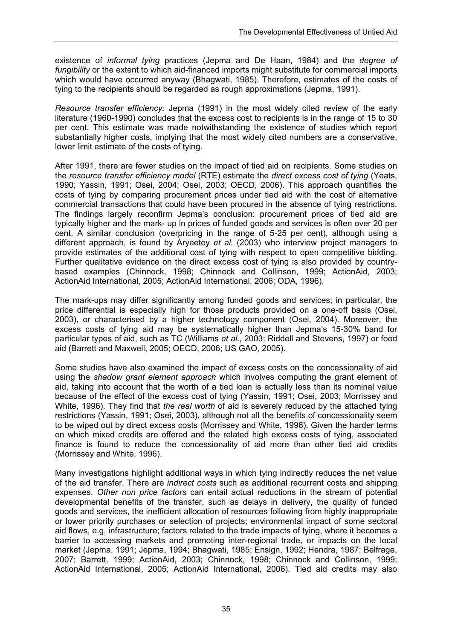existence of *informal tying* practices (Jepma and De Haan, 1984) and the *degree of fungibility* or the extent to which aid-financed imports might substitute for commercial imports which would have occurred anyway (Bhagwati, 1985). Therefore, estimates of the costs of tying to the recipients should be regarded as rough approximations (Jepma, 1991).

*Resource transfer efficiency:* Jepma (1991) in the most widely cited review of the early literature (1960-1990) concludes that the excess cost to recipients is in the range of 15 to 30 per cent. This estimate was made notwithstanding the existence of studies which report substantially higher costs, implying that the most widely cited numbers are a conservative, lower limit estimate of the costs of tying.

After 1991, there are fewer studies on the impact of tied aid on recipients. Some studies on the *resource transfer efficiency model* (RTE) estimate the *direct excess cost of tying* (Yeats, 1990; Yassin, 1991; Osei, 2004; Osei, 2003; OECD, 2006). This approach quantifies the costs of tying by comparing procurement prices under tied aid with the cost of alternative commercial transactions that could have been procured in the absence of tying restrictions. The findings largely reconfirm Jepma's conclusion: procurement prices of tied aid are typically higher and the mark- up in prices of funded goods and services is often over 20 per cent. A similar conclusion (overpricing in the range of 5-25 per cent), although using a different approach, is found by Aryeetey *et al.* (2003) who interview project managers to provide estimates of the additional cost of tying with respect to open competitive bidding. Further qualitative evidence on the direct excess cost of tying is also provided by countrybased examples (Chinnock, 1998; Chinnock and Collinson, 1999; ActionAid, 2003; ActionAid International, 2005; ActionAid International, 2006; ODA, 1996).

The mark-ups may differ significantly among funded goods and services; in particular, the price differential is especially high for those products provided on a one-off basis (Osei, 2003), or characterised by a higher technology component (Osei, 2004). Moreover, the excess costs of tying aid may be systematically higher than Jepma's 15-30% band for particular types of aid, such as TC (Williams *et al*., 2003; Riddell and Stevens, 1997) or food aid (Barrett and Maxwell, 2005; OECD, 2006; US GAO, 2005).

Some studies have also examined the impact of excess costs on the concessionality of aid using the *shadow grant element approach* which involves computing the grant element of aid, taking into account that the worth of a tied loan is actually less than its nominal value because of the effect of the excess cost of tying (Yassin, 1991; Osei, 2003; Morrissey and White, 1996). They find that *the real worth* of aid is severely reduced by the attached tying restrictions (Yassin, 1991; Osei, 2003), although not all the benefits of concessionality seem to be wiped out by direct excess costs (Morrissey and White, 1996). Given the harder terms on which mixed credits are offered and the related high excess costs of tying, associated finance is found to reduce the concessionality of aid more than other tied aid credits (Morrissey and White, 1996).

Many investigations highlight additional ways in which tying indirectly reduces the net value of the aid transfer. There are *indirect costs* such as additional recurrent costs and shipping expenses. *Other non price factors* can entail actual reductions in the stream of potential developmental benefits of the transfer, such as delays in delivery, the quality of funded goods and services, the inefficient allocation of resources following from highly inappropriate or lower priority purchases or selection of projects; environmental impact of some sectoral aid flows, e.g. infrastructure; factors related to the trade impacts of tying, where it becomes a barrier to accessing markets and promoting inter-regional trade, or impacts on the local market (Jepma, 1991; Jepma, 1994; Bhagwati, 1985; Ensign, 1992; Hendra, 1987; Belfrage, 2007; Barrett, 1999; ActionAid, 2003; Chinnock, 1998; Chinnock and Collinson, 1999; ActionAid International, 2005; ActionAid International, 2006). Tied aid credits may also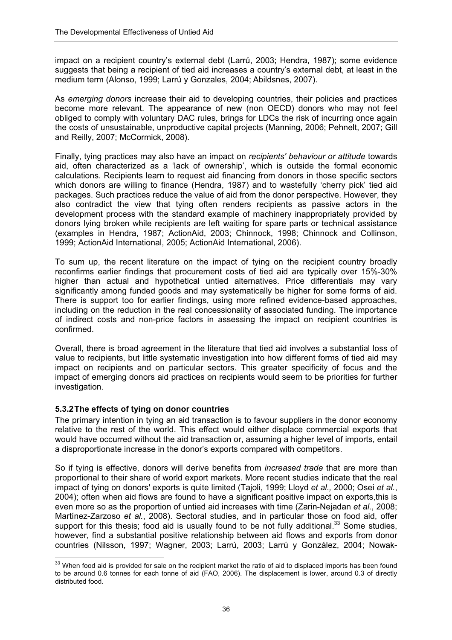impact on a recipient country's external debt (Larrú, 2003; Hendra, 1987); some evidence suggests that being a recipient of tied aid increases a country's external debt, at least in the medium term (Alonso, 1999; Larrú y Gonzales, 2004; Abildsnes, 2007).

As *emerging donors* increase their aid to developing countries, their policies and practices become more relevant. The appearance of new (non OECD) donors who may not feel obliged to comply with voluntary DAC rules, brings for LDCs the risk of incurring once again the costs of unsustainable, unproductive capital projects (Manning, 2006; Pehnelt, 2007; Gill and Reilly, 2007; McCormick, 2008).

Finally, tying practices may also have an impact on *recipients' behaviour or attitude* towards aid, often characterized as a 'lack of ownership', which is outside the formal economic calculations. Recipients learn to request aid financing from donors in those specific sectors which donors are willing to finance (Hendra, 1987) and to wastefully 'cherry pick' tied aid packages. Such practices reduce the value of aid from the donor perspective. However, they also contradict the view that tying often renders recipients as passive actors in the development process with the standard example of machinery inappropriately provided by donors lying broken while recipients are left waiting for spare parts or technical assistance (examples in Hendra, 1987; ActionAid, 2003; Chinnock, 1998; Chinnock and Collinson, 1999; ActionAid International, 2005; ActionAid International, 2006).

To sum up, the recent literature on the impact of tying on the recipient country broadly reconfirms earlier findings that procurement costs of tied aid are typically over 15%-30% higher than actual and hypothetical untied alternatives. Price differentials may vary significantly among funded goods and may systematically be higher for some forms of aid. There is support too for earlier findings, using more refined evidence-based approaches, including on the reduction in the real concessionality of associated funding. The importance of indirect costs and non-price factors in assessing the impact on recipient countries is confirmed.

Overall, there is broad agreement in the literature that tied aid involves a substantial loss of value to recipients, but little systematic investigation into how different forms of tied aid may impact on recipients and on particular sectors. This greater specificity of focus and the impact of emerging donors aid practices on recipients would seem to be priorities for further investigation.

#### **5.3.2 The effects of tying on donor countries**

The primary intention in tying an aid transaction is to favour suppliers in the donor economy relative to the rest of the world. This effect would either displace commercial exports that would have occurred without the aid transaction or, assuming a higher level of imports, entail a disproportionate increase in the donor's exports compared with competitors.

So if tying is effective, donors will derive benefits from *increased trade* that are more than proportional to their share of world export markets. More recent studies indicate that the real impact of tying on donors' exports is quite limited (Tajoli, 1999; Lloyd *et al.,* 2000; Osei *et al.*, 2004); often when aid flows are found to have a significant positive impact on exports,this is even more so as the proportion of untied aid increases with time (Zarin-Nejadan *et al.*, 2008; Martínez-Zarzoso *et al.*, 2008). Sectoral studies, and in particular those on food aid, offer support for this thesis; food aid is usually found to be not fully additional.<sup>33</sup> Some studies, however, find a substantial positive relationship between aid flows and exports from donor countries (Nilsson, 1997; Wagner, 2003; Larrú, 2003; Larrú y González, 2004; Nowak-

 $\overline{a}$  $33$  When food aid is provided for sale on the recipient market the ratio of aid to displaced imports has been found to be around 0.6 tonnes for each tonne of aid (FAO, 2006). The displacement is lower, around 0.3 of directly distributed food.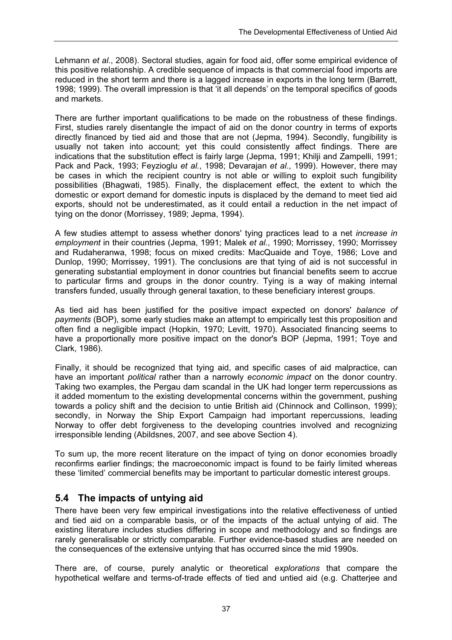Lehmann *et al.*, 2008). Sectoral studies, again for food aid, offer some empirical evidence of this positive relationship. A credible sequence of impacts is that commercial food imports are reduced in the short term and there is a lagged increase in exports in the long term (Barrett, 1998; 1999). The overall impression is that 'it all depends' on the temporal specifics of goods and markets.

There are further important qualifications to be made on the robustness of these findings. First, studies rarely disentangle the impact of aid on the donor country in terms of exports directly financed by tied aid and those that are not (Jepma, 1994). Secondly, fungibility is usually not taken into account; yet this could consistently affect findings. There are indications that the substitution effect is fairly large (Jepma, 1991; Khilji and Zampelli, 1991; Pack and Pack, 1993; Feyzioglu *et al.*, 1998; Devarajan *et al*., 1999). However, there may be cases in which the recipient country is not able or willing to exploit such fungibility possibilities (Bhagwati, 1985). Finally, the displacement effect, the extent to which the domestic or export demand for domestic inputs is displaced by the demand to meet tied aid exports, should not be underestimated, as it could entail a reduction in the net impact of tying on the donor (Morrissey, 1989; Jepma, 1994).

A few studies attempt to assess whether donors' tying practices lead to a net *increase in employment* in their countries (Jepma, 1991; Malek *et al.*, 1990; Morrissey, 1990; Morrissey and Rudaheranwa, 1998; focus on mixed credits: MacQuaide and Toye, 1986; Love and Dunlop, 1990; Morrissey, 1991). The conclusions are that tying of aid is not successful in generating substantial employment in donor countries but financial benefits seem to accrue to particular firms and groups in the donor country. Tying is a way of making internal transfers funded, usually through general taxation, to these beneficiary interest groups.

As tied aid has been justified for the positive impact expected on donors' *balance of payments* (BOP), some early studies make an attempt to empirically test this proposition and often find a negligible impact (Hopkin, 1970; Levitt, 1970). Associated financing seems to have a proportionally more positive impact on the donor's BOP (Jepma, 1991; Toye and Clark, 1986).

Finally, it should be recognized that tying aid, and specific cases of aid malpractice, can have an important *political* rather than a narrowly *economic impact* on the donor country. Taking two examples, the Pergau dam scandal in the UK had longer term repercussions as it added momentum to the existing developmental concerns within the government, pushing towards a policy shift and the decision to untie British aid (Chinnock and Collinson, 1999); secondly, in Norway the Ship Export Campaign had important repercussions, leading Norway to offer debt forgiveness to the developing countries involved and recognizing irresponsible lending (Abildsnes, 2007, and see above Section 4).

To sum up, the more recent literature on the impact of tying on donor economies broadly reconfirms earlier findings; the macroeconomic impact is found to be fairly limited whereas these 'limited' commercial benefits may be important to particular domestic interest groups.

### **5.4 The impacts of untying aid**

There have been very few empirical investigations into the relative effectiveness of untied and tied aid on a comparable basis, or of the impacts of the actual untying of aid. The existing literature includes studies differing in scope and methodology and so findings are rarely generalisable or strictly comparable. Further evidence-based studies are needed on the consequences of the extensive untying that has occurred since the mid 1990s.

There are, of course, purely analytic or theoretical *explorations* that compare the hypothetical welfare and terms-of-trade effects of tied and untied aid (e.g. Chatterjee and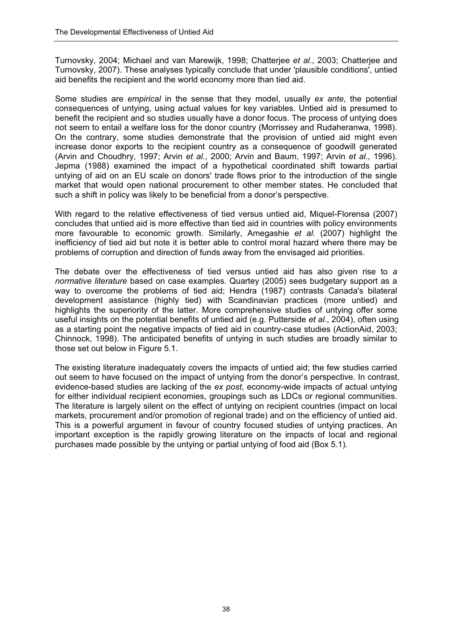Turnovsky, 2004; Michael and van Marewijk, 1998; Chatterjee *et al*., 2003; Chatterjee and Turnovsky, 2007). These analyses typically conclude that under 'plausible conditions', untied aid benefits the recipient and the world economy more than tied aid.

Some studies are *empirical* in the sense that they model, usually *ex ante*, the potential consequences of untying, using actual values for key variables. Untied aid is presumed to benefit the recipient and so studies usually have a donor focus. The process of untying does not seem to entail a welfare loss for the donor country (Morrissey and Rudaheranwa, 1998). On the contrary, some studies demonstrate that the provision of untied aid might even increase donor exports to the recipient country as a consequence of goodwill generated (Arvin and Choudhry, 1997; Arvin *et al.*, 2000; Arvin and Baum, 1997; Arvin *et al.*, 1996). Jepma (1988) examined the impact of a hypothetical coordinated shift towards partial untying of aid on an EU scale on donors' trade flows prior to the introduction of the single market that would open national procurement to other member states. He concluded that such a shift in policy was likely to be beneficial from a donor's perspective.

With regard to the relative effectiveness of tied versus untied aid. Miquel-Florensa (2007) concludes that untied aid is more effective than tied aid in countries with policy environments more favourable to economic growth. Similarly, Amegashie *et al.* (2007) highlight the inefficiency of tied aid but note it is better able to control moral hazard where there may be problems of corruption and direction of funds away from the envisaged aid priorities.

The debate over the effectiveness of tied versus untied aid has also given rise to *a normative literature* based on case examples. Quartey (2005) sees budgetary support as a way to overcome the problems of tied aid; Hendra (1987) contrasts Canada's bilateral development assistance (highly tied) with Scandinavian practices (more untied) and highlights the superiority of the latter. More comprehensive studies of untying offer some useful insights on the potential benefits of untied aid (e.g. Putterside *et al*., 2004), often using as a starting point the negative impacts of tied aid in country-case studies (ActionAid, 2003; Chinnock, 1998). The anticipated benefits of untying in such studies are broadly similar to those set out below in Figure 5.1.

The existing literature inadequately covers the impacts of untied aid; the few studies carried out seem to have focused on the impact of untying from the donor's perspective. In contrast, evidence-based studies are lacking of the *ex post*, economy-wide impacts of actual untying for either individual recipient economies, groupings such as LDCs or regional communities. The literature is largely silent on the effect of untying on recipient countries (impact on local markets, procurement and/or promotion of regional trade) and on the efficiency of untied aid. This is a powerful argument in favour of country focused studies of untying practices. An important exception is the rapidly growing literature on the impacts of local and regional purchases made possible by the untying or partial untying of food aid (Box 5.1).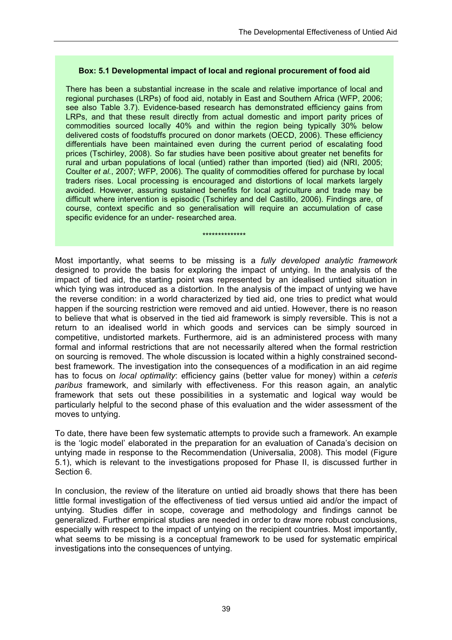#### **Box: 5.1 Developmental impact of local and regional procurement of food aid**

There has been a substantial increase in the scale and relative importance of local and regional purchases (LRPs) of food aid, notably in East and Southern Africa (WFP, 2006; see also Table 3.7). Evidence-based research has demonstrated efficiency gains from LRPs, and that these result directly from actual domestic and import parity prices of commodities sourced locally 40% and within the region being typically 30% below delivered costs of foodstuffs procured on donor markets (OECD, 2006). These efficiency differentials have been maintained even during the current period of escalating food prices (Tschirley, 2008). So far studies have been positive about greater net benefits for rural and urban populations of local (untied) rather than imported (tied) aid (NRI, 2005; Coulter *et al.*, 2007; WFP, 2006). The quality of commodities offered for purchase by local traders rises. Local processing is encouraged and distortions of local markets largely avoided. However, assuring sustained benefits for local agriculture and trade may be difficult where intervention is episodic (Tschirley and del Castillo, 2006). Findings are, of course, context specific and so generalisation will require an accumulation of case specific evidence for an under- researched area.

#### \*\*\*\*\*\*\*\*\*\*\*\*\*\*

Most importantly, what seems to be missing is a *fully developed analytic framework* designed to provide the basis for exploring the impact of untying. In the analysis of the impact of tied aid, the starting point was represented by an idealised untied situation in which tying was introduced as a distortion. In the analysis of the impact of untying we have the reverse condition: in a world characterized by tied aid, one tries to predict what would happen if the sourcing restriction were removed and aid untied. However, there is no reason to believe that what is observed in the tied aid framework is simply reversible. This is not a return to an idealised world in which goods and services can be simply sourced in competitive, undistorted markets. Furthermore, aid is an administered process with many formal and informal restrictions that are not necessarily altered when the formal restriction on sourcing is removed. The whole discussion is located within a highly constrained secondbest framework. The investigation into the consequences of a modification in an aid regime has to focus on *local optimality*: efficiency gains (better value for money) within a *ceteris paribus* framework, and similarly with effectiveness. For this reason again, an analytic framework that sets out these possibilities in a systematic and logical way would be particularly helpful to the second phase of this evaluation and the wider assessment of the moves to untying.

To date, there have been few systematic attempts to provide such a framework. An example is the 'logic model' elaborated in the preparation for an evaluation of Canada's decision on untying made in response to the Recommendation (Universalia, 2008). This model (Figure 5.1), which is relevant to the investigations proposed for Phase II, is discussed further in Section 6.

In conclusion, the review of the literature on untied aid broadly shows that there has been little formal investigation of the effectiveness of tied versus untied aid and/or the impact of untying. Studies differ in scope, coverage and methodology and findings cannot be generalized. Further empirical studies are needed in order to draw more robust conclusions, especially with respect to the impact of untying on the recipient countries. Most importantly, what seems to be missing is a conceptual framework to be used for systematic empirical investigations into the consequences of untying.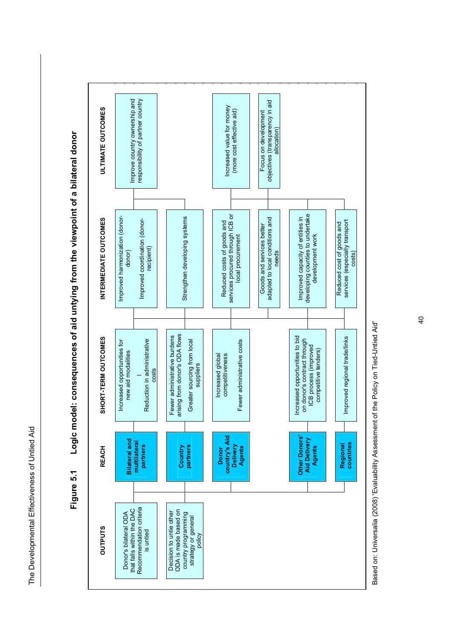The Developmental Effectiveness of Untied Aid The Developmental Effectiveness of Untied Aid



**Figure 5.1 Logic model: consequences of aid untying from the viewpoint of a bilateral donor**  Logic model: consequences of aid untying from the viewpoint of a bilateral donor Figure 5.1

Based on: Universalia (2008) 'Evaluability Assessment of the Policy on Tied-Untied Aid' Based on: Universalia (2008) 'Evaluability Assessment of the Policy on Tied-Untied Aid'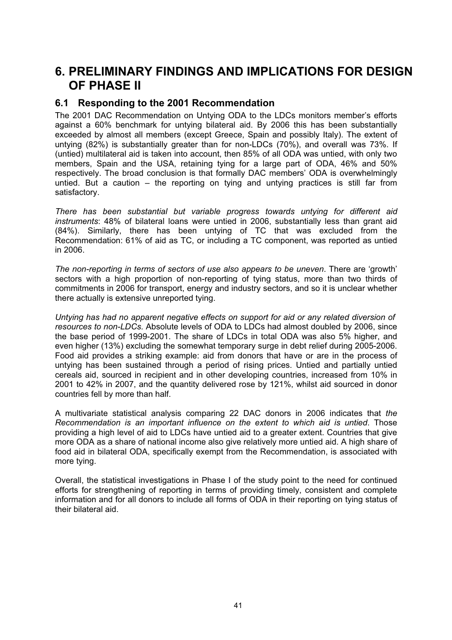# **6. PRELIMINARY FINDINGS AND IMPLICATIONS FOR DESIGN OF PHASE II**

### **6.1 Responding to the 2001 Recommendation**

The 2001 DAC Recommendation on Untying ODA to the LDCs monitors member's efforts against a 60% benchmark for untying bilateral aid. By 2006 this has been substantially exceeded by almost all members (except Greece, Spain and possibly Italy). The extent of untying (82%) is substantially greater than for non-LDCs (70%), and overall was 73%. If (untied) multilateral aid is taken into account, then 85% of all ODA was untied, with only two members, Spain and the USA, retaining tying for a large part of ODA, 46% and 50% respectively. The broad conclusion is that formally DAC members' ODA is overwhelmingly untied. But a caution – the reporting on tying and untying practices is still far from satisfactory.

*There has been substantial but variable progress towards untying for different aid instruments*: 48% of bilateral loans were untied in 2006, substantially less than grant aid (84%). Similarly, there has been untying of TC that was excluded from the Recommendation: 61% of aid as TC, or including a TC component, was reported as untied in 2006.

*The non-reporting in terms of sectors of use also appears to be uneven*. There are 'growth' sectors with a high proportion of non-reporting of tying status, more than two thirds of commitments in 2006 for transport, energy and industry sectors, and so it is unclear whether there actually is extensive unreported tying.

*Untying has had no apparent negative effects on support for aid or any related diversion of resources to non-LDCs.* Absolute levels of ODA to LDCs had almost doubled by 2006, since the base period of 1999-2001. The share of LDCs in total ODA was also 5% higher, and even higher (13%) excluding the somewhat temporary surge in debt relief during 2005-2006. Food aid provides a striking example: aid from donors that have or are in the process of untying has been sustained through a period of rising prices. Untied and partially untied cereals aid, sourced in recipient and in other developing countries, increased from 10% in 2001 to 42% in 2007, and the quantity delivered rose by 121%, whilst aid sourced in donor countries fell by more than half.

A multivariate statistical analysis comparing 22 DAC donors in 2006 indicates that *the Recommendation is an important influence on the extent to which aid is untied*. Those providing a high level of aid to LDCs have untied aid to a greater extent. Countries that give more ODA as a share of national income also give relatively more untied aid. A high share of food aid in bilateral ODA, specifically exempt from the Recommendation, is associated with more tying.

Overall, the statistical investigations in Phase I of the study point to the need for continued efforts for strengthening of reporting in terms of providing timely, consistent and complete information and for all donors to include all forms of ODA in their reporting on tying status of their bilateral aid.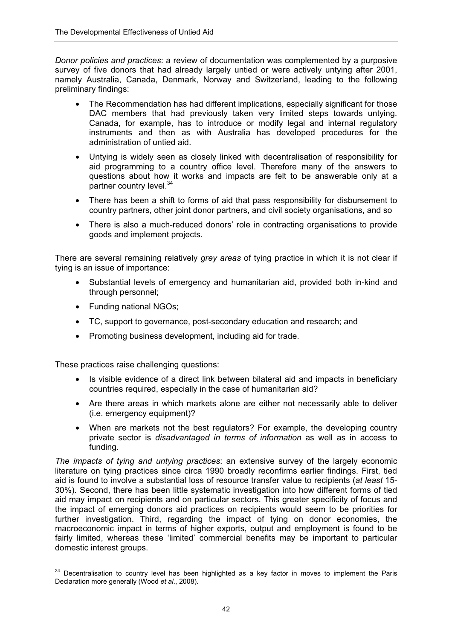*Donor policies and practices*: a review of documentation was complemented by a purposive survey of five donors that had already largely untied or were actively untying after 2001, namely Australia, Canada, Denmark, Norway and Switzerland, leading to the following preliminary findings:

- The Recommendation has had different implications, especially significant for those DAC members that had previously taken very limited steps towards untying. Canada, for example, has to introduce or modify legal and internal regulatory instruments and then as with Australia has developed procedures for the administration of untied aid.
- Untying is widely seen as closely linked with decentralisation of responsibility for aid programming to a country office level. Therefore many of the answers to questions about how it works and impacts are felt to be answerable only at a partner country level.<sup>34</sup>
- There has been a shift to forms of aid that pass responsibility for disbursement to country partners, other joint donor partners, and civil society organisations, and so
- There is also a much-reduced donors' role in contracting organisations to provide goods and implement projects.

There are several remaining relatively *grey areas* of tying practice in which it is not clear if tying is an issue of importance:

- Substantial levels of emergency and humanitarian aid, provided both in-kind and through personnel;
- Funding national NGOs;
- TC, support to governance, post-secondary education and research; and
- Promoting business development, including aid for trade.

These practices raise challenging questions:

- Is visible evidence of a direct link between bilateral aid and impacts in beneficiary countries required, especially in the case of humanitarian aid?
- Are there areas in which markets alone are either not necessarily able to deliver (i.e. emergency equipment)?
- When are markets not the best regulators? For example, the developing country private sector is *disadvantaged in terms of information* as well as in access to funding.

*The impacts of tying and untying practices*: an extensive survey of the largely economic literature on tying practices since circa 1990 broadly reconfirms earlier findings. First, tied aid is found to involve a substantial loss of resource transfer value to recipients (*at least* 15- 30%). Second, there has been little systematic investigation into how different forms of tied aid may impact on recipients and on particular sectors. This greater specificity of focus and the impact of emerging donors aid practices on recipients would seem to be priorities for further investigation. Third, regarding the impact of tying on donor economies, the macroeconomic impact in terms of higher exports, output and employment is found to be fairly limited, whereas these 'limited' commercial benefits may be important to particular domestic interest groups.

 $\overline{a}$  $34$  Decentralisation to country level has been highlighted as a key factor in moves to implement the Paris Declaration more generally (Wood *et al*., 2008).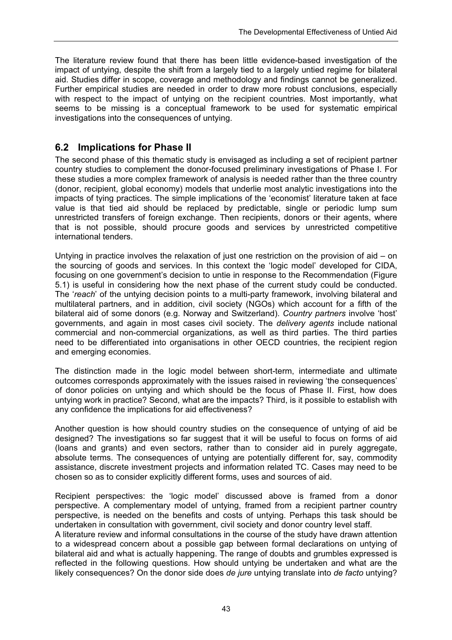The literature review found that there has been little evidence-based investigation of the impact of untying, despite the shift from a largely tied to a largely untied regime for bilateral aid. Studies differ in scope, coverage and methodology and findings cannot be generalized. Further empirical studies are needed in order to draw more robust conclusions, especially with respect to the impact of untying on the recipient countries. Most importantly, what seems to be missing is a conceptual framework to be used for systematic empirical investigations into the consequences of untying.

### **6.2 Implications for Phase II**

The second phase of this thematic study is envisaged as including a set of recipient partner country studies to complement the donor-focused preliminary investigations of Phase I. For these studies a more complex framework of analysis is needed rather than the three country (donor, recipient, global economy) models that underlie most analytic investigations into the impacts of tying practices. The simple implications of the 'economist' literature taken at face value is that tied aid should be replaced by predictable, single or periodic lump sum unrestricted transfers of foreign exchange. Then recipients, donors or their agents, where that is not possible, should procure goods and services by unrestricted competitive international tenders.

Untying in practice involves the relaxation of just one restriction on the provision of aid – on the sourcing of goods and services. In this context the 'logic model' developed for CIDA, focusing on one government's decision to untie in response to the Recommendation (Figure 5.1) is useful in considering how the next phase of the current study could be conducted. The '*reach*' of the untying decision points to a multi-party framework, involving bilateral and multilateral partners, and in addition, civil society (NGOs) which account for a fifth of the bilateral aid of some donors (e.g. Norway and Switzerland). *Country partners* involve 'host' governments, and again in most cases civil society. The *delivery agents* include national commercial and non-commercial organizations, as well as third parties. The third parties need to be differentiated into organisations in other OECD countries, the recipient region and emerging economies.

The distinction made in the logic model between short-term, intermediate and ultimate outcomes corresponds approximately with the issues raised in reviewing 'the consequences' of donor policies on untying and which should be the focus of Phase II. First, how does untying work in practice? Second, what are the impacts? Third, is it possible to establish with any confidence the implications for aid effectiveness?

Another question is how should country studies on the consequence of untying of aid be designed? The investigations so far suggest that it will be useful to focus on forms of aid (loans and grants) and even sectors, rather than to consider aid in purely aggregate, absolute terms. The consequences of untying are potentially different for, say, commodity assistance, discrete investment projects and information related TC. Cases may need to be chosen so as to consider explicitly different forms, uses and sources of aid.

Recipient perspectives: the 'logic model' discussed above is framed from a donor perspective. A complementary model of untying, framed from a recipient partner country perspective, is needed on the benefits and costs of untying. Perhaps this task should be undertaken in consultation with government, civil society and donor country level staff.

A literature review and informal consultations in the course of the study have drawn attention to a widespread concern about a possible gap between formal declarations on untying of bilateral aid and what is actually happening. The range of doubts and grumbles expressed is reflected in the following questions. How should untying be undertaken and what are the likely consequences? On the donor side does *de jure* untying translate into *de facto* untying?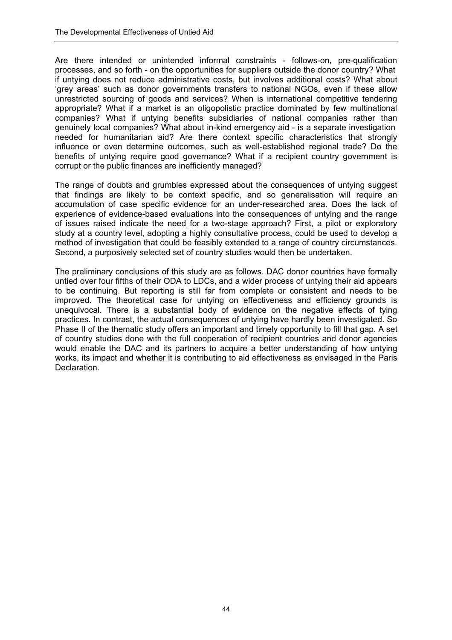Are there intended or unintended informal constraints - follows-on, pre-qualification processes, and so forth - on the opportunities for suppliers outside the donor country? What if untying does not reduce administrative costs, but involves additional costs? What about 'grey areas' such as donor governments transfers to national NGOs, even if these allow unrestricted sourcing of goods and services? When is international competitive tendering appropriate? What if a market is an oligopolistic practice dominated by few multinational companies? What if untying benefits subsidiaries of national companies rather than genuinely local companies? What about in-kind emergency aid - is a separate investigation needed for humanitarian aid? Are there context specific characteristics that strongly influence or even determine outcomes, such as well-established regional trade? Do the benefits of untying require good governance? What if a recipient country government is corrupt or the public finances are inefficiently managed?

The range of doubts and grumbles expressed about the consequences of untying suggest that findings are likely to be context specific, and so generalisation will require an accumulation of case specific evidence for an under-researched area. Does the lack of experience of evidence-based evaluations into the consequences of untying and the range of issues raised indicate the need for a two-stage approach? First, a pilot or exploratory study at a country level, adopting a highly consultative process, could be used to develop a method of investigation that could be feasibly extended to a range of country circumstances. Second, a purposively selected set of country studies would then be undertaken.

The preliminary conclusions of this study are as follows. DAC donor countries have formally untied over four fifths of their ODA to LDCs, and a wider process of untying their aid appears to be continuing. But reporting is still far from complete or consistent and needs to be improved. The theoretical case for untying on effectiveness and efficiency grounds is unequivocal. There is a substantial body of evidence on the negative effects of tying practices. In contrast, the actual consequences of untying have hardly been investigated. So Phase II of the thematic study offers an important and timely opportunity to fill that gap. A set of country studies done with the full cooperation of recipient countries and donor agencies would enable the DAC and its partners to acquire a better understanding of how untying works, its impact and whether it is contributing to aid effectiveness as envisaged in the Paris Declaration.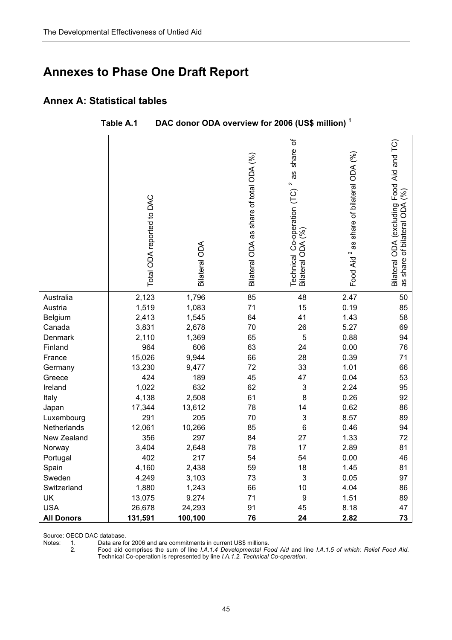# **Annexes to Phase One Draft Report**

### **Annex A: Statistical tables**

|                   | Total ODA reported to DAC | <b>Bilateral ODA</b> | Bilateral ODA as share of total ODA (%) | share of<br>as<br>$\sim$<br>Technical Co-operation (TC)<br>ે<br>Bilateral ODA | Food Aid <sup>2</sup> as share of bilateral ODA (%) | Bilateral ODA (excluding Food Aid and TC)<br>(%)<br>as share of bilateral ODA |
|-------------------|---------------------------|----------------------|-----------------------------------------|-------------------------------------------------------------------------------|-----------------------------------------------------|-------------------------------------------------------------------------------|
| Australia         | 2,123                     | 1,796                | 85                                      | 48                                                                            | 2.47                                                | 50                                                                            |
| Austria           | 1,519                     | 1,083                | 71                                      | 15                                                                            | 0.19                                                | 85                                                                            |
| Belgium           | 2,413                     | 1,545                | 64                                      | 41                                                                            | 1.43                                                | 58                                                                            |
| Canada            | 3,831                     | 2,678                | 70                                      | 26                                                                            | 5.27                                                | 69                                                                            |
| Denmark           | 2,110                     | 1,369                | 65                                      | $\mathbf 5$                                                                   | 0.88                                                | 94                                                                            |
| Finland           | 964                       | 606                  | 63                                      | 24                                                                            | 0.00                                                | 76                                                                            |
| France            | 15,026                    | 9,944                | 66                                      | 28                                                                            | 0.39                                                | 71                                                                            |
| Germany           | 13,230                    | 9,477                | 72                                      | 33                                                                            | 1.01                                                | 66                                                                            |
| Greece            | 424                       | 189                  | 45                                      | 47                                                                            | 0.04                                                | 53                                                                            |
| Ireland           | 1,022                     | 632                  | 62                                      | 3                                                                             | 2.24                                                | 95                                                                            |
| Italy             | 4,138                     | 2,508                | 61                                      | 8                                                                             | 0.26                                                | 92                                                                            |
| Japan             | 17,344                    | 13,612               | 78                                      | 14                                                                            | 0.62                                                | 86                                                                            |
| Luxembourg        | 291                       | 205                  | 70                                      | $\sqrt{3}$                                                                    | 8.57                                                | 89                                                                            |
| Netherlands       | 12,061                    | 10,266               | 85                                      | 6                                                                             | 0.46                                                | 94                                                                            |
| New Zealand       | 356                       | 297                  | 84                                      | 27                                                                            | 1.33                                                | 72                                                                            |
| Norway            | 3,404                     | 2,648                | 78                                      | 17                                                                            | 2.89                                                | 81                                                                            |
| Portugal          | 402                       | 217                  | 54                                      | 54                                                                            | 0.00                                                | 46                                                                            |
| Spain             | 4,160                     | 2,438                | 59                                      | 18                                                                            | 1.45                                                | 81                                                                            |
| Sweden            | 4,249                     | 3,103                | 73                                      | $\mathfrak{S}$                                                                | 0.05                                                | 97                                                                            |
| Switzerland       | 1,880                     | 1,243                | 66                                      | 10                                                                            | 4.04                                                | 86                                                                            |
| UK                | 13,075                    | 9.274                | 71                                      | 9                                                                             | 1.51                                                | 89                                                                            |
| <b>USA</b>        | 26,678                    | 24,293               | 91                                      | 45                                                                            | 8.18                                                | 47                                                                            |
| <b>All Donors</b> | 131,591                   | 100,100              | 76                                      | 24                                                                            | 2.82                                                | 73                                                                            |

Source: OECD DAC database.<br>Notes: 1. Data are fo<br>2. Food aid c

Data are for 2006 and are commitments in current US\$ millions.

2. Food aid comprises the sum of line *I.A.1.4 Developmental Food Aid* and line *I.A.1.5 of which: Relief Food Aid*. Technical Co-operation is represented by line *I.A.1.2. Technical Co-operation*.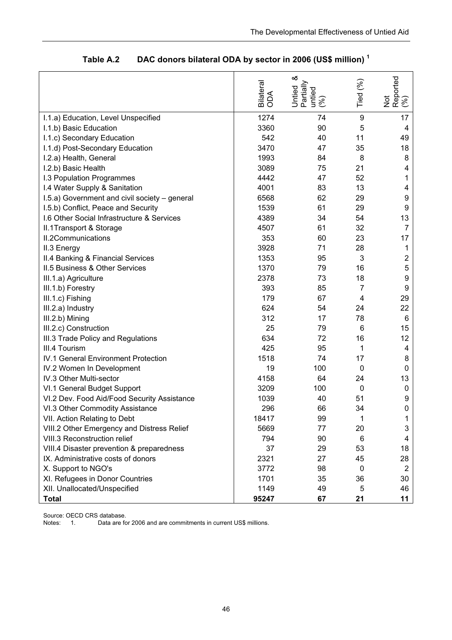|                                               | Bilateral<br>ODA | ళ<br>Partially<br>Untied<br>untied<br>(%) | Tied (%) | Not<br>Reported<br>(%) |
|-----------------------------------------------|------------------|-------------------------------------------|----------|------------------------|
| I.1.a) Education, Level Unspecified           | 1274             | 74                                        | 9        | 17                     |
| I.1.b) Basic Education                        | 3360             | 90                                        | 5        | 4                      |
| I.1.c) Secondary Education                    | 542              | 40                                        | 11       | 49                     |
| I.1.d) Post-Secondary Education               | 3470             | 47                                        | 35       | 18                     |
| I.2.a) Health, General                        | 1993             | 84                                        | 8        | 8                      |
| I.2.b) Basic Health                           | 3089             | 75                                        | 21       | 4                      |
| <b>I.3 Population Programmes</b>              | 4442             | 47                                        | 52       | 1                      |
| I.4 Water Supply & Sanitation                 | 4001             | 83                                        | 13       | 4                      |
| I.5.a) Government and civil society - general | 6568             | 62                                        | 29       | 9                      |
| I.5.b) Conflict, Peace and Security           | 1539             | 61                                        | 29       | 9                      |
| 1.6 Other Social Infrastructure & Services    | 4389             | 34                                        | 54       | 13                     |
| II.1Transport & Storage                       | 4507             | 61                                        | 32       | $\overline{7}$         |
| <b>II.2Communications</b>                     | 353              | 60                                        | 23       | 17                     |
| II.3 Energy                                   | 3928             | 71                                        | 28       | $\mathbf 1$            |
| II.4 Banking & Financial Services             | 1353             | 95                                        | 3        | $\overline{c}$         |
| <b>II.5 Business &amp; Other Services</b>     | 1370             | 79                                        | 16       | 5                      |
| III.1.a) Agriculture                          | 2378             | 73                                        | 18       | 9                      |
| III.1.b) Forestry                             | 393              | 85                                        | 7        | 9                      |
| III.1.c) Fishing                              | 179              | 67                                        | 4        | 29                     |
| III.2.a) Industry                             | 624              | 54                                        | 24       | 22                     |
| III.2.b) Mining                               | 312              | 17                                        | 78       | 6                      |
| III.2.c) Construction                         | 25               | 79                                        | 6        | 15                     |
| III.3 Trade Policy and Regulations            | 634              | 72                                        | 16       | 12 <sub>2</sub>        |
| III.4 Tourism                                 | 425              | 95                                        | 1        | 4                      |
| <b>IV.1 General Environment Protection</b>    | 1518             | 74                                        | 17       | 8                      |
| IV.2 Women In Development                     | 19               | 100                                       | 0        | 0                      |
| IV.3 Other Multi-sector                       | 4158             | 64                                        | 24       | 13                     |
| VI.1 General Budget Support                   | 3209             | 100                                       | 0        | $\boldsymbol{0}$       |
| VI.2 Dev. Food Aid/Food Security Assistance   | 1039             | 40                                        | 51       | 9                      |
| VI.3 Other Commodity Assistance               | 296              | 66                                        | 34       | 0                      |
| VII. Action Relating to Debt                  | 18417            | 99                                        | 1        | 1                      |
| VIII.2 Other Emergency and Distress Relief    | 5669             | 77                                        | 20       | 3                      |
| VIII.3 Reconstruction relief                  | 794              | 90                                        | 6        | 4                      |
| VIII.4 Disaster prevention & preparedness     | 37               | 29                                        | 53       | 18                     |
| IX. Administrative costs of donors            | 2321             | 27                                        | 45       | 28                     |
| X. Support to NGO's                           | 3772             | 98                                        | 0        | $\overline{2}$         |
| XI. Refugees in Donor Countries               | 1701             | 35                                        | 36       | 30                     |
| XII. Unallocated/Unspecified                  | 1149             | 49                                        | 5        | 46                     |
| <b>Total</b>                                  | 95247            | 67                                        | 21       | 11                     |

**Table A.2 DAC donors bilateral ODA by sector in 2006 (US\$ million) 1**

Source: OECD CRS database.<br>Notes: 1. Data are fo

Data are for 2006 and are commitments in current US\$ millions.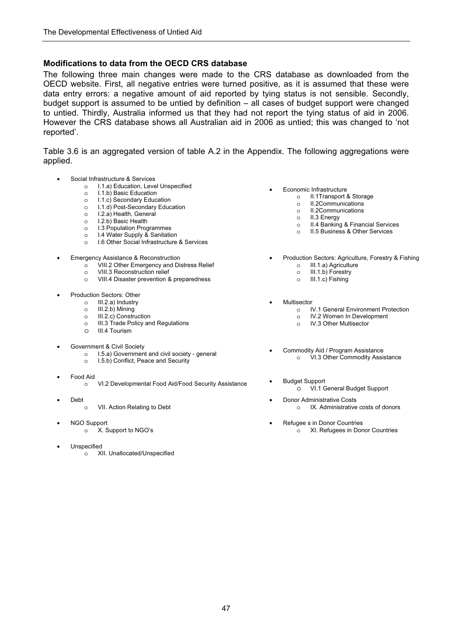#### **Modifications to data from the OECD CRS database**

The following three main changes were made to the CRS database as downloaded from the OECD website. First, all negative entries were turned positive, as it is assumed that these were data entry errors: a negative amount of aid reported by tying status is not sensible. Secondly, budget support is assumed to be untied by definition – all cases of budget support were changed to untied. Thirdly, Australia informed us that they had not report the tying status of aid in 2006. However the CRS database shows all Australian aid in 2006 as untied; this was changed to 'not reported'.

Table 3.6 is an aggregated version of table A.2 in the Appendix. The following aggregations were applied.

- Social Infrastructure & Services
	- o I.1.a) Education, Level Unspecified
		- o I.1.b) Basic Education
		- o I.1.c) Secondary Education
		- o I.1.d) Post-Secondary Education
		- o I.2.a) Health, General
		- o I.2.b) Basic Health
		- o I.3 Population Programmes
		- o I.4 Water Supply & Sanitation
		- o I.6 Other Social Infrastructure & Services
- Emergency Assistance & Reconstruction
	- o VIII.2 Other Emergency and Distress Relief
	- o VIII.3 Reconstruction relief
	- o VIII.4 Disaster prevention & preparedness
- Production Sectors: Other
	- o III.2.a) Industry
	- o III.2.b) Mining
	- o III.2.c) Construction
	- o III.3 Trade Policy and Regulations o III.4 Tourism
- Government & Civil Society
	- o I.5.a) Government and civil society general
	- o I.5.b) Conflict, Peace and Security
- Food Aid
	- <sup>o</sup> VI.2 Developmental Food Aid/Food Security Assistance Budget Support
- Debt
	- o VII. Action Relating to Debt
- NGO Support
	- o X. Support to NGO's
- **Unspecified** 
	- o XII. Unallocated/Unspecified
- Economic Infrastructure
	- o II.1Transport & Storage
	- o II.2Communications
	- o II.2Communications
	- o II.3 Energy
	- o II.4 Banking & Financial Services
	- o II.5 Business & Other Services
- Production Sectors: Agriculture, Forestry & Fishing o III.1.a) Agriculture
	- o III.1.b) Forestry
	- o III.1.c) Fishing
- **Multisector** 
	- o IV.1 General Environment Protection
	- o IV.2 Women In Development
	- o IV.3 Other Multisector
- Commodity Aid / Program Assistance o VI.3 Other Commodity Assistance
- - VI.1 General Budget Support
- Donor Administrative Costs o IX. Administrative costs of donors
	- Refugee s in Donor Countries o XI. Refugees in Donor Countries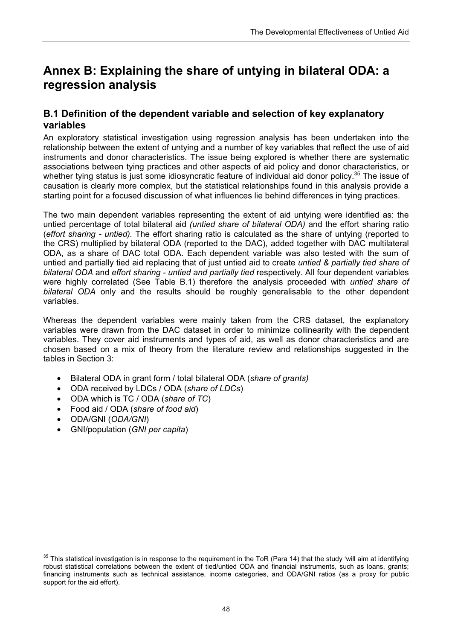# **Annex B: Explaining the share of untying in bilateral ODA: a regression analysis**

## **B.1 Definition of the dependent variable and selection of key explanatory variables**

An exploratory statistical investigation using regression analysis has been undertaken into the relationship between the extent of untying and a number of key variables that reflect the use of aid instruments and donor characteristics. The issue being explored is whether there are systematic associations between tying practices and other aspects of aid policy and donor characteristics, or whether tying status is just some idiosyncratic feature of individual aid donor policy.<sup>35</sup> The issue of causation is clearly more complex, but the statistical relationships found in this analysis provide a starting point for a focused discussion of what influences lie behind differences in tying practices.

The two main dependent variables representing the extent of aid untying were identified as: the untied percentage of total bilateral aid *(untied share of bilateral ODA)* and the effort sharing ratio (*effort sharing - untied).* The effort sharing ratio is calculated as the share of untying (reported to the CRS) multiplied by bilateral ODA (reported to the DAC), added together with DAC multilateral ODA, as a share of DAC total ODA. Each dependent variable was also tested with the sum of untied and partially tied aid replacing that of just untied aid to create *untied & partially tied share of bilateral ODA* and *effort sharing - untied and partially tied* respectively. All four dependent variables were highly correlated (See Table B.1) therefore the analysis proceeded with *untied share of bilateral ODA* only and the results should be roughly generalisable to the other dependent variables.

Whereas the dependent variables were mainly taken from the CRS dataset, the explanatory variables were drawn from the DAC dataset in order to minimize collinearity with the dependent variables. They cover aid instruments and types of aid, as well as donor characteristics and are chosen based on a mix of theory from the literature review and relationships suggested in the tables in Section 3:

- Bilateral ODA in grant form / total bilateral ODA (*share of grants)*
- ODA received by LDCs / ODA (*share of LDCs*)
- ODA which is TC / ODA (*share of TC*)
- Food aid / ODA (*share of food aid*)
- ODA/GNI (*ODA/GNI*)
- GNI/population (*GNI per capita*)

 $\frac{1}{2}$  $^{35}$  This statistical investigation is in response to the requirement in the ToR (Para 14) that the study 'will aim at identifying robust statistical correlations between the extent of tied/untied ODA and financial instruments, such as loans, grants; financing instruments such as technical assistance, income categories, and ODA/GNI ratios (as a proxy for public support for the aid effort).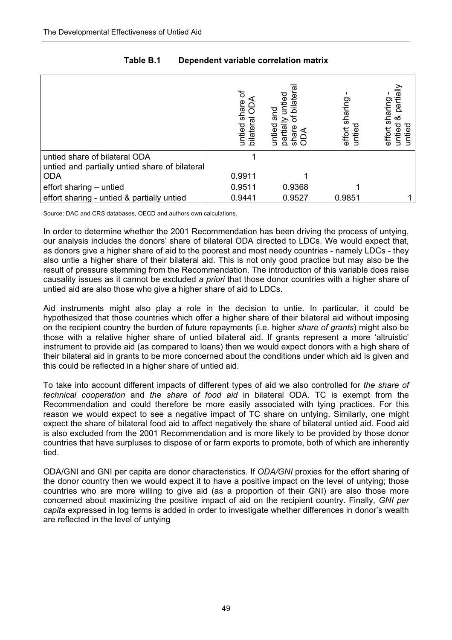|                                                                                 | share<br>untied<br>bilatera | ್ಥಾ<br>bilate<br>and<br>untied<br>partial<br>ನ ಸ<br>ᅲ | sharing<br>effort<br>ntie | partiall<br>sharing<br>య<br>untied<br>effor<br>€ |
|---------------------------------------------------------------------------------|-----------------------------|-------------------------------------------------------|---------------------------|--------------------------------------------------|
| untied share of bilateral ODA<br>untied and partially untied share of bilateral |                             |                                                       |                           |                                                  |
| <b>ODA</b>                                                                      | 0.9911                      |                                                       |                           |                                                  |
| effort sharing - untied                                                         | 0.9511                      | 0.9368                                                |                           |                                                  |
| effort sharing - untied & partially untied                                      | 0.9441                      | 0.9527                                                | 0.9851                    |                                                  |

### **Table B.1 Dependent variable correlation matrix**

Source: DAC and CRS databases, OECD and authors own calculations.

In order to determine whether the 2001 Recommendation has been driving the process of untving. our analysis includes the donors' share of bilateral ODA directed to LDCs. We would expect that, as donors give a higher share of aid to the poorest and most needy countries - namely LDCs - they also untie a higher share of their bilateral aid. This is not only good practice but may also be the result of pressure stemming from the Recommendation. The introduction of this variable does raise causality issues as it cannot be excluded *a priori* that those donor countries with a higher share of untied aid are also those who give a higher share of aid to LDCs.

Aid instruments might also play a role in the decision to untie. In particular, it could be hypothesized that those countries which offer a higher share of their bilateral aid without imposing on the recipient country the burden of future repayments (i.e. higher *share of grants*) might also be those with a relative higher share of untied bilateral aid. If grants represent a more 'altruistic' instrument to provide aid (as compared to loans) then we would expect donors with a high share of their bilateral aid in grants to be more concerned about the conditions under which aid is given and this could be reflected in a higher share of untied aid.

To take into account different impacts of different types of aid we also controlled for *the share of technical cooperation* and *the share of food aid* in bilateral ODA. TC is exempt from the Recommendation and could therefore be more easily associated with tying practices. For this reason we would expect to see a negative impact of TC share on untying. Similarly, one might expect the share of bilateral food aid to affect negatively the share of bilateral untied aid. Food aid is also excluded from the 2001 Recommendation and is more likely to be provided by those donor countries that have surpluses to dispose of or farm exports to promote, both of which are inherently tied.

ODA/GNI and GNI per capita are donor characteristics. If *ODA/GNI* proxies for the effort sharing of the donor country then we would expect it to have a positive impact on the level of untying; those countries who are more willing to give aid (as a proportion of their GNI) are also those more concerned about maximizing the positive impact of aid on the recipient country. Finally, *GNI per capita* expressed in log terms is added in order to investigate whether differences in donor's wealth are reflected in the level of untying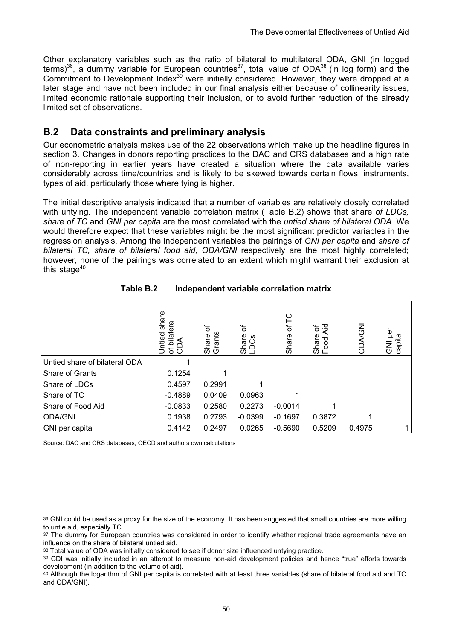Other explanatory variables such as the ratio of bilateral to multilateral ODA, GNI (in logged terms)<sup>36</sup>, a dummy variable for European countries<sup>37</sup>, total value of ODA<sup>38</sup> (in log form) and the Commitment to Development Index<sup>39</sup> were initially considered. However, they were dropped at a later stage and have not been included in our final analysis either because of collinearity issues, limited economic rationale supporting their inclusion, or to avoid further reduction of the already limited set of observations.

# **B.2 Data constraints and preliminary analysis**

Our econometric analysis makes use of the 22 observations which make up the headline figures in section 3. Changes in donors reporting practices to the DAC and CRS databases and a high rate of non-reporting in earlier years have created a situation where the data available varies considerably across time/countries and is likely to be skewed towards certain flows, instruments, types of aid, particularly those where tying is higher.

The initial descriptive analysis indicated that a number of variables are relatively closely correlated with untying. The independent variable correlation matrix (Table B.2) shows that share *of LDCs, share of TC* and *GNI per capita* are the most correlated with the *untied share of bilateral ODA*. We would therefore expect that these variables might be the most significant predictor variables in the regression analysis. Among the independent variables the pairings of *GNI per capita* and *share of bilateral TC, share of bilateral food aid, ODA/GNI* respectively are the most highly correlated; however, none of the pairings was correlated to an extent which might warrant their exclusion at this stage $40$ 

|                               | share<br>bilateral<br>ntied<br>ミ<br>ᅙ<br>O | ᡃᡠ<br>Share<br>Grants | ৳<br>Share<br>LDCS | ပို<br>৳<br>Share | চ<br>মূ<br>Share<br>Food<br>poo | <b>NS</b><br>Ago | per<br>capita<br><b>N</b> G |
|-------------------------------|--------------------------------------------|-----------------------|--------------------|-------------------|---------------------------------|------------------|-----------------------------|
| Untied share of bilateral ODA |                                            |                       |                    |                   |                                 |                  |                             |
| Share of Grants               | 0.1254                                     |                       |                    |                   |                                 |                  |                             |
| Share of LDCs                 | 0.4597                                     | 0.2991                |                    |                   |                                 |                  |                             |
| Share of TC                   | $-0.4889$                                  | 0.0409                | 0.0963             |                   |                                 |                  |                             |
| Share of Food Aid             | $-0.0833$                                  | 0.2580                | 0.2273             | $-0.0014$         |                                 |                  |                             |
| <b>ODA/GNI</b>                | 0.1938                                     | 0.2793                | $-0.0399$          | $-0.1697$         | 0.3872                          |                  |                             |
| GNI per capita                | 0.4142                                     | 0.2497                | 0.0265             | $-0.5690$         | 0.5209                          | 0.4975           |                             |

**Table B.2 Independent variable correlation matrix** 

Source: DAC and CRS databases, OECD and authors own calculations

 $\overline{a}$ 36 GNI could be used as a proxy for the size of the economy. It has been suggested that small countries are more willing to untie aid, especially TC.

<sup>37</sup> The dummy for European countries was considered in order to identify whether regional trade agreements have an influence on the share of bilateral untied aid.

<sup>38</sup> Total value of ODA was initially considered to see if donor size influenced untying practice.

<sup>39</sup> CDI was initially included in an attempt to measure non-aid development policies and hence "true" efforts towards development (in addition to the volume of aid).

<sup>40</sup> Although the logarithm of GNI per capita is correlated with at least three variables (share of bilateral food aid and TC and ODA/GNI).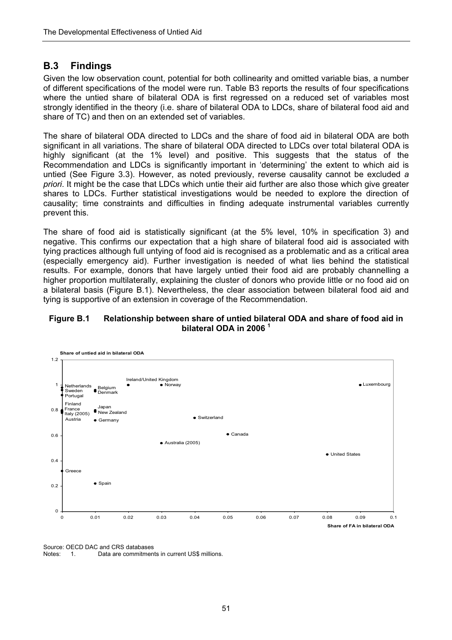### **B.3 Findings**

Given the low observation count, potential for both collinearity and omitted variable bias, a number of different specifications of the model were run. Table B3 reports the results of four specifications where the untied share of bilateral ODA is first regressed on a reduced set of variables most strongly identified in the theory (i.e. share of bilateral ODA to LDCs, share of bilateral food aid and share of TC) and then on an extended set of variables.

The share of bilateral ODA directed to LDCs and the share of food aid in bilateral ODA are both significant in all variations. The share of bilateral ODA directed to LDCs over total bilateral ODA is highly significant (at the 1% level) and positive. This suggests that the status of the Recommendation and LDCs is significantly important in 'determining' the extent to which aid is untied (See Figure 3.3). However, as noted previously, reverse causality cannot be excluded *a priori*. It might be the case that LDCs which untie their aid further are also those which give greater shares to LDCs. Further statistical investigations would be needed to explore the direction of causality; time constraints and difficulties in finding adequate instrumental variables currently prevent this.

The share of food aid is statistically significant (at the 5% level, 10% in specification 3) and negative. This confirms our expectation that a high share of bilateral food aid is associated with tying practices although full untying of food aid is recognised as a problematic and as a critical area (especially emergency aid). Further investigation is needed of what lies behind the statistical results. For example, donors that have largely untied their food aid are probably channelling a higher proportion multilaterally, explaining the cluster of donors who provide little or no food aid on a bilateral basis (Figure B.1). Nevertheless, the clear association between bilateral food aid and tying is supportive of an extension in coverage of the Recommendation.

#### **Figure B.1 Relationship between share of untied bilateral ODA and share of food aid in bilateral ODA in 2006 <sup>1</sup>**



Source: OECD DAC and CRS databases Notes: 1. Data are commitments in current US\$ millions.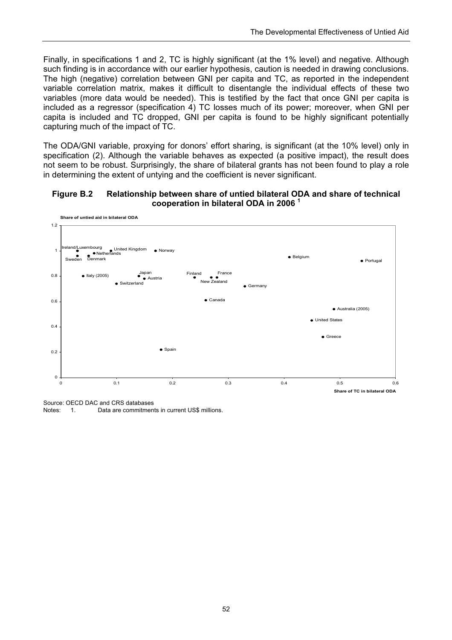Finally, in specifications 1 and 2, TC is highly significant (at the 1% level) and negative. Although such finding is in accordance with our earlier hypothesis, caution is needed in drawing conclusions. The high (negative) correlation between GNI per capita and TC, as reported in the independent variable correlation matrix, makes it difficult to disentangle the individual effects of these two variables (more data would be needed). This is testified by the fact that once GNI per capita is included as a regressor (specification 4) TC losses much of its power; moreover, when GNI per capita is included and TC dropped, GNI per capita is found to be highly significant potentially capturing much of the impact of TC.

The ODA/GNI variable, proxying for donors' effort sharing, is significant (at the 10% level) only in specification (2). Although the variable behaves as expected (a positive impact), the result does not seem to be robust. Surprisingly, the share of bilateral grants has not been found to play a role in determining the extent of untying and the coefficient is never significant.

#### **Figure B.2 Relationship between share of untied bilateral ODA and share of technical cooperation in bilateral ODA in 2006 1**



Source: OECD DAC and CRS databases<br>Notes: 1. Data are commitmen 1. Data are commitments in current US\$ millions.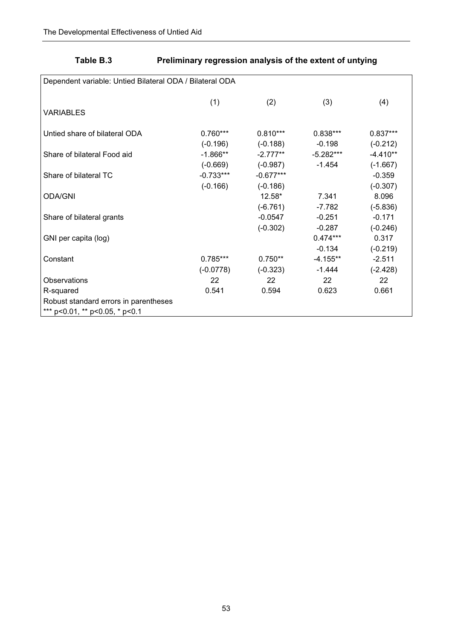# **Table B.3 Preliminary regression analysis of the extent of untying**

| Dependent variable: Untied Bilateral ODA / Bilateral ODA |             |             |            |            |  |  |  |
|----------------------------------------------------------|-------------|-------------|------------|------------|--|--|--|
|                                                          | (1)         | (2)         | (3)        | (4)        |  |  |  |
| <b>VARIABLES</b>                                         |             |             |            |            |  |  |  |
| Untied share of bilateral ODA                            | $0.760***$  | $0.810***$  | $0.838***$ | $0.837***$ |  |  |  |
|                                                          | $(-0.196)$  | $(-0.188)$  | $-0.198$   | $(-0.212)$ |  |  |  |
| Share of bilateral Food aid                              | $-1.866**$  | $-2.777**$  | -5.282***  | $-4.410**$ |  |  |  |
|                                                          | $(-0.669)$  | $(-0.987)$  | $-1.454$   | $(-1.667)$ |  |  |  |
| Share of bilateral TC                                    | $-0.733***$ | $-0.677***$ |            | $-0.359$   |  |  |  |
|                                                          | $(-0.166)$  | $(-0.186)$  |            | $(-0.307)$ |  |  |  |
| <b>ODA/GNI</b>                                           |             | 12.58*      | 7.341      | 8.096      |  |  |  |
|                                                          |             | $(-6.761)$  | $-7.782$   | $(-5.836)$ |  |  |  |
| Share of bilateral grants                                |             | $-0.0547$   | $-0.251$   | $-0.171$   |  |  |  |
|                                                          |             | $(-0.302)$  | $-0.287$   | $(-0.246)$ |  |  |  |
| GNI per capita (log)                                     |             |             | $0.474***$ | 0.317      |  |  |  |
|                                                          |             |             | $-0.134$   | $(-0.219)$ |  |  |  |
| Constant                                                 | $0.785***$  | $0.750**$   | $-4.155**$ | $-2.511$   |  |  |  |
|                                                          | $(-0.0778)$ | $(-0.323)$  | $-1.444$   | $(-2.428)$ |  |  |  |
| Observations                                             | 22          | 22          | 22         | 22         |  |  |  |
| R-squared                                                | 0.541       | 0.594       | 0.623      | 0.661      |  |  |  |
| Robust standard errors in parentheses                    |             |             |            |            |  |  |  |
| *** p<0.01, ** p<0.05, * p<0.1                           |             |             |            |            |  |  |  |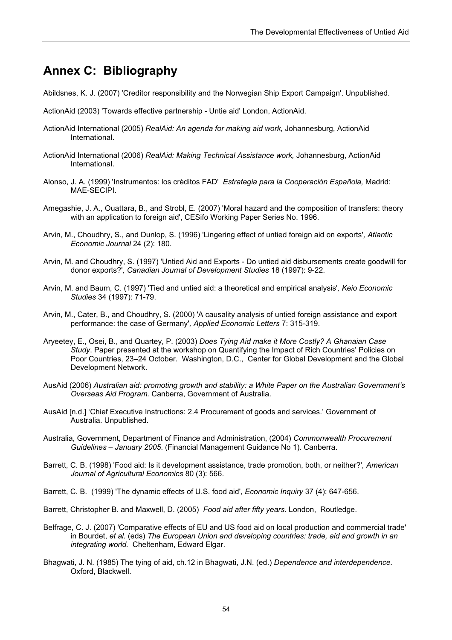# **Annex C: Bibliography**

- Abildsnes, K. J. (2007) 'Creditor responsibility and the Norwegian Ship Export Campaign'. Unpublished.
- ActionAid (2003) 'Towards effective partnership Untie aid' London, ActionAid.
- ActionAid International (2005) *RealAid: An agenda for making aid work,* Johannesburg, ActionAid International.
- ActionAid International (2006) *RealAid: Making Technical Assistance work,* Johannesburg, ActionAid International.
- Alonso, J. A. (1999) 'Instrumentos: los créditos FAD' *Estrategia para la Cooperación Española,* Madrid: MAE-SECIPI.
- Amegashie, J. A., Ouattara, B., and Strobl, E. (2007) 'Moral hazard and the composition of transfers: theory with an application to foreign aid', CESifo Working Paper Series No. 1996.
- Arvin, M., Choudhry, S., and Dunlop, S. (1996) 'Lingering effect of untied foreign aid on exports'*, Atlantic Economic Journal* 24 (2): 180.
- Arvin, M. and Choudhry, S. (1997) 'Untied Aid and Exports Do untied aid disbursements create goodwill for donor exports?'*, Canadian Journal of Development Studies* 18 (1997): 9-22.
- Arvin, M. and Baum, C. (1997) 'Tied and untied aid: a theoretical and empirical analysis'*, Keio Economic Studies* 34 (1997): 71-79.
- Arvin, M., Cater, B., and Choudhry, S. (2000) 'A causality analysis of untied foreign assistance and export performance: the case of Germany'*, Applied Economic Letters* 7: 315-319.
- Aryeetey, E., Osei, B., and Quartey, P. (2003) *Does Tying Aid make it More Costly? A Ghanaian Case Study*. Paper presented at the workshop on Quantifying the Impact of Rich Countries' Policies on Poor Countries, 23–24 October. Washington, D.C., Center for Global Development and the Global Development Network.
- AusAid (2006) *Australian aid: promoting growth and stability: a White Paper on the Australian Government's Overseas Aid Program.* Canberra, Government of Australia.
- AusAid [n.d.] 'Chief Executive Instructions: 2.4 Procurement of goods and services.' Government of Australia. Unpublished.
- Australia, Government, Department of Finance and Administration, (2004) *Commonwealth Procurement Guidelines – January 2005*. (Financial Management Guidance No 1). Canberra.
- Barrett, C. B. (1998) 'Food aid: Is it development assistance, trade promotion, both, or neither?'*, American Journal of Agricultural Economics* 80 (3): 566.
- Barrett, C. B. (1999) 'The dynamic effects of U.S. food aid'*, Economic Inquiry* 37 (4): 647-656.
- Barrett, Christopher B. and Maxwell, D. (2005) *Food aid after fifty years*. London, Routledge.
- Belfrage, C. J. (2007) 'Comparative effects of EU and US food aid on local production and commercial trade' in Bourdet, *et al.* (eds) *The European Union and developing countries: trade, aid and growth in an integrating world.* Cheltenham, Edward Elgar.
- Bhagwati, J. N. (1985) The tying of aid, ch.12 in Bhagwati, J.N. (ed.) *Dependence and interdependence.* Oxford, Blackwell.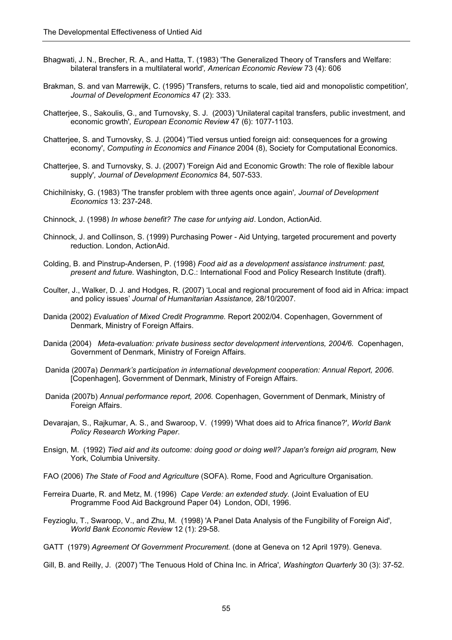- Bhagwati, J. N., Brecher, R. A., and Hatta, T. (1983) 'The Generalized Theory of Transfers and Welfare: bilateral transfers in a multilateral world'*, American Economic Review* 73 (4): 606
- Brakman, S. and van Marrewijk, C. (1995) 'Transfers, returns to scale, tied aid and monopolistic competition'*, Journal of Development Economics* 47 (2): 333.
- Chatterjee, S., Sakoulis, G., and Turnovsky, S. J. (2003) 'Unilateral capital transfers, public investment, and economic growth'*, European Economic Review* 47 (6): 1077-1103.
- Chatterjee, S. and Turnovsky, S. J. (2004) 'Tied versus untied foreign aid: consequences for a growing economy', *Computing in Economics and Finance* 2004 (8), Society for Computational Economics.
- Chatterjee, S. and Turnovsky, S. J. (2007) 'Foreign Aid and Economic Growth: The role of flexible labour supply'*, Journal of Development Economics* 84, 507-533.
- Chichilnisky, G. (1983) 'The transfer problem with three agents once again'*, Journal of Development Economics* 13: 237-248.
- Chinnock, J. (1998) *In whose benefit? The case for untying aid*. London, ActionAid.
- Chinnock, J. and Collinson, S. (1999) Purchasing Power Aid Untying, targeted procurement and poverty reduction. London, ActionAid.
- Colding, B. and Pinstrup-Andersen, P. (1998) *Food aid as a development assistance instrument: past, present and future.* Washington, D.C.: International Food and Policy Research Institute (draft).
- Coulter, J., Walker, D. J. and Hodges, R. (2007) 'Local and regional procurement of food aid in Africa: impact and policy issues' *Journal of Humanitarian Assistance,* 28/10/2007.
- Danida (2002) *Evaluation of Mixed Credit Programme.* Report 2002/04. Copenhagen, Government of Denmark, Ministry of Foreign Affairs.
- Danida (2004) *Meta-evaluation: private business sector development interventions, 2004/6.* Copenhagen, Government of Denmark, Ministry of Foreign Affairs.
- Danida (2007a) *Denmark's participation in international development cooperation: Annual Report, 2006*. [Copenhagen], Government of Denmark, Ministry of Foreign Affairs.
- Danida (2007b) *Annual performance report, 2006.* Copenhagen, Government of Denmark, Ministry of Foreign Affairs.
- Devarajan, S., Rajkumar, A. S., and Swaroop, V. (1999) 'What does aid to Africa finance?'*, World Bank Policy Research Working Paper*.
- Ensign, M. (1992) *Tied aid and its outcome: doing good or doing well? Japan's foreign aid program,* New York, Columbia University.
- FAO (2006) *The State of Food and Agriculture* (SOFA). Rome, Food and Agriculture Organisation.
- Ferreira Duarte, R. and Metz, M. (1996) *Cape Verde: an extended study.* (Joint Evaluation of EU Programme Food Aid Background Paper 04) London, ODI, 1996.
- Feyzioglu, T., Swaroop, V., and Zhu, M. (1998) 'A Panel Data Analysis of the Fungibility of Foreign Aid'*, World Bank Economic Review* 12 (1): 29-58.
- GATT (1979) *Agreement Of Government Procurement.* (done at Geneva on 12 April 1979). Geneva.
- Gill, B. and Reilly, J. (2007) 'The Tenuous Hold of China Inc. in Africa'*, Washington Quarterly* 30 (3): 37-52.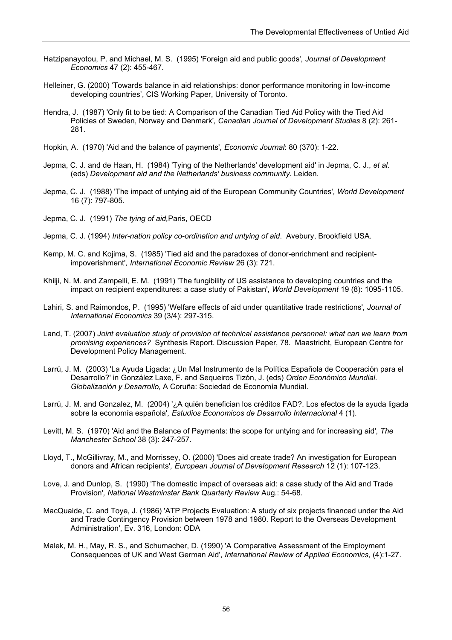- Hatzipanayotou, P. and Michael, M. S. (1995) 'Foreign aid and public goods'*, Journal of Development Economics* 47 (2): 455-467.
- Helleiner, G. (2000) 'Towards balance in aid relationships: donor performance monitoring in low-income developing countries', CIS Working Paper, University of Toronto.
- Hendra, J. (1987) 'Only fit to be tied: A Comparison of the Canadian Tied Aid Policy with the Tied Aid Policies of Sweden, Norway and Denmark'*, Canadian Journal of Development Studies* 8 (2): 261- 281.
- Hopkin, A. (1970) 'Aid and the balance of payments'*, Economic Journal*: 80 (370): 1-22.
- Jepma, C. J. and de Haan, H. (1984) 'Tying of the Netherlands' development aid' in Jepma, C. J., *et al.*  (eds) *Development aid and the Netherlands' business community.* Leiden.
- Jepma, C. J. (1988) 'The impact of untying aid of the European Community Countries'*, World Development* 16 (7): 797-805.
- Jepma, C. J. (1991) *The tying of aid,*Paris, OECD
- Jepma, C. J. (1994) *Inter-nation policy co-ordination and untying of aid*. Avebury, Brookfield USA.
- Kemp, M. C. and Kojima, S. (1985) 'Tied aid and the paradoxes of donor-enrichment and recipientimpoverishment'*, International Economic Review* 26 (3): 721.
- Khilji, N. M. and Zampelli, E. M. (1991) 'The fungibility of US assistance to developing countries and the impact on recipient expenditures: a case study of Pakistan'*, World Development* 19 (8): 1095-1105.
- Lahiri, S. and Raimondos, P. (1995) 'Welfare effects of aid under quantitative trade restrictions'*, Journal of International Economics* 39 (3/4): 297-315.
- Land, T. (2007) *Joint evaluation study of provision of technical assistance personnel: what can we learn from promising experiences?* Synthesis Report. Discussion Paper, 78. Maastricht, European Centre for Development Policy Management.
- Larrú, J. M. (2003) 'La Ayuda Ligada: ¿Un Mal Instrumento de la Política Española de Cooperación para el Desarrollo?' in González Laxe, F. and Sequeiros Tizón, J. (eds) *Orden Económico Mundial. Globalización y Desarrollo,* A Coruña: Sociedad de Economía Mundial.
- Larrú, J. M. and Gonzalez, M. (2004) '¿A quién benefician los créditos FAD?. Los efectos de la ayuda ligada sobre la economía española'*, Estudios Economicos de Desarrollo Internacional* 4 (1).
- Levitt, M. S. (1970) 'Aid and the Balance of Payments: the scope for untying and for increasing aid'*, The Manchester School* 38 (3): 247-257.
- Lloyd, T., McGillivray, M., and Morrissey, O. (2000) 'Does aid create trade? An investigation for European donors and African recipients'*, European Journal of Development Research* 12 (1): 107-123.
- Love, J. and Dunlop, S. (1990) 'The domestic impact of overseas aid: a case study of the Aid and Trade Provision'*, National Westminster Bank Quarterly Review* Aug.: 54-68.
- MacQuaide, C. and Toye, J. (1986) 'ATP Projects Evaluation: A study of six projects financed under the Aid and Trade Contingency Provision between 1978 and 1980. Report to the Overseas Development Administration', Ev. 316, London: ODA
- Malek, M. H., May, R. S., and Schumacher, D. (1990) 'A Comparative Assessment of the Employment Consequences of UK and West German Aid', *International Review of Applied Economics*, (4):1-27.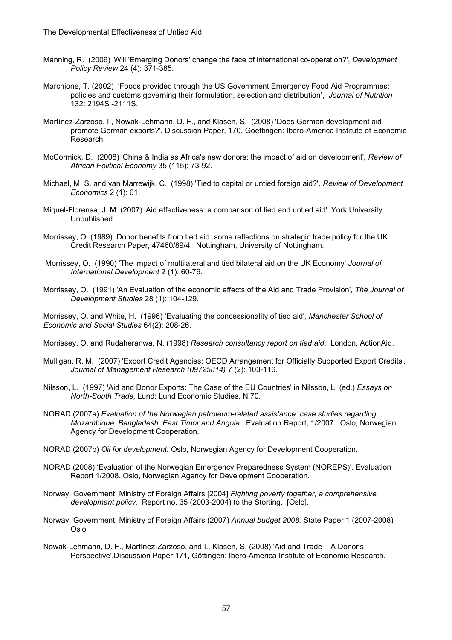- Manning, R. (2006) 'Will 'Emerging Donors' change the face of international co-operation?'*, Development Policy Review* 24 (4): 371-385.
- Marchione, T. (2002) 'Foods provided through the US Government Emergency Food Aid Programmes: policies and customs governing their formulation, selection and distribution', *Journal of Nutrition*  132: 2194S -2111S.
- Martínez-Zarzoso, I., Nowak-Lehmann, D. F., and Klasen, S. (2008) 'Does German development aid promote German exports?', Discussion Paper, 170, Goettingen: Ibero-America Institute of Economic Research.
- McCormick, D. (2008) 'China & India as Africa's new donors: the impact of aid on development'*, Review of African Political Economy* 35 (115): 73-92.
- Michael, M. S. and van Marrewijk, C. (1998) 'Tied to capital or untied foreign aid?'*, Review of Development Economics* 2 (1): 61.
- Miquel-Florensa, J. M. (2007) 'Aid effectiveness: a comparison of tied and untied aid'. York University. Unpublished.
- Morrissey, O. (1989) Donor benefits from tied aid: some reflections on strategic trade policy for the UK. Credit Research Paper, 47460/89/4. Nottingham, University of Nottingham.
- Morrissey, O. (1990) 'The impact of multilateral and tied bilateral aid on the UK Economy' *Journal of International Development* 2 (1): 60-76.
- Morrissey, O. (1991) 'An Evaluation of the economic effects of the Aid and Trade Provision'*, The Journal of Development Studies* 28 (1): 104-129.

Morrissey, O. and White, H. (1996) 'Evaluating the concessionality of tied aid'*, Manchester School of Economic and Social Studies* 64(2): 208-26.

Morrissey, O. and Rudaheranwa, N. (1998) *Research consultancy report on tied aid*. London, ActionAid.

- Mulligan, R. M. (2007) 'Export Credit Agencies: OECD Arrangement for Officially Supported Export Credits'*, Journal of Management Research (09725814)* 7 (2): 103-116.
- Nilsson, L. (1997) 'Aid and Donor Exports: The Case of the EU Countries' in Nilsson, L. (ed.) *Essays on North-South Trade,* Lund: Lund Economic Studies, N.70.
- NORAD (2007a) *Evaluation of the Norwegian petroleum-related assistance: case studies regarding Mozambique, Bangladesh, East Timor and Angola.* Evaluation Report, 1/2007. Oslo, Norwegian Agency for Development Cooperation.
- NORAD (2007b) *Oil for development.* Oslo, Norwegian Agency for Development Cooperation.
- NORAD (2008) 'Evaluation of the Norwegian Emergency Preparedness System (NOREPS)'. Evaluation Report 1/2008. Oslo, Norwegian Agency for Development Cooperation.
- Norway, Government, Ministry of Foreign Affairs [2004] *Fighting poverty together; a comprehensive development policy.* Report no. 35 (2003-2004) to the Storting. [Oslo].
- Norway, Government, Ministry of Foreign Affairs (2007) *Annual budget 2008.* State Paper 1 (2007-2008) Oslo
- Nowak-Lehmann, D. F., Martínez-Zarzoso, and I., Klasen, S. (2008) 'Aid and Trade A Donor's Perspective',Discussion Paper,171, Göttingen: Ibero-America Institute of Economic Research.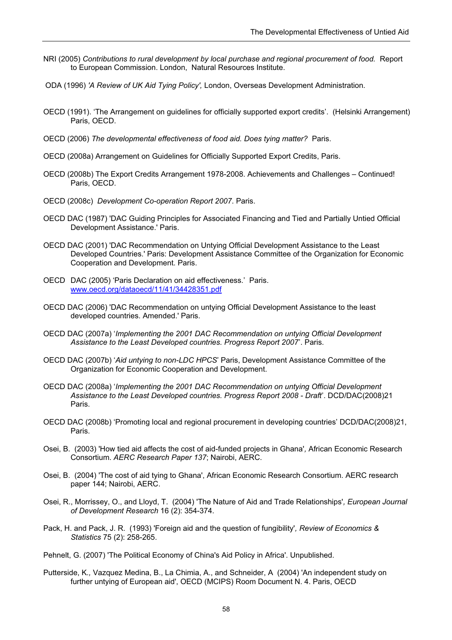- NRI (2005) *Contributions to rural development by local purchase and regional procurement of food.* Report to European Commission. London, Natural Resources Institute.
- ODA (1996) *'A Review of UK Aid Tying Policy',* London, Overseas Development Administration.
- OECD (1991). 'The Arrangement on guidelines for officially supported export credits'. (Helsinki Arrangement) Paris, OECD.
- OECD (2006) *The developmental effectiveness of food aid. Does tying matter?* Paris.
- OECD (2008a) Arrangement on Guidelines for Officially Supported Export Credits, Paris.
- OECD (2008b) The Export Credits Arrangement 1978-2008. Achievements and Challenges Continued! Paris, OECD.
- OECD (2008c) *Development Co-operation Report 2007*. Paris.
- OECD DAC (1987) 'DAC Guiding Principles for Associated Financing and Tied and Partially Untied Official Development Assistance.' Paris.
- OECD DAC (2001) 'DAC Recommendation on Untying Official Development Assistance to the Least Developed Countries.' Paris: Development Assistance Committee of the Organization for Economic Cooperation and Development. Paris.
- OECD DAC (2005) 'Paris Declaration on aid effectiveness.' Paris. www.oecd.org/dataoecd/11/41/34428351.pdf
- OECD DAC (2006) 'DAC Recommendation on untying Official Development Assistance to the least developed countries. Amended.' Paris.
- OECD DAC (2007a) '*Implementing the 2001 DAC Recommendation on untying Official Development Assistance to the Least Developed countries. Progress Report 2007*'. Paris.
- OECD DAC (2007b) '*Aid untying to non-LDC HPCS*' Paris, Development Assistance Committee of the Organization for Economic Cooperation and Development.
- OECD DAC (2008a) '*Implementing the 2001 DAC Recommendation on untying Official Development Assistance to the Least Developed countries. Progress Report 2008 - Draft*'. DCD/DAC(2008)21 Paris.
- OECD DAC (2008b) 'Promoting local and regional procurement in developing countries' DCD/DAC(2008)21, Paris.
- Osei, B. (2003) 'How tied aid affects the cost of aid-funded projects in Ghana'*,* African Economic Research Consortium. *AERC Research Paper 137*; Nairobi, AERC.
- Osei, B. (2004) 'The cost of aid tying to Ghana', African Economic Research Consortium. AERC research paper 144; Nairobi, AERC.
- Osei, R., Morrissey, O., and Lloyd, T. (2004) 'The Nature of Aid and Trade Relationships'*, European Journal of Development Research* 16 (2): 354-374.
- Pack, H. and Pack, J. R. (1993) 'Foreign aid and the question of fungibility'*, Review of Economics & Statistics* 75 (2): 258-265.
- Pehnelt, G. (2007) 'The Political Economy of China's Aid Policy in Africa'. Unpublished.
- Putterside, K*.,* Vazquez Medina, B., La Chimia, A., and Schneider, A (2004) 'An independent study on further untying of European aid', OECD (MCIPS) Room Document N. 4. Paris, OECD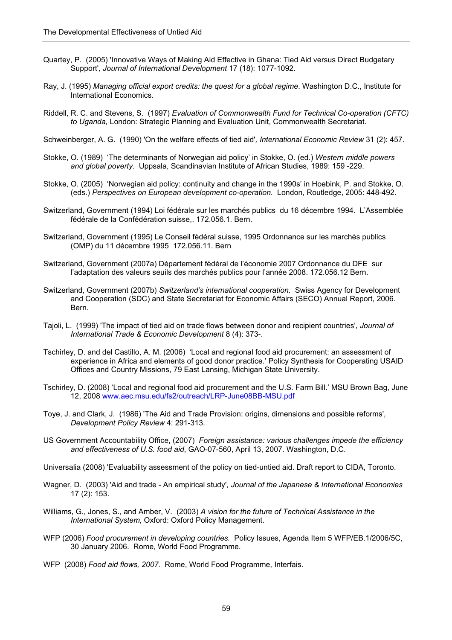- Quartey, P. (2005) 'Innovative Ways of Making Aid Effective in Ghana: Tied Aid versus Direct Budgetary Support'*, Journal of International Development* 17 (18): 1077-1092.
- Ray, J. (1995) *Managing official export credits: the quest for a global regime*. Washington D.C., Institute for International Economics.
- Riddell, R. C. and Stevens, S. (1997) *Evaluation of Commonwealth Fund for Technical Co-operation (CFTC) to Uganda,* London: Strategic Planning and Evaluation Unit, Commonwealth Secretariat.

Schweinberger, A. G. (1990) 'On the welfare effects of tied aid'*, International Economic Review* 31 (2): 457.

- Stokke, O. (1989) 'The determinants of Norwegian aid policy' in Stokke, O. (ed.) *Western middle powers and global poverty.* Uppsala, Scandinavian Institute of African Studies, 1989: 159 -229.
- Stokke, O. (2005) 'Norwegian aid policy: continuity and change in the 1990s' in Hoebink, P. and Stokke, O. (eds.) *Perspectives on European development co-operation.* London, Routledge, 2005: 448-492.
- Switzerland, Government (1994) Loi fédérale sur les marchés publics du 16 décembre 1994. L'Assemblée fédérale de la Confédération suisse,. 172.056.1. Bern.
- Switzerland, Government (1995) Le Conseil fédéral suisse, 1995 Ordonnance sur les marchés publics (OMP) du 11 décembre 1995 172.056.11. Bern
- Switzerland, Government (2007a) Département fédéral de l'économie 2007 Ordonnance du DFE sur l'adaptation des valeurs seuils des marchés publics pour l'année 2008. 172.056.12 Bern.
- Switzerland, Government (2007b) *Switzerland's international cooperation.* Swiss Agency for Development and Cooperation (SDC) and State Secretariat for Economic Affairs (SECO) Annual Report, 2006. Bern.
- Tajoli, L. (1999) 'The impact of tied aid on trade flows between donor and recipient countries'*, Journal of International Trade & Economic Development* 8 (4): 373-.
- Tschirley, D. and del Castillo, A. M. (2006) 'Local and regional food aid procurement: an assessment of experience in Africa and elements of good donor practice.' Policy Synthesis for Cooperating USAID Offices and Country Missions, 79 East Lansing, Michigan State University.
- Tschirley, D. (2008) 'Local and regional food aid procurement and the U.S. Farm Bill.' MSU Brown Bag, June 12, 2008 www.aec.msu.edu/fs2/outreach/LRP-June08BB-MSU.pdf
- Toye, J. and Clark, J. (1986) 'The Aid and Trade Provision: origins, dimensions and possible reforms'*, Development Policy Review* 4: 291-313.
- US Government Accountability Office, (2007) *Foreign assistance: various challenges impede the efficiency and effectiveness of U.S. food aid*, GAO-07-560, April 13, 2007. Washington, D.C.
- Universalia (2008) 'Evaluability assessment of the policy on tied-untied aid. Draft report to CIDA, Toronto.
- Wagner, D. (2003) 'Aid and trade An empirical study'*, Journal of the Japanese & International Economies* 17 (2): 153.
- Williams, G., Jones, S., and Amber, V. (2003) *A vision for the future of Technical Assistance in the International System,* Oxford: Oxford Policy Management.
- WFP (2006) *Food procurement in developing countries.* Policy Issues, Agenda Item 5 WFP/EB.1/2006/5C, 30 January 2006. Rome, World Food Programme.
- WFP (2008) *Food aid flows, 2007.* Rome, World Food Programme, Interfais.